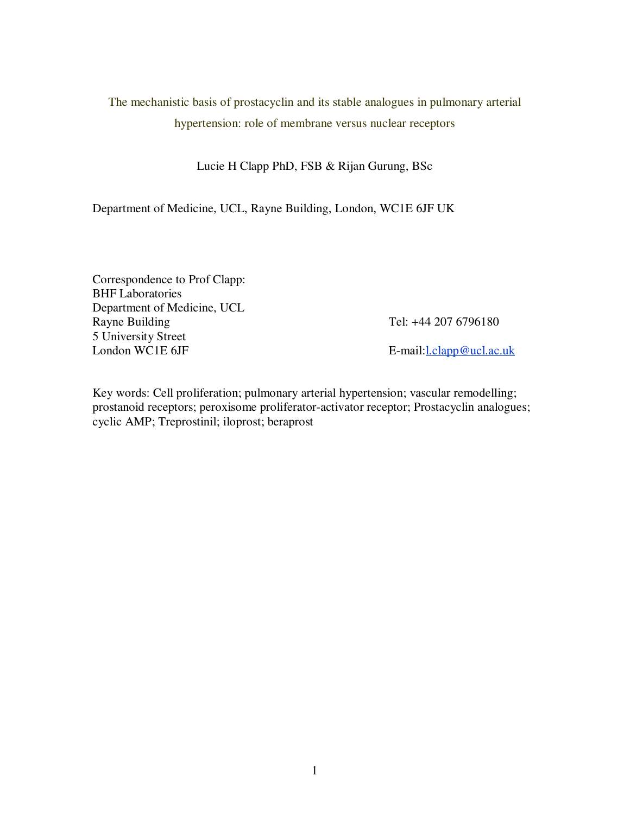# The mechanistic basis of prostacyclin and its stable analogues in pulmonary arterial hypertension: role of membrane versus nuclear receptors

## Lucie H Clapp PhD, FSB & Rijan Gurung, BSc

Department of Medicine, UCL, Rayne Building, London, WC1E 6JF UK

Correspondence to Prof Clapp: BHF Laboratories Department of Medicine, UCL Rayne Building Tel: +44 207 6796180 5 University Street London WC1E 6JF E-mail: London WC1E 6JF

Key words: Cell proliferation; pulmonary arterial hypertension; vascular remodelling; prostanoid receptors; peroxisome proliferator-activator receptor; Prostacyclin analogues; cyclic AMP; Treprostinil; iloprost; beraprost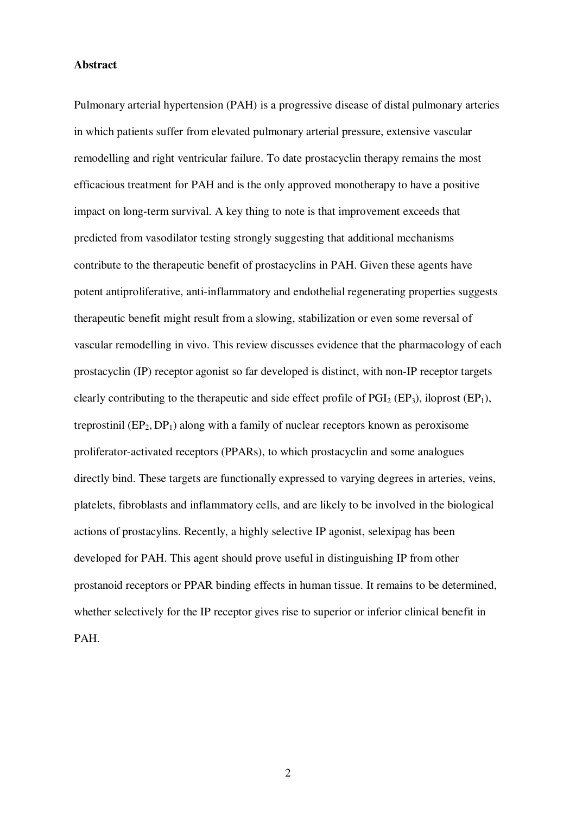#### **Abstract**

Pulmonary arterial hypertension (PAH) is a progressive disease of distal pulmonary arteries in which patients suffer from elevated pulmonary arterial pressure, extensive vascular remodelling and right ventricular failure. To date prostacyclin therapy remains the most efficacious treatment for PAH and is the only approved monotherapy to have a positive impact on long-term survival. A key thing to note is that improvement exceeds that predicted from vasodilator testing strongly suggesting that additional mechanisms contribute to the therapeutic benefit of prostacyclins in PAH. Given these agents have potent antiproliferative, anti-inflammatory and endothelial regenerating properties suggests therapeutic benefit might result from a slowing, stabilization or even some reversal of vascular remodelling in vivo. This review discusses evidence that the pharmacology of each prostacyclin (IP) receptor agonist so far developed is distinct, with non-IP receptor targets clearly contributing to the therapeutic and side effect profile of  $PGI<sub>2</sub> (EP<sub>3</sub>)$ , iloprost  $(EP<sub>1</sub>)$ , treprostinil  $(EP_2, DP_1)$  along with a family of nuclear receptors known as peroxisome proliferator-activated receptors (PPARs), to which prostacyclin and some analogues directly bind. These targets are functionally expressed to varying degrees in arteries, veins, platelets, fibroblasts and inflammatory cells, and are likely to be involved in the biological actions of prostacylins. Recently, a highly selective IP agonist, selexipag has been developed for PAH. This agent should prove useful in distinguishing IP from other prostanoid receptors or PPAR binding effects in human tissue. It remains to be determined, whether selectively for the IP receptor gives rise to superior or inferior clinical benefit in PAH.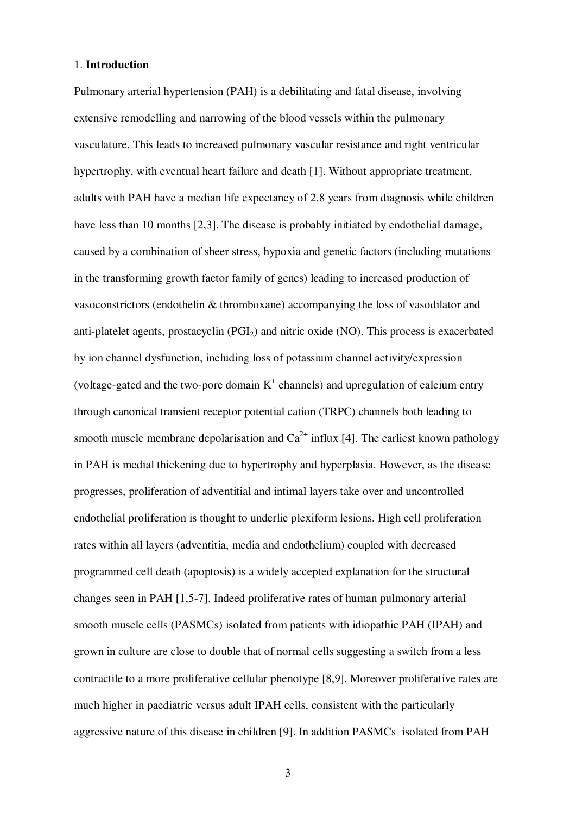#### 1. **Introduction**

Pulmonary arterial hypertension (PAH) is a debilitating and fatal disease, involving extensive remodelling and narrowing of the blood vessels within the pulmonary vasculature. This leads to increased pulmonary vascular resistance and right ventricular hypertrophy, with eventual heart failure and death [1]. Without appropriate treatment, adults with PAH have a median life expectancy of 2.8 years from diagnosis while children have less than 10 months [2,3]. The disease is probably initiated by endothelial damage, caused by a combination of sheer stress, hypoxia and genetic factors (including mutations in the transforming growth factor family of genes) leading to increased production of vasoconstrictors (endothelin & thromboxane) accompanying the loss of vasodilator and anti-platelet agents, prostacyclin (PGI<sub>2</sub>) and nitric oxide (NO). This process is exacerbated by ion channel dysfunction, including loss of potassium channel activity/expression (voltage-gated and the two-pore domain  $K^+$  channels) and upregulation of calcium entry through canonical transient receptor potential cation (TRPC) channels both leading to smooth muscle membrane depolarisation and  $Ca^{2+}$  influx [4]. The earliest known pathology in PAH is medial thickening due to hypertrophy and hyperplasia. However, as the disease progresses, proliferation of adventitial and intimal layers take over and uncontrolled endothelial proliferation is thought to underlie plexiform lesions. High cell proliferation rates within all layers (adventitia, media and endothelium) coupled with decreased programmed cell death (apoptosis) is a widely accepted explanation for the structural changes seen in PAH [1,5-7]. Indeed proliferative rates of human pulmonary arterial smooth muscle cells (PASMCs) isolated from patients with idiopathic PAH (IPAH) and grown in culture are close to double that of normal cells suggesting a switch from a less contractile to a more proliferative cellular phenotype [8,9]. Moreover proliferative rates are much higher in paediatric versus adult IPAH cells, consistent with the particularly aggressive nature of this disease in children [9]. In addition PASMCs isolated from PAH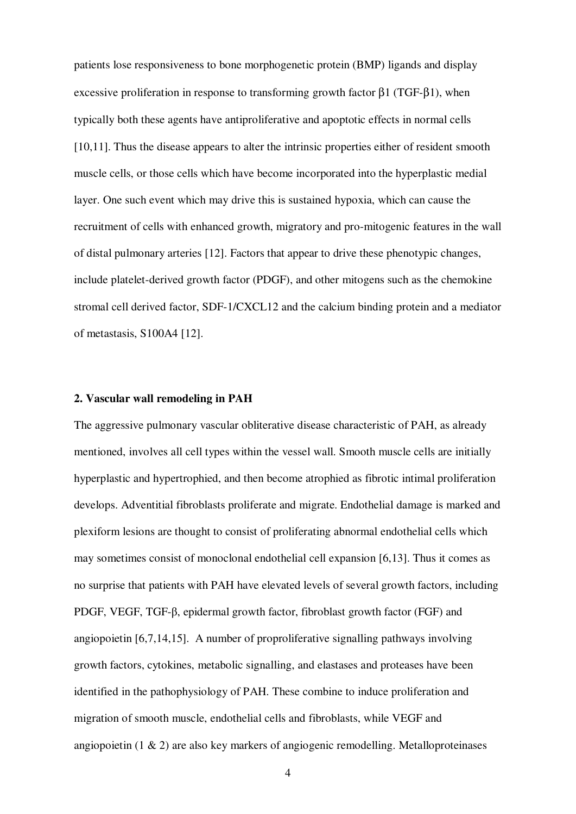patients lose responsiveness to bone morphogenetic protein (BMP) ligands and display excessive proliferation in response to transforming growth factor  $\beta$ 1 (TGF- $\beta$ 1), when typically both these agents have antiproliferative and apoptotic effects in normal cells [10,11]. Thus the disease appears to alter the intrinsic properties either of resident smooth muscle cells, or those cells which have become incorporated into the hyperplastic medial layer. One such event which may drive this is sustained hypoxia, which can cause the recruitment of cells with enhanced growth, migratory and pro-mitogenic features in the wall of distal pulmonary arteries [12]. Factors that appear to drive these phenotypic changes, include platelet-derived growth factor (PDGF), and other mitogens such as the chemokine stromal cell derived factor, SDF-1/CXCL12 and the calcium binding protein and a mediator of metastasis, S100A4 [12].

## **2. Vascular wall remodeling in PAH**

The aggressive pulmonary vascular obliterative disease characteristic of PAH, as already mentioned, involves all cell types within the vessel wall. Smooth muscle cells are initially hyperplastic and hypertrophied, and then become atrophied as fibrotic intimal proliferation develops. Adventitial fibroblasts proliferate and migrate. Endothelial damage is marked and plexiform lesions are thought to consist of proliferating abnormal endothelial cells which may sometimes consist of monoclonal endothelial cell expansion [6,13]. Thus it comes as no surprise that patients with PAH have elevated levels of several growth factors, including PDGF, VEGF, TGF-β, epidermal growth factor, fibroblast growth factor (FGF) and angiopoietin [6,7,14,15]. A number of proproliferative signalling pathways involving growth factors, cytokines, metabolic signalling, and elastases and proteases have been identified in the pathophysiology of PAH. These combine to induce proliferation and migration of smooth muscle, endothelial cells and fibroblasts, while VEGF and angiopoietin  $(1 \& 2)$  are also key markers of angiogenic remodelling. Metalloproteinases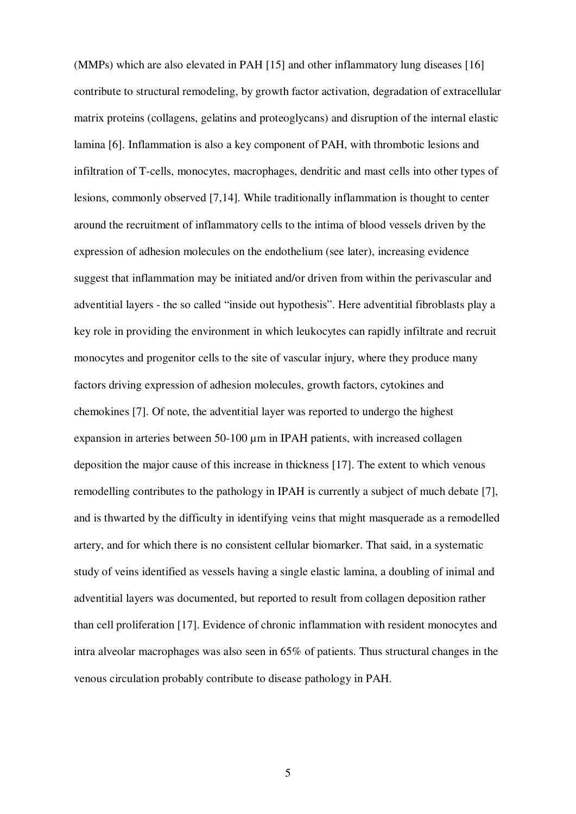(MMPs) which are also elevated in PAH [15] and other inflammatory lung diseases [16] contribute to structural remodeling, by growth factor activation, degradation of extracellular matrix proteins (collagens, gelatins and proteoglycans) and disruption of the internal elastic lamina [6]. Inflammation is also a key component of PAH, with thrombotic lesions and infiltration of T-cells, monocytes, macrophages, dendritic and mast cells into other types of lesions, commonly observed [7,14]. While traditionally inflammation is thought to center around the recruitment of inflammatory cells to the intima of blood vessels driven by the expression of adhesion molecules on the endothelium (see later), increasing evidence suggest that inflammation may be initiated and/or driven from within the perivascular and adventitial layers - the so called "inside out hypothesis". Here adventitial fibroblasts play a key role in providing the environment in which leukocytes can rapidly infiltrate and recruit monocytes and progenitor cells to the site of vascular injury, where they produce many factors driving expression of adhesion molecules, growth factors, cytokines and chemokines [7]. Of note, the adventitial layer was reported to undergo the highest expansion in arteries between 50-100  $\mu$ m in IPAH patients, with increased collagen deposition the major cause of this increase in thickness [17]. The extent to which venous remodelling contributes to the pathology in IPAH is currently a subject of much debate [7], and is thwarted by the difficulty in identifying veins that might masquerade as a remodelled artery, and for which there is no consistent cellular biomarker. That said, in a systematic study of veins identified as vessels having a single elastic lamina, a doubling of inimal and adventitial layers was documented, but reported to result from collagen deposition rather than cell proliferation [17]. Evidence of chronic inflammation with resident monocytes and intra alveolar macrophages was also seen in 65% of patients. Thus structural changes in the venous circulation probably contribute to disease pathology in PAH.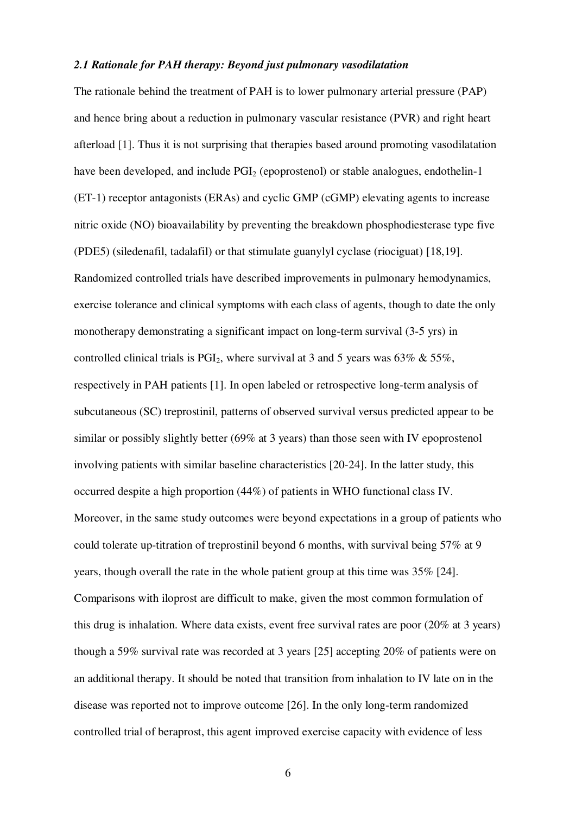#### *2.1 Rationale for PAH therapy: Beyond just pulmonary vasodilatation*

The rationale behind the treatment of PAH is to lower pulmonary arterial pressure (PAP) and hence bring about a reduction in pulmonary vascular resistance (PVR) and right heart afterload [1]. Thus it is not surprising that therapies based around promoting vasodilatation have been developed, and include  $PGI<sub>2</sub>$  (epoprostenol) or stable analogues, endothelin-1 (ET-1) receptor antagonists (ERAs) and cyclic GMP (cGMP) elevating agents to increase nitric oxide (NO) bioavailability by preventing the breakdown phosphodiesterase type five (PDE5) (siledenafil, tadalafil) or that stimulate guanylyl cyclase (riociguat) [18,19]. Randomized controlled trials have described improvements in pulmonary hemodynamics, exercise tolerance and clinical symptoms with each class of agents, though to date the only monotherapy demonstrating a significant impact on long-term survival (3-5 yrs) in controlled clinical trials is  $PGI_2$ , where survival at 3 and 5 years was 63% & 55%, respectively in PAH patients [1]. In open labeled or retrospective long-term analysis of subcutaneous (SC) treprostinil, patterns of observed survival versus predicted appear to be similar or possibly slightly better (69% at 3 years) than those seen with IV epoprostenol involving patients with similar baseline characteristics [20-24]. In the latter study, this occurred despite a high proportion (44%) of patients in WHO functional class IV. Moreover, in the same study outcomes were beyond expectations in a group of patients who could tolerate up-titration of treprostinil beyond 6 months, with survival being 57% at 9 years, though overall the rate in the whole patient group at this time was 35% [24]. Comparisons with iloprost are difficult to make, given the most common formulation of this drug is inhalation. Where data exists, event free survival rates are poor (20% at 3 years) though a 59% survival rate was recorded at 3 years [25] accepting 20% of patients were on an additional therapy. It should be noted that transition from inhalation to IV late on in the disease was reported not to improve outcome [26]. In the only long-term randomized controlled trial of beraprost, this agent improved exercise capacity with evidence of less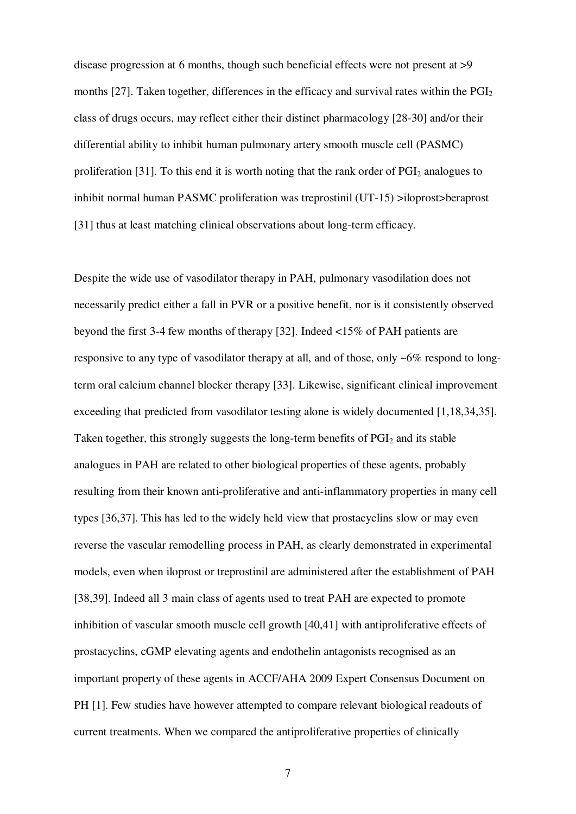disease progression at 6 months, though such beneficial effects were not present at >9 months [27]. Taken together, differences in the efficacy and survival rates within the  $PGI<sub>2</sub>$ class of drugs occurs, may reflect either their distinct pharmacology [28-30] and/or their differential ability to inhibit human pulmonary artery smooth muscle cell (PASMC) proliferation [31]. To this end it is worth noting that the rank order of  $PGI<sub>2</sub>$  analogues to inhibit normal human PASMC proliferation was treprostinil (UT-15) >iloprost>beraprost [31] thus at least matching clinical observations about long-term efficacy.

Despite the wide use of vasodilator therapy in PAH, pulmonary vasodilation does not necessarily predict either a fall in PVR or a positive benefit, nor is it consistently observed beyond the first 3-4 few months of therapy [32]. Indeed <15% of PAH patients are responsive to any type of vasodilator therapy at all, and of those, only ~6% respond to longterm oral calcium channel blocker therapy [33]. Likewise, significant clinical improvement exceeding that predicted from vasodilator testing alone is widely documented [1,18,34,35]. Taken together, this strongly suggests the long-term benefits of PGI<sub>2</sub> and its stable analogues in PAH are related to other biological properties of these agents, probably resulting from their known anti-proliferative and anti-inflammatory properties in many cell types [36,37]. This has led to the widely held view that prostacyclins slow or may even reverse the vascular remodelling process in PAH, as clearly demonstrated in experimental models, even when iloprost or treprostinil are administered after the establishment of PAH [38,39]. Indeed all 3 main class of agents used to treat PAH are expected to promote inhibition of vascular smooth muscle cell growth [40,41] with antiproliferative effects of prostacyclins, cGMP elevating agents and endothelin antagonists recognised as an important property of these agents in ACCF/AHA 2009 Expert Consensus Document on PH [1]. Few studies have however attempted to compare relevant biological readouts of current treatments. When we compared the antiproliferative properties of clinically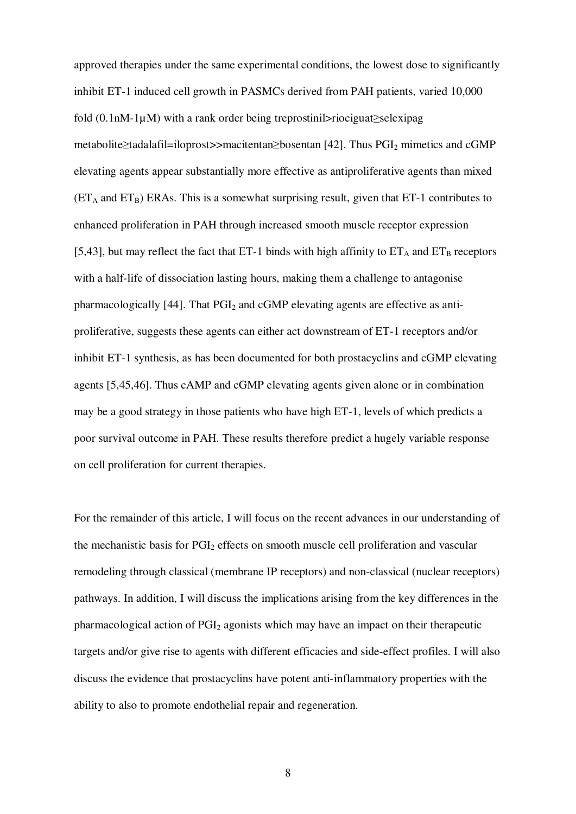approved therapies under the same experimental conditions, the lowest dose to significantly inhibit ET-1 induced cell growth in PASMCs derived from PAH patients, varied 10,000 fold  $(0.1nM-1\mu)$  with a rank order being treprostinil>riociguat≥selexipag metabolite≥tadalafil=iloprost>>macitentan≥bosentan [42]. Thus PGI2 mimetics and cGMP elevating agents appear substantially more effective as antiproliferative agents than mixed  $(ET_A \text{ and } ET_B)$  ERAs. This is a somewhat surprising result, given that ET-1 contributes to enhanced proliferation in PAH through increased smooth muscle receptor expression [5,43], but may reflect the fact that ET-1 binds with high affinity to  $ET_A$  and  $ET_B$  receptors with a half-life of dissociation lasting hours, making them a challenge to antagonise pharmacologically  $[44]$ . That  $PGI<sub>2</sub>$  and cGMP elevating agents are effective as antiproliferative, suggests these agents can either act downstream of ET-1 receptors and/or inhibit ET-1 synthesis, as has been documented for both prostacyclins and cGMP elevating agents [5,45,46]. Thus cAMP and cGMP elevating agents given alone or in combination may be a good strategy in those patients who have high ET-1, levels of which predicts a poor survival outcome in PAH. These results therefore predict a hugely variable response on cell proliferation for current therapies.

For the remainder of this article, I will focus on the recent advances in our understanding of the mechanistic basis for PGI<sub>2</sub> effects on smooth muscle cell proliferation and vascular remodeling through classical (membrane IP receptors) and non-classical (nuclear receptors) pathways. In addition, I will discuss the implications arising from the key differences in the pharmacological action of PGI2 agonists which may have an impact on their therapeutic targets and/or give rise to agents with different efficacies and side-effect profiles. I will also discuss the evidence that prostacyclins have potent anti-inflammatory properties with the ability to also to promote endothelial repair and regeneration.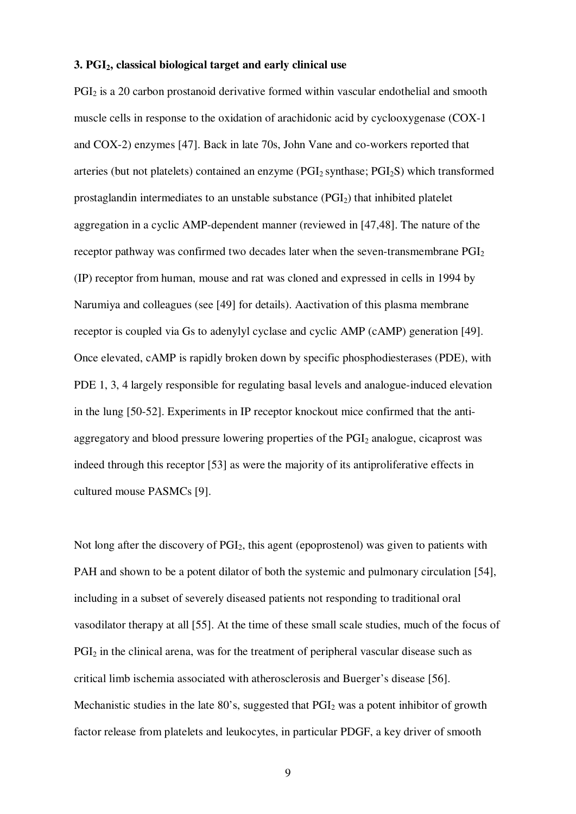#### **3. PGI2, classical biological target and early clinical use**

PGI<sub>2</sub> is a 20 carbon prostanoid derivative formed within vascular endothelial and smooth muscle cells in response to the oxidation of arachidonic acid by cyclooxygenase (COX-1 and COX-2) enzymes [47]. Back in late 70s, John Vane and co-workers reported that arteries (but not platelets) contained an enzyme (PGI2 synthase; PGI2S) which transformed prostaglandin intermediates to an unstable substance  $(PGI<sub>2</sub>)$  that inhibited platelet aggregation in a cyclic AMP-dependent manner (reviewed in [47,48]. The nature of the receptor pathway was confirmed two decades later when the seven-transmembrane  $PGI<sub>2</sub>$ (IP) receptor from human, mouse and rat was cloned and expressed in cells in 1994 by Narumiya and colleagues (see [49] for details). Aactivation of this plasma membrane receptor is coupled via Gs to adenylyl cyclase and cyclic AMP (cAMP) generation [49]. Once elevated, cAMP is rapidly broken down by specific phosphodiesterases (PDE), with PDE 1, 3, 4 largely responsible for regulating basal levels and analogue-induced elevation in the lung [50-52]. Experiments in IP receptor knockout mice confirmed that the antiaggregatory and blood pressure lowering properties of the PGI<sub>2</sub> analogue, cicaprost was indeed through this receptor [53] as were the majority of its antiproliferative effects in cultured mouse PASMCs [9].

Not long after the discovery of  $PGI<sub>2</sub>$ , this agent (epoprostenol) was given to patients with PAH and shown to be a potent dilator of both the systemic and pulmonary circulation [54], including in a subset of severely diseased patients not responding to traditional oral vasodilator therapy at all [55]. At the time of these small scale studies, much of the focus of PGI<sub>2</sub> in the clinical arena, was for the treatment of peripheral vascular disease such as critical limb ischemia associated with atherosclerosis and Buerger's disease [56]. Mechanistic studies in the late  $80$ 's, suggested that  $PGI<sub>2</sub>$  was a potent inhibitor of growth factor release from platelets and leukocytes, in particular PDGF, a key driver of smooth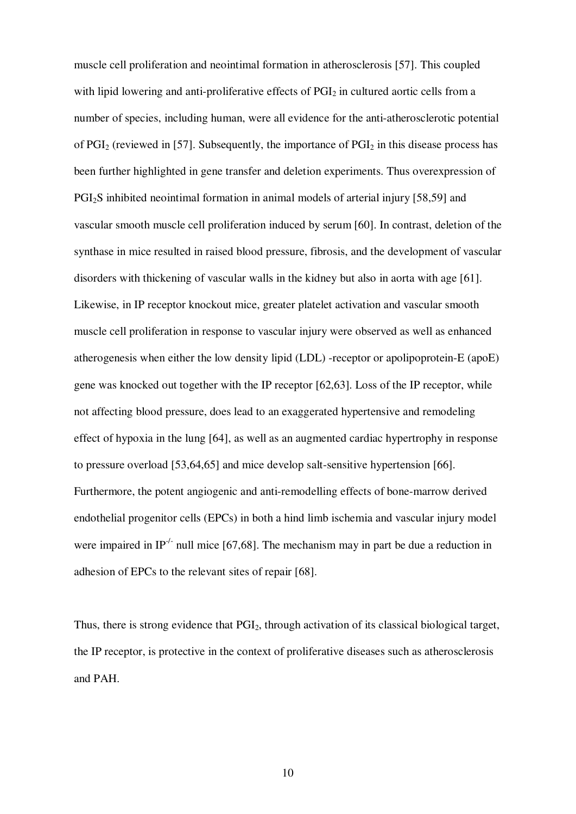muscle cell proliferation and neointimal formation in atherosclerosis [57]. This coupled with lipid lowering and anti-proliferative effects of  $PGI<sub>2</sub>$  in cultured aortic cells from a number of species, including human, were all evidence for the anti-atherosclerotic potential of  $PGI<sub>2</sub>$  (reviewed in [57]. Subsequently, the importance of  $PGI<sub>2</sub>$  in this disease process has been further highlighted in gene transfer and deletion experiments. Thus overexpression of PGI2S inhibited neointimal formation in animal models of arterial injury [58,59] and vascular smooth muscle cell proliferation induced by serum [60]. In contrast, deletion of the synthase in mice resulted in raised blood pressure, fibrosis, and the development of vascular disorders with thickening of vascular walls in the kidney but also in aorta with age [61]. Likewise, in IP receptor knockout mice, greater platelet activation and vascular smooth muscle cell proliferation in response to vascular injury were observed as well as enhanced atherogenesis when either the low density lipid (LDL) -receptor or apolipoprotein-E (apoE) gene was knocked out together with the IP receptor [62,63]. Loss of the IP receptor, while not affecting blood pressure, does lead to an exaggerated hypertensive and remodeling effect of hypoxia in the lung [64], as well as an augmented cardiac hypertrophy in response to pressure overload [53,64,65] and mice develop salt-sensitive hypertension [66]. Furthermore, the potent angiogenic and anti-remodelling effects of bone-marrow derived endothelial progenitor cells (EPCs) in both a hind limb ischemia and vascular injury model were impaired in IP<sup>-/-</sup> null mice [67,68]. The mechanism may in part be due a reduction in adhesion of EPCs to the relevant sites of repair [68].

Thus, there is strong evidence that PGI<sub>2</sub>, through activation of its classical biological target, the IP receptor, is protective in the context of proliferative diseases such as atherosclerosis and PAH.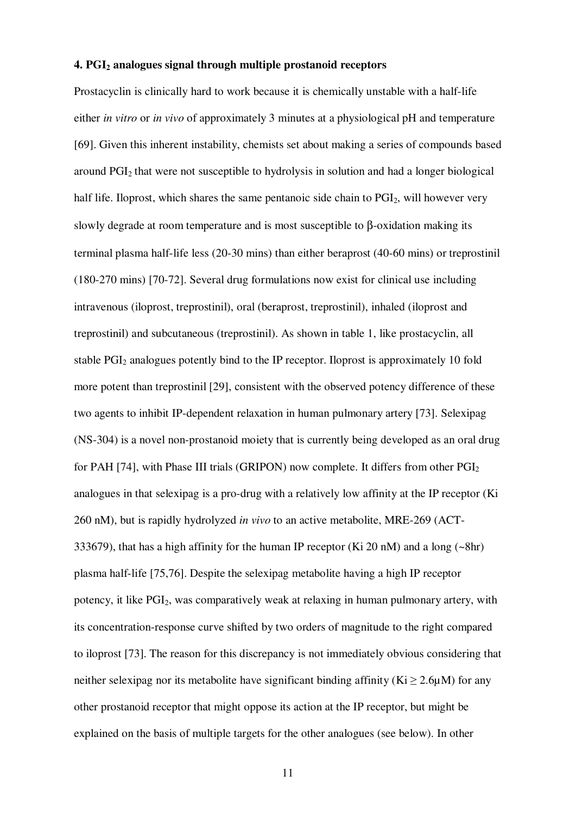#### **4. PGI2 analogues signal through multiple prostanoid receptors**

Prostacyclin is clinically hard to work because it is chemically unstable with a half-life either *in vitro* or *in vivo* of approximately 3 minutes at a physiological pH and temperature [69]. Given this inherent instability, chemists set about making a series of compounds based around PGI2 that were not susceptible to hydrolysis in solution and had a longer biological half life. Iloprost, which shares the same pentanoic side chain to  $PGI<sub>2</sub>$ , will however very slowly degrade at room temperature and is most susceptible to β-oxidation making its terminal plasma half-life less (20-30 mins) than either beraprost (40-60 mins) or treprostinil (180-270 mins) [70-72]. Several drug formulations now exist for clinical use including intravenous (iloprost, treprostinil), oral (beraprost, treprostinil), inhaled (iloprost and treprostinil) and subcutaneous (treprostinil). As shown in table 1, like prostacyclin, all stable PGI2 analogues potently bind to the IP receptor. Iloprost is approximately 10 fold more potent than treprostinil [29], consistent with the observed potency difference of these two agents to inhibit IP-dependent relaxation in human pulmonary artery [73]. Selexipag (NS-304) is a novel non-prostanoid moiety that is currently being developed as an oral drug for PAH [74], with Phase III trials (GRIPON) now complete. It differs from other PGI<sub>2</sub> analogues in that selexipag is a pro-drug with a relatively low affinity at the IP receptor (Ki 260 nM), but is rapidly hydrolyzed *in vivo* to an active metabolite, MRE-269 (ACT-333679), that has a high affinity for the human IP receptor (Ki 20 nM) and a long  $(\sim 8hr)$ plasma half-life [75,76]. Despite the selexipag metabolite having a high IP receptor potency, it like PGI2, was comparatively weak at relaxing in human pulmonary artery, with its concentration-response curve shifted by two orders of magnitude to the right compared to iloprost [73]. The reason for this discrepancy is not immediately obvious considering that neither selexipag nor its metabolite have significant binding affinity ( $Ki \ge 2.6µM$ ) for any other prostanoid receptor that might oppose its action at the IP receptor, but might be explained on the basis of multiple targets for the other analogues (see below). In other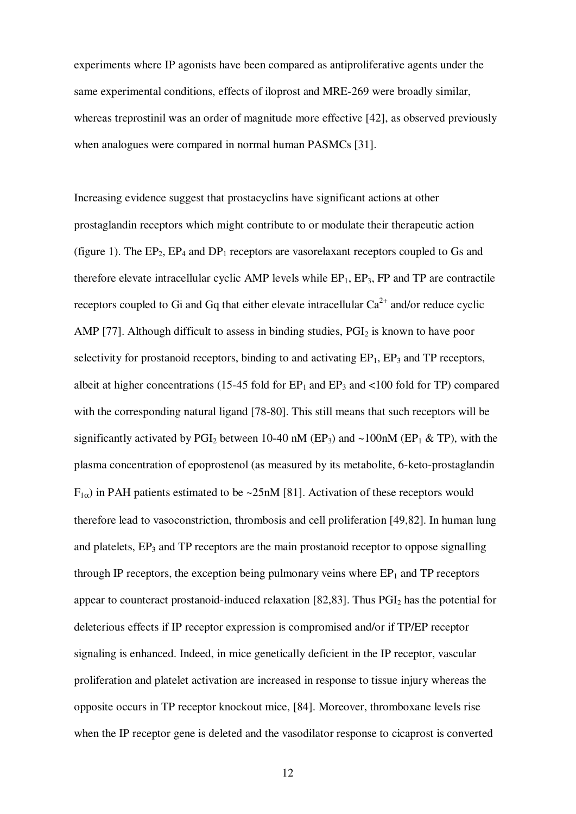experiments where IP agonists have been compared as antiproliferative agents under the same experimental conditions, effects of iloprost and MRE-269 were broadly similar, whereas treprostinil was an order of magnitude more effective [42], as observed previously when analogues were compared in normal human PASMCs [31].

Increasing evidence suggest that prostacyclins have significant actions at other prostaglandin receptors which might contribute to or modulate their therapeutic action (figure 1). The  $EP_2$ ,  $EP_4$  and  $DP_1$  receptors are vasorelaxant receptors coupled to Gs and therefore elevate intracellular cyclic AMP levels while  $EP_1$ ,  $EP_3$ ,  $FP$  and  $TP$  are contractile receptors coupled to Gi and Gq that either elevate intracellular  $Ca^{2+}$  and/or reduce cyclic AMP [77]. Although difficult to assess in binding studies,  $PGI<sub>2</sub>$  is known to have poor selectivity for prostanoid receptors, binding to and activating  $EP_1$ ,  $EP_3$  and TP receptors, albeit at higher concentrations (15-45 fold for  $EP_1$  and  $EP_3$  and  $\langle 100 \text{ fold for TP} \rangle$  compared with the corresponding natural ligand [78-80]. This still means that such receptors will be significantly activated by PGI<sub>2</sub> between 10-40 nM (EP<sub>3</sub>) and  $\sim$ 100 nM (EP<sub>1</sub> & TP), with the plasma concentration of epoprostenol (as measured by its metabolite, 6-keto-prostaglandin  $F_{1\alpha}$ ) in PAH patients estimated to be ~25nM [81]. Activation of these receptors would therefore lead to vasoconstriction, thrombosis and cell proliferation [49,82]. In human lung and platelets,  $EP_3$  and TP receptors are the main prostanoid receptor to oppose signalling through IP receptors, the exception being pulmonary veins where  $EP_1$  and  $TP$  receptors appear to counteract prostanoid-induced relaxation [82,83]. Thus  $PGI<sub>2</sub>$  has the potential for deleterious effects if IP receptor expression is compromised and/or if TP/EP receptor signaling is enhanced. Indeed, in mice genetically deficient in the IP receptor, vascular proliferation and platelet activation are increased in response to tissue injury whereas the opposite occurs in TP receptor knockout mice, [84]. Moreover, thromboxane levels rise when the IP receptor gene is deleted and the vasodilator response to cicaprost is converted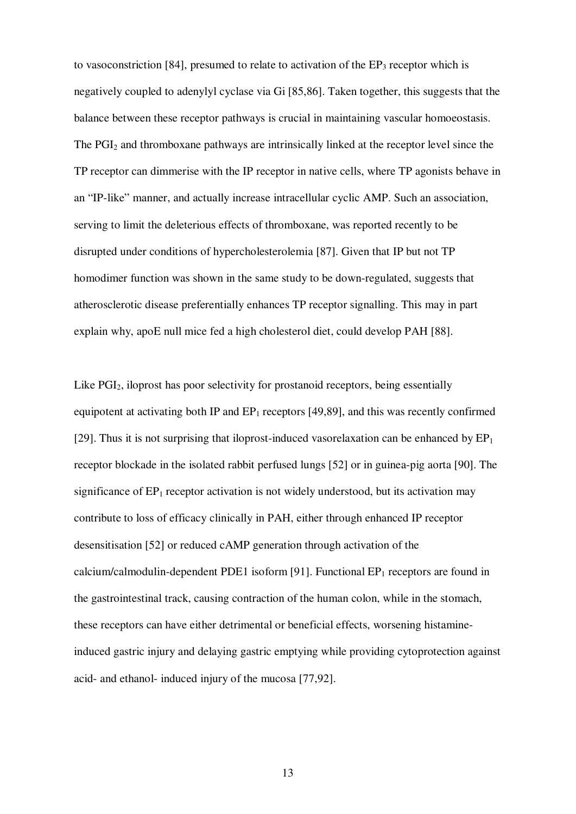to vasoconstriction [84], presumed to relate to activation of the  $EP_3$  receptor which is negatively coupled to adenylyl cyclase via Gi [85,86]. Taken together, this suggests that the balance between these receptor pathways is crucial in maintaining vascular homoeostasis. The PGI<sub>2</sub> and thromboxane pathways are intrinsically linked at the receptor level since the TP receptor can dimmerise with the IP receptor in native cells, where TP agonists behave in an "IP-like" manner, and actually increase intracellular cyclic AMP. Such an association, serving to limit the deleterious effects of thromboxane, was reported recently to be disrupted under conditions of hypercholesterolemia [87]. Given that IP but not TP homodimer function was shown in the same study to be down-regulated, suggests that atherosclerotic disease preferentially enhances TP receptor signalling. This may in part explain why, apoE null mice fed a high cholesterol diet, could develop PAH [88].

Like PGI2, iloprost has poor selectivity for prostanoid receptors, being essentially equipotent at activating both IP and  $EP_1$  receptors [49,89], and this was recently confirmed [29]. Thus it is not surprising that iloprost-induced vasorelaxation can be enhanced by  $EP_1$ receptor blockade in the isolated rabbit perfused lungs [52] or in guinea-pig aorta [90]. The significance of  $EP_1$  receptor activation is not widely understood, but its activation may contribute to loss of efficacy clinically in PAH, either through enhanced IP receptor desensitisation [52] or reduced cAMP generation through activation of the calcium/calmodulin-dependent PDE1 isoform [91]. Functional  $EP_1$  receptors are found in the gastrointestinal track, causing contraction of the human colon, while in the stomach, these receptors can have either detrimental or beneficial effects, worsening histamineinduced gastric injury and delaying gastric emptying while providing cytoprotection against acid- and ethanol- induced injury of the mucosa [77,92].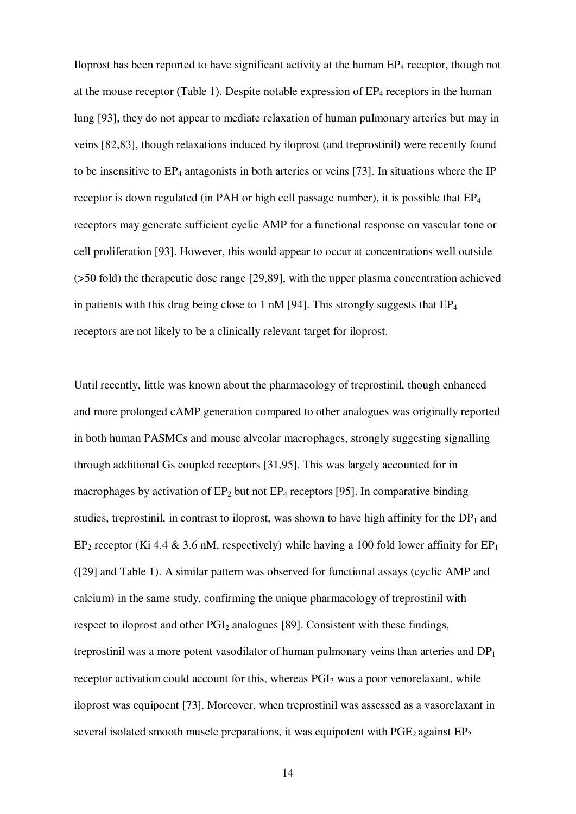Iloprost has been reported to have significant activity at the human  $EP_4$  receptor, though not at the mouse receptor (Table 1). Despite notable expression of  $EP_4$  receptors in the human lung [93], they do not appear to mediate relaxation of human pulmonary arteries but may in veins [82,83], though relaxations induced by iloprost (and treprostinil) were recently found to be insensitive to  $EP_4$  antagonists in both arteries or veins [73]. In situations where the IP receptor is down regulated (in PAH or high cell passage number), it is possible that  $EP_4$ receptors may generate sufficient cyclic AMP for a functional response on vascular tone or cell proliferation [93]. However, this would appear to occur at concentrations well outside (>50 fold) the therapeutic dose range [29,89], with the upper plasma concentration achieved in patients with this drug being close to 1 nM [94]. This strongly suggests that  $EP_4$ receptors are not likely to be a clinically relevant target for iloprost.

Until recently, little was known about the pharmacology of treprostinil, though enhanced and more prolonged cAMP generation compared to other analogues was originally reported in both human PASMCs and mouse alveolar macrophages, strongly suggesting signalling through additional Gs coupled receptors [31,95]. This was largely accounted for in macrophages by activation of  $EP_2$  but not  $EP_4$  receptors [95]. In comparative binding studies, treprostinil, in contrast to iloprost, was shown to have high affinity for the  $DP_1$  and EP<sub>2</sub> receptor (Ki 4.4 & 3.6 nM, respectively) while having a 100 fold lower affinity for EP<sub>1</sub> ([29] and Table 1). A similar pattern was observed for functional assays (cyclic AMP and calcium) in the same study, confirming the unique pharmacology of treprostinil with respect to iloprost and other  $PGI<sub>2</sub>$  analogues [89]. Consistent with these findings, treprostinil was a more potent vasodilator of human pulmonary veins than arteries and  $DP_1$ receptor activation could account for this, whereas  $PGI<sub>2</sub>$  was a poor venorelaxant, while iloprost was equipoent [73]. Moreover, when treprostinil was assessed as a vasorelaxant in several isolated smooth muscle preparations, it was equipotent with  $PGE<sub>2</sub>$  against  $EP<sub>2</sub>$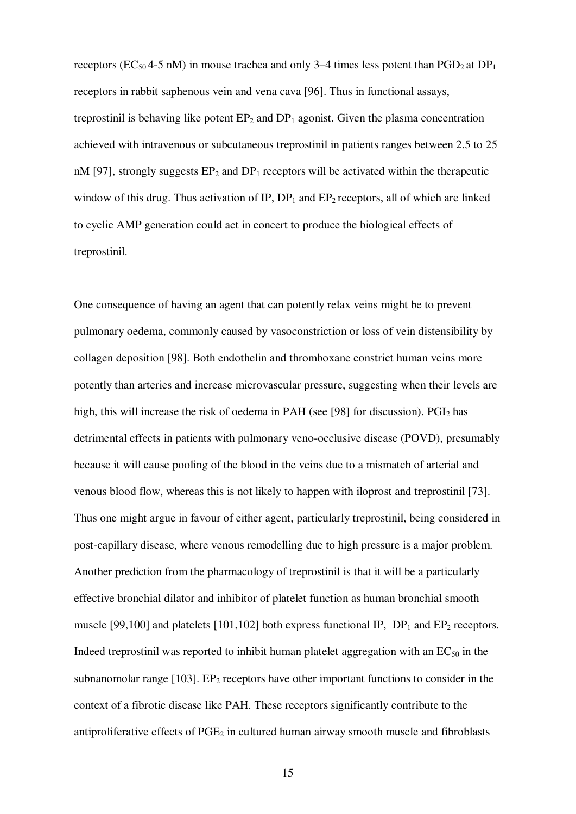receptors (EC<sub>50</sub> 4-5 nM) in mouse trachea and only 3-4 times less potent than PGD<sub>2</sub> at DP<sub>1</sub> receptors in rabbit saphenous vein and vena cava [96]. Thus in functional assays, treprostinil is behaving like potent  $EP_2$  and  $DP_1$  agonist. Given the plasma concentration achieved with intravenous or subcutaneous treprostinil in patients ranges between 2.5 to 25 nM [97], strongly suggests  $EP_2$  and  $DP_1$  receptors will be activated within the therapeutic window of this drug. Thus activation of IP,  $DP_1$  and  $EP_2$  receptors, all of which are linked to cyclic AMP generation could act in concert to produce the biological effects of treprostinil.

One consequence of having an agent that can potently relax veins might be to prevent pulmonary oedema, commonly caused by vasoconstriction or loss of vein distensibility by collagen deposition [98]. Both endothelin and thromboxane constrict human veins more potently than arteries and increase microvascular pressure, suggesting when their levels are high, this will increase the risk of oedema in PAH (see [98] for discussion).  $PGI<sub>2</sub>$  has detrimental effects in patients with pulmonary veno-occlusive disease (POVD), presumably because it will cause pooling of the blood in the veins due to a mismatch of arterial and venous blood flow, whereas this is not likely to happen with iloprost and treprostinil [73]. Thus one might argue in favour of either agent, particularly treprostinil, being considered in post-capillary disease, where venous remodelling due to high pressure is a major problem. Another prediction from the pharmacology of treprostinil is that it will be a particularly effective bronchial dilator and inhibitor of platelet function as human bronchial smooth muscle [99,100] and platelets [101,102] both express functional IP,  $DP_1$  and  $EP_2$  receptors. Indeed treprostinil was reported to inhibit human platelet aggregation with an  $EC_{50}$  in the subnanomolar range  $[103]$ . EP<sub>2</sub> receptors have other important functions to consider in the context of a fibrotic disease like PAH. These receptors significantly contribute to the antiproliferative effects of  $PGE_2$  in cultured human airway smooth muscle and fibroblasts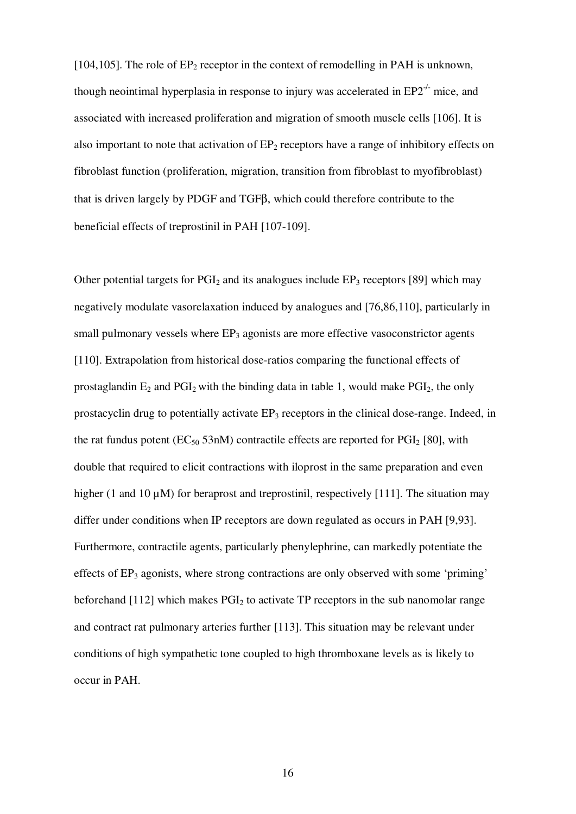[104,105]. The role of  $EP_2$  receptor in the context of remodelling in PAH is unknown, though neointimal hyperplasia in response to injury was accelerated in  $EP2^{-/-}$  mice, and associated with increased proliferation and migration of smooth muscle cells [106]. It is also important to note that activation of  $EP_2$  receptors have a range of inhibitory effects on fibroblast function (proliferation, migration, transition from fibroblast to myofibroblast) that is driven largely by PDGF and TGFβ, which could therefore contribute to the beneficial effects of treprostinil in PAH [107-109].

Other potential targets for  $PGI<sub>2</sub>$  and its analogues include  $EP<sub>3</sub>$  receptors [89] which may negatively modulate vasorelaxation induced by analogues and [76,86,110], particularly in small pulmonary vessels where  $EP_3$  agonists are more effective vasoconstrictor agents [110]. Extrapolation from historical dose-ratios comparing the functional effects of prostaglandin  $E_2$  and  $PGI_2$  with the binding data in table 1, would make  $PGI_2$ , the only prostacyclin drug to potentially activate EP<sub>3</sub> receptors in the clinical dose-range. Indeed, in the rat fundus potent ( $EC_{50}$  53nM) contractile effects are reported for  $PGI_2$  [80], with double that required to elicit contractions with iloprost in the same preparation and even higher (1 and 10  $\mu$ M) for beraprost and treprostinil, respectively [111]. The situation may differ under conditions when IP receptors are down regulated as occurs in PAH [9,93]. Furthermore, contractile agents, particularly phenylephrine, can markedly potentiate the effects of EP<sub>3</sub> agonists, where strong contractions are only observed with some 'priming' beforehand  $[112]$  which makes  $PGL<sub>2</sub>$  to activate TP receptors in the sub nanomolar range and contract rat pulmonary arteries further [113]. This situation may be relevant under conditions of high sympathetic tone coupled to high thromboxane levels as is likely to occur in PAH.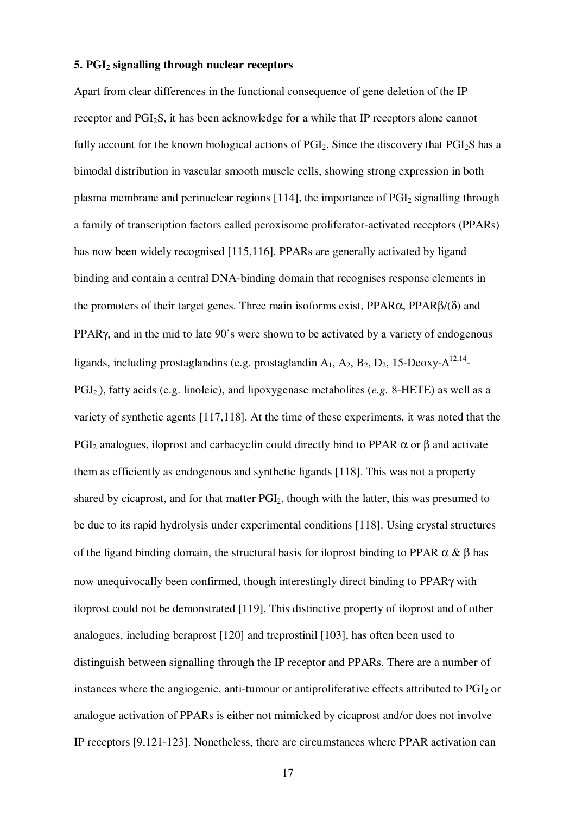#### **5. PGI2 signalling through nuclear receptors**

Apart from clear differences in the functional consequence of gene deletion of the IP receptor and PGI2S, it has been acknowledge for a while that IP receptors alone cannot fully account for the known biological actions of  $PGI<sub>2</sub>$ . Since the discovery that  $PGI<sub>2</sub>S$  has a bimodal distribution in vascular smooth muscle cells, showing strong expression in both plasma membrane and perinuclear regions  $[114]$ , the importance of  $PGI<sub>2</sub>$  signalling through a family of transcription factors called peroxisome proliferator-activated receptors (PPARs) has now been widely recognised [115,116]. PPARs are generally activated by ligand binding and contain a central DNA-binding domain that recognises response elements in the promoters of their target genes. Three main isoforms exist,  $PPAR\alpha$ ,  $PPAR\beta/(\delta)$  and PPARγ, and in the mid to late 90's were shown to be activated by a variety of endogenous ligands, including prostaglandins (e.g. prostaglandin A<sub>1</sub>, A<sub>2</sub>, B<sub>2</sub>, D<sub>2</sub>, 15-Deoxy- $\Delta^{12,14}$ -PGJ2,), fatty acids (e.g. linoleic), and lipoxygenase metabolites (*e.g.* 8-HETE) as well as a variety of synthetic agents [117,118]. At the time of these experiments, it was noted that the PGI<sub>2</sub> analogues, iloprost and carbacyclin could directly bind to PPAR  $\alpha$  or β and activate them as efficiently as endogenous and synthetic ligands [118]. This was not a property shared by cicaprost, and for that matter PGI2, though with the latter, this was presumed to be due to its rapid hydrolysis under experimental conditions [118]. Using crystal structures of the ligand binding domain, the structural basis for iloprost binding to PPAR  $\alpha \& \beta$  has now unequivocally been confirmed, though interestingly direct binding to PPARγ with iloprost could not be demonstrated [119]. This distinctive property of iloprost and of other analogues, including beraprost [120] and treprostinil [103], has often been used to distinguish between signalling through the IP receptor and PPARs. There are a number of instances where the angiogenic, anti-tumour or antiproliferative effects attributed to  $PGI<sub>2</sub>$  or analogue activation of PPARs is either not mimicked by cicaprost and/or does not involve IP receptors [9,121-123]. Nonetheless, there are circumstances where PPAR activation can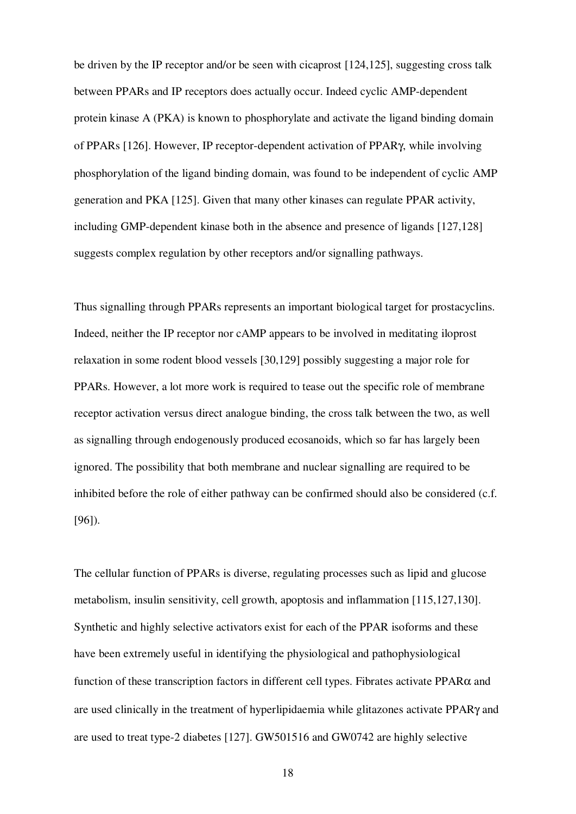be driven by the IP receptor and/or be seen with cicaprost [124,125], suggesting cross talk between PPARs and IP receptors does actually occur. Indeed cyclic AMP-dependent protein kinase A (PKA) is known to phosphorylate and activate the ligand binding domain of PPARs [126]. However, IP receptor-dependent activation of PPARγ, while involving phosphorylation of the ligand binding domain, was found to be independent of cyclic AMP generation and PKA [125]. Given that many other kinases can regulate PPAR activity, including GMP-dependent kinase both in the absence and presence of ligands [127,128] suggests complex regulation by other receptors and/or signalling pathways.

Thus signalling through PPARs represents an important biological target for prostacyclins. Indeed, neither the IP receptor nor cAMP appears to be involved in meditating iloprost relaxation in some rodent blood vessels [30,129] possibly suggesting a major role for PPARs. However, a lot more work is required to tease out the specific role of membrane receptor activation versus direct analogue binding, the cross talk between the two, as well as signalling through endogenously produced ecosanoids, which so far has largely been ignored. The possibility that both membrane and nuclear signalling are required to be inhibited before the role of either pathway can be confirmed should also be considered (c.f. [96]).

The cellular function of PPARs is diverse, regulating processes such as lipid and glucose metabolism, insulin sensitivity, cell growth, apoptosis and inflammation [115,127,130]. Synthetic and highly selective activators exist for each of the PPAR isoforms and these have been extremely useful in identifying the physiological and pathophysiological function of these transcription factors in different cell types. Fibrates activate PPARα and are used clinically in the treatment of hyperlipidaemia while glitazones activate PPARγ and are used to treat type-2 diabetes [127]. GW501516 and GW0742 are highly selective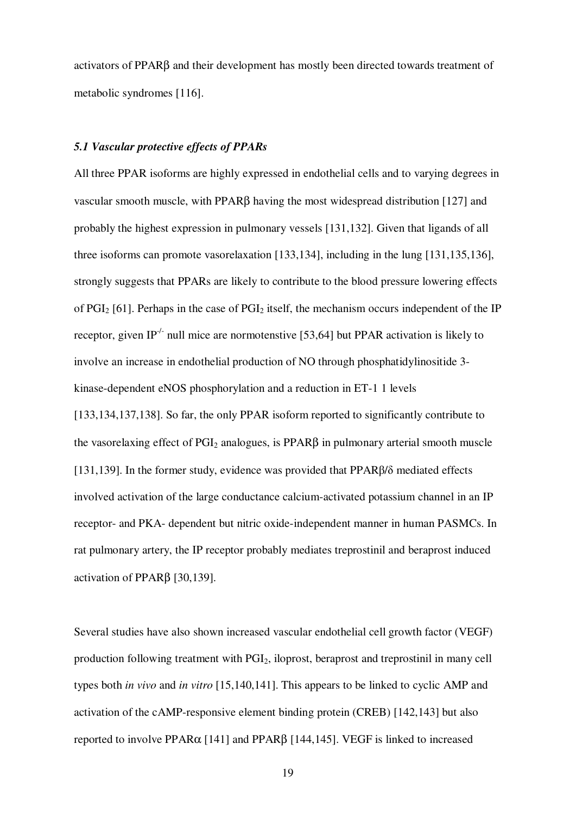activators of PPARβ and their development has mostly been directed towards treatment of metabolic syndromes [116].

## *5.1 Vascular protective effects of PPARs*

All three PPAR isoforms are highly expressed in endothelial cells and to varying degrees in vascular smooth muscle, with PPARβ having the most widespread distribution [127] and probably the highest expression in pulmonary vessels [131,132]. Given that ligands of all three isoforms can promote vasorelaxation [133,134], including in the lung [131,135,136], strongly suggests that PPARs are likely to contribute to the blood pressure lowering effects of PGI<sub>2</sub> [61]. Perhaps in the case of PGI<sub>2</sub> itself, the mechanism occurs independent of the IP receptor, given IP<sup>-/-</sup> null mice are normotenstive [53,64] but PPAR activation is likely to involve an increase in endothelial production of NO through phosphatidylinositide 3 kinase-dependent eNOS phosphorylation and a reduction in ET-1 1 levels [133,134,137,138]. So far, the only PPAR isoform reported to significantly contribute to the vasorelaxing effect of  $PGI_2$  analogues, is  $PPAR\beta$  in pulmonary arterial smooth muscle [131,139]. In the former study, evidence was provided that PPARβ/δ mediated effects involved activation of the large conductance calcium-activated potassium channel in an IP receptor- and PKA- dependent but nitric oxide-independent manner in human PASMCs. In rat pulmonary artery, the IP receptor probably mediates treprostinil and beraprost induced activation of PPARβ [30,139].

Several studies have also shown increased vascular endothelial cell growth factor (VEGF) production following treatment with PGI2, iloprost, beraprost and treprostinil in many cell types both *in vivo* and *in vitro* [15,140,141]. This appears to be linked to cyclic AMP and activation of the cAMP-responsive element binding protein (CREB) [142,143] but also reported to involve PPARα [141] and PPARβ [144,145]. VEGF is linked to increased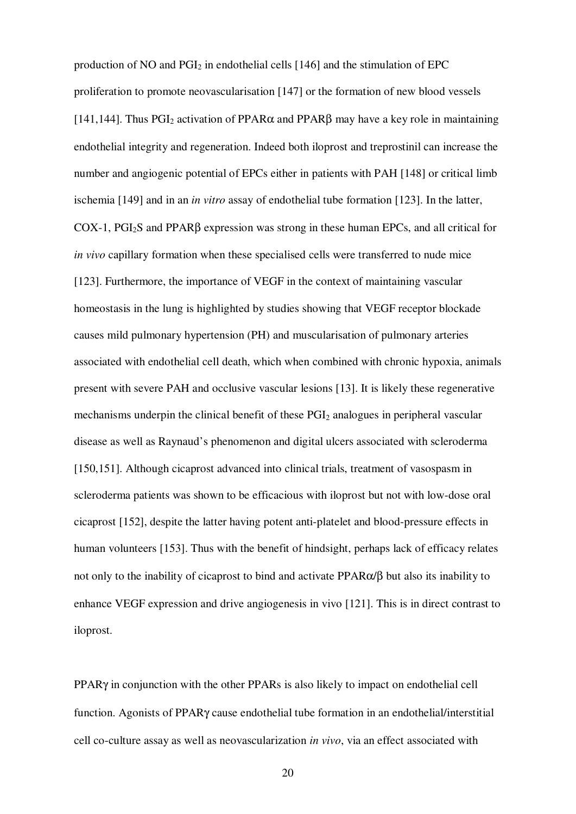production of NO and  $PGI<sub>2</sub>$  in endothelial cells [146] and the stimulation of EPC proliferation to promote neovascularisation [147] or the formation of new blood vessels [141,144]. Thus  $PGI_2$  activation of  $PPAR\alpha$  and  $PPAR\beta$  may have a key role in maintaining endothelial integrity and regeneration. Indeed both iloprost and treprostinil can increase the number and angiogenic potential of EPCs either in patients with PAH [148] or critical limb ischemia [149] and in an *in vitro* assay of endothelial tube formation [123]. In the latter, COX-1, PGI2S and PPARβ expression was strong in these human EPCs, and all critical for *in vivo* capillary formation when these specialised cells were transferred to nude mice [123]. Furthermore, the importance of VEGF in the context of maintaining vascular homeostasis in the lung is highlighted by studies showing that VEGF receptor blockade causes mild pulmonary hypertension (PH) and muscularisation of pulmonary arteries associated with endothelial cell death, which when combined with chronic hypoxia, animals present with severe PAH and occlusive vascular lesions [13]. It is likely these regenerative mechanisms underpin the clinical benefit of these PGI<sub>2</sub> analogues in peripheral vascular disease as well as Raynaud's phenomenon and digital ulcers associated with scleroderma [150,151]. Although cicaprost advanced into clinical trials, treatment of vasospasm in scleroderma patients was shown to be efficacious with iloprost but not with low-dose oral cicaprost [152], despite the latter having potent anti-platelet and blood-pressure effects in human volunteers [153]. Thus with the benefit of hindsight, perhaps lack of efficacy relates not only to the inability of cicaprost to bind and activate PPARα/β but also its inability to enhance VEGF expression and drive angiogenesis in vivo [121]. This is in direct contrast to iloprost.

PPARγ in conjunction with the other PPARs is also likely to impact on endothelial cell function. Agonists of PPARγ cause endothelial tube formation in an endothelial/interstitial cell co-culture assay as well as neovascularization *in vivo*, via an effect associated with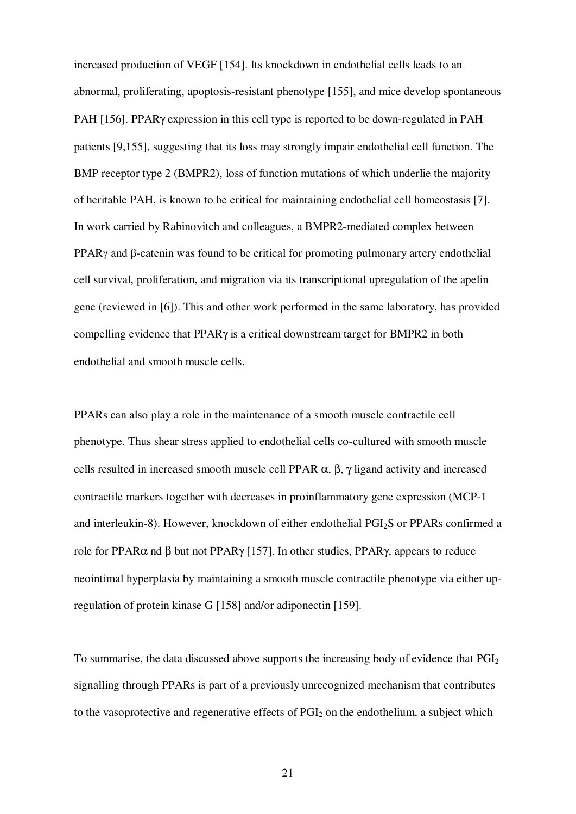increased production of VEGF [154]. Its knockdown in endothelial cells leads to an abnormal, proliferating, apoptosis-resistant phenotype [155], and mice develop spontaneous PAH [156]. PPARγ expression in this cell type is reported to be down-regulated in PAH patients [9,155], suggesting that its loss may strongly impair endothelial cell function. The BMP receptor type 2 (BMPR2), loss of function mutations of which underlie the majority of heritable PAH, is known to be critical for maintaining endothelial cell homeostasis [7]. In work carried by Rabinovitch and colleagues, a BMPR2-mediated complex between PPARγ and β-catenin was found to be critical for promoting pulmonary artery endothelial cell survival, proliferation, and migration via its transcriptional upregulation of the apelin gene (reviewed in [6]). This and other work performed in the same laboratory, has provided compelling evidence that PPARγ is a critical downstream target for BMPR2 in both endothelial and smooth muscle cells.

PPARs can also play a role in the maintenance of a smooth muscle contractile cell phenotype. Thus shear stress applied to endothelial cells co-cultured with smooth muscle cells resulted in increased smooth muscle cell PPAR  $\alpha$ ,  $\beta$ ,  $\gamma$  ligand activity and increased contractile markers together with decreases in proinflammatory gene expression (MCP-1 and interleukin-8). However, knockdown of either endothelial PGI2S or PPARs confirmed a role for PPARα nd β but not PPARγ [157]. In other studies, PPARγ, appears to reduce neointimal hyperplasia by maintaining a smooth muscle contractile phenotype via either upregulation of protein kinase G [158] and/or adiponectin [159].

To summarise, the data discussed above supports the increasing body of evidence that  $PGI<sub>2</sub>$ signalling through PPARs is part of a previously unrecognized mechanism that contributes to the vasoprotective and regenerative effects of  $PGI<sub>2</sub>$  on the endothelium, a subject which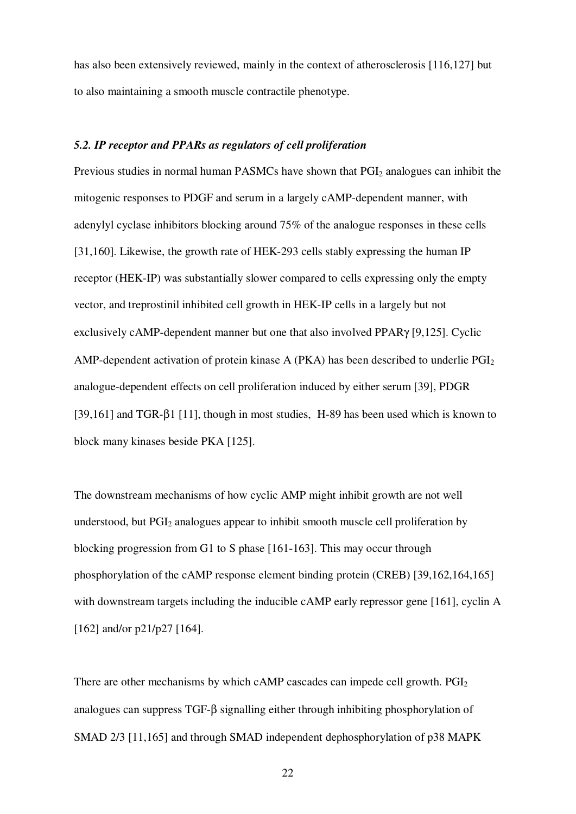has also been extensively reviewed, mainly in the context of atherosclerosis [116,127] but to also maintaining a smooth muscle contractile phenotype.

## *5.2. IP receptor and PPARs as regulators of cell proliferation*

Previous studies in normal human PASMCs have shown that PGI<sub>2</sub> analogues can inhibit the mitogenic responses to PDGF and serum in a largely cAMP-dependent manner, with adenylyl cyclase inhibitors blocking around 75% of the analogue responses in these cells [31,160]. Likewise, the growth rate of HEK-293 cells stably expressing the human IP receptor (HEK-IP) was substantially slower compared to cells expressing only the empty vector, and treprostinil inhibited cell growth in HEK-IP cells in a largely but not exclusively cAMP-dependent manner but one that also involved PPARγ [9,125]. Cyclic AMP-dependent activation of protein kinase A (PKA) has been described to underlie  $PGI<sub>2</sub>$ analogue-dependent effects on cell proliferation induced by either serum [39], PDGR [39,161] and TGR-β1 [11], though in most studies, H-89 has been used which is known to block many kinases beside PKA [125].

The downstream mechanisms of how cyclic AMP might inhibit growth are not well understood, but  $PGI<sub>2</sub>$  analogues appear to inhibit smooth muscle cell proliferation by blocking progression from G1 to S phase [161-163]. This may occur through phosphorylation of the cAMP response element binding protein (CREB) [39,162,164,165] with downstream targets including the inducible cAMP early repressor gene [161], cyclin A [162] and/or p21/p27 [164].

There are other mechanisms by which cAMP cascades can impede cell growth.  $PGI<sub>2</sub>$ analogues can suppress TGF-β signalling either through inhibiting phosphorylation of SMAD 2/3 [11,165] and through SMAD independent dephosphorylation of p38 MAPK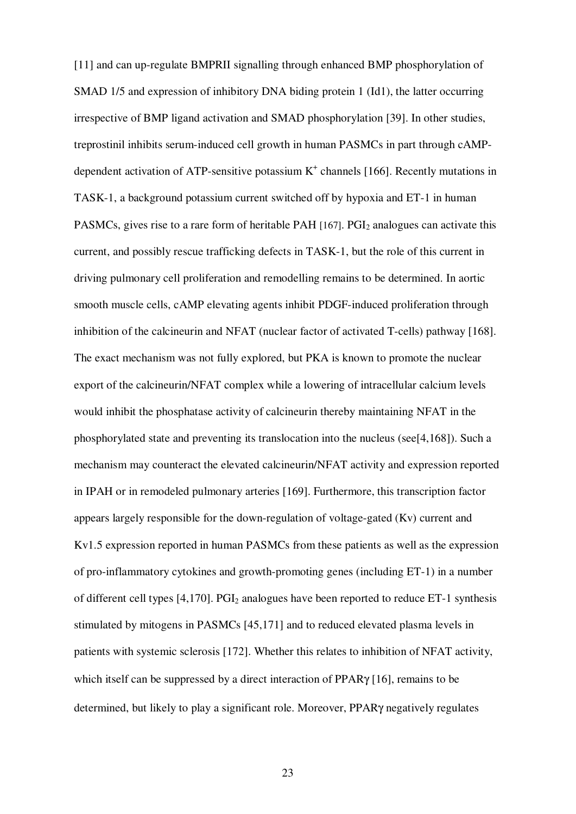[11] and can up-regulate BMPRII signalling through enhanced BMP phosphorylation of SMAD 1/5 and expression of inhibitory DNA biding protein 1 (Id1), the latter occurring irrespective of BMP ligand activation and SMAD phosphorylation [39]. In other studies, treprostinil inhibits serum-induced cell growth in human PASMCs in part through cAMPdependent activation of ATP-sensitive potassium  $K^+$  channels [166]. Recently mutations in TASK-1, a background potassium current switched off by hypoxia and ET-1 in human PASMCs, gives rise to a rare form of heritable PAH [167]. PGI<sub>2</sub> analogues can activate this current, and possibly rescue trafficking defects in TASK-1, but the role of this current in driving pulmonary cell proliferation and remodelling remains to be determined. In aortic smooth muscle cells, cAMP elevating agents inhibit PDGF-induced proliferation through inhibition of the calcineurin and NFAT (nuclear factor of activated T-cells) pathway [168]. The exact mechanism was not fully explored, but PKA is known to promote the nuclear export of the calcineurin/NFAT complex while a lowering of intracellular calcium levels would inhibit the phosphatase activity of calcineurin thereby maintaining NFAT in the phosphorylated state and preventing its translocation into the nucleus (see[4,168]). Such a mechanism may counteract the elevated calcineurin/NFAT activity and expression reported in IPAH or in remodeled pulmonary arteries [169]. Furthermore, this transcription factor appears largely responsible for the down-regulation of voltage-gated (Kv) current and Kv1.5 expression reported in human PASMCs from these patients as well as the expression of pro-inflammatory cytokines and growth-promoting genes (including ET-1) in a number of different cell types  $[4,170]$ . PGI<sub>2</sub> analogues have been reported to reduce ET-1 synthesis stimulated by mitogens in PASMCs [45,171] and to reduced elevated plasma levels in patients with systemic sclerosis [172]. Whether this relates to inhibition of NFAT activity, which itself can be suppressed by a direct interaction of PPARγ [16], remains to be determined, but likely to play a significant role. Moreover, PPARγ negatively regulates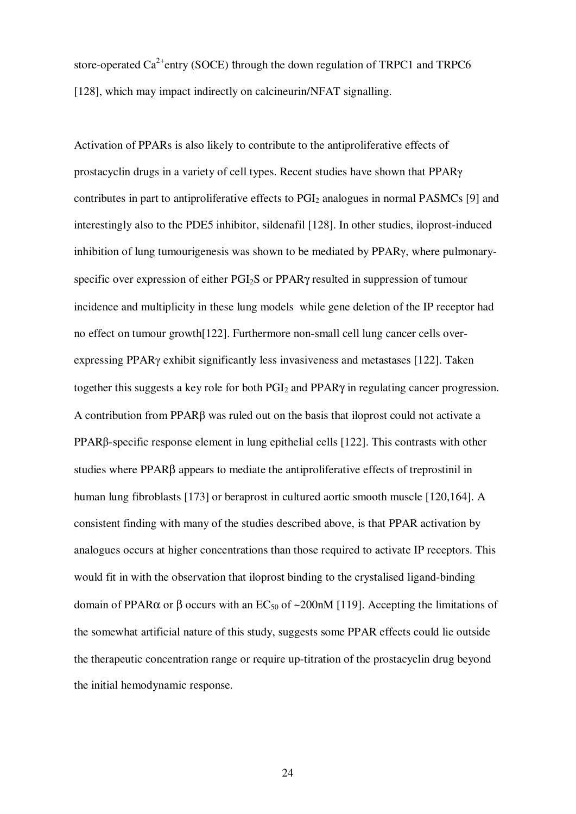store-operated  $Ca^{2+}$ entry (SOCE) through the down regulation of TRPC1 and TRPC6 [128], which may impact indirectly on calcineurin/NFAT signalling.

Activation of PPARs is also likely to contribute to the antiproliferative effects of prostacyclin drugs in a variety of cell types. Recent studies have shown that PPARγ contributes in part to antiproliferative effects to  $PGI<sub>2</sub>$  analogues in normal PASMCs [9] and interestingly also to the PDE5 inhibitor, sildenafil [128]. In other studies, iloprost-induced inhibition of lung tumourigenesis was shown to be mediated by PPARγ, where pulmonaryspecific over expression of either PGI2S or PPARγ resulted in suppression of tumour incidence and multiplicity in these lung models while gene deletion of the IP receptor had no effect on tumour growth[122]. Furthermore non-small cell lung cancer cells overexpressing PPARγ exhibit significantly less invasiveness and metastases [122]. Taken together this suggests a key role for both  $PGI<sub>2</sub>$  and  $PPAR<sub>Y</sub>$  in regulating cancer progression. A contribution from PPARβ was ruled out on the basis that iloprost could not activate a PPARβ-specific response element in lung epithelial cells [122]. This contrasts with other studies where PPARβ appears to mediate the antiproliferative effects of treprostinil in human lung fibroblasts [173] or beraprost in cultured aortic smooth muscle [120,164]. A consistent finding with many of the studies described above, is that PPAR activation by analogues occurs at higher concentrations than those required to activate IP receptors. This would fit in with the observation that iloprost binding to the crystalised ligand-binding domain of PPARα or β occurs with an EC<sub>50</sub> of ~200nM [119]. Accepting the limitations of the somewhat artificial nature of this study, suggests some PPAR effects could lie outside the therapeutic concentration range or require up-titration of the prostacyclin drug beyond the initial hemodynamic response.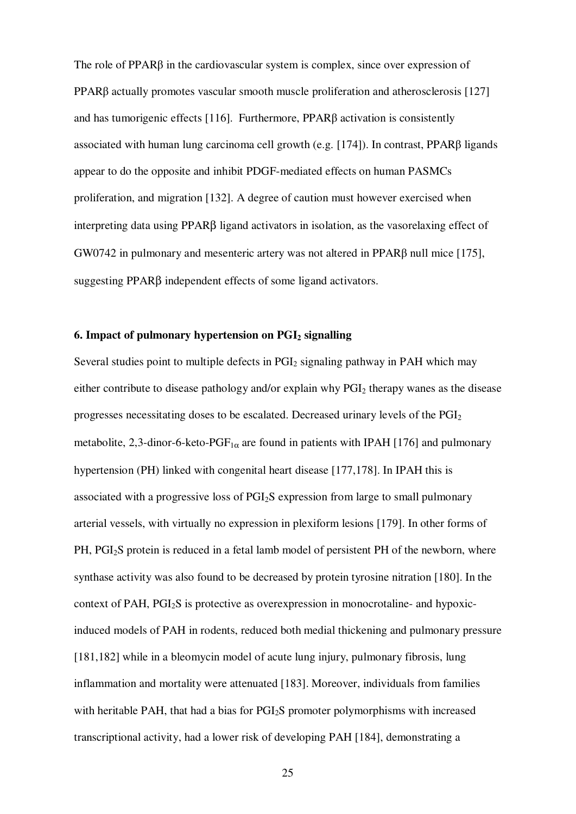The role of PPARβ in the cardiovascular system is complex, since over expression of PPARβ actually promotes vascular smooth muscle proliferation and atherosclerosis [127] and has tumorigenic effects [116]. Furthermore, PPARβ activation is consistently associated with human lung carcinoma cell growth (e.g. [174]). In contrast, PPARβ ligands appear to do the opposite and inhibit PDGF-mediated effects on human PASMCs proliferation, and migration [132]. A degree of caution must however exercised when interpreting data using PPARβ ligand activators in isolation, as the vasorelaxing effect of GW0742 in pulmonary and mesenteric artery was not altered in PPARβ null mice [175], suggesting PPARβ independent effects of some ligand activators.

## **6. Impact of pulmonary hypertension on PGI2 signalling**

Several studies point to multiple defects in  $PGI<sub>2</sub>$  signaling pathway in PAH which may either contribute to disease pathology and/or explain why  $PGI<sub>2</sub>$  therapy wanes as the disease progresses necessitating doses to be escalated. Decreased urinary levels of the PGI<sup>2</sup> metabolite, 2,3-dinor-6-keto-PGF<sub>1 $\alpha$ </sub> are found in patients with IPAH [176] and pulmonary hypertension (PH) linked with congenital heart disease [177,178]. In IPAH this is associated with a progressive loss of PGI2S expression from large to small pulmonary arterial vessels, with virtually no expression in plexiform lesions [179]. In other forms of PH, PGI<sub>2</sub>S protein is reduced in a fetal lamb model of persistent PH of the newborn, where synthase activity was also found to be decreased by protein tyrosine nitration [180]. In the context of PAH, PGI2S is protective as overexpression in monocrotaline- and hypoxicinduced models of PAH in rodents, reduced both medial thickening and pulmonary pressure [181,182] while in a bleomycin model of acute lung injury, pulmonary fibrosis, lung inflammation and mortality were attenuated [183]. Moreover, individuals from families with heritable PAH, that had a bias for PGI<sub>2</sub>S promoter polymorphisms with increased transcriptional activity, had a lower risk of developing PAH [184], demonstrating a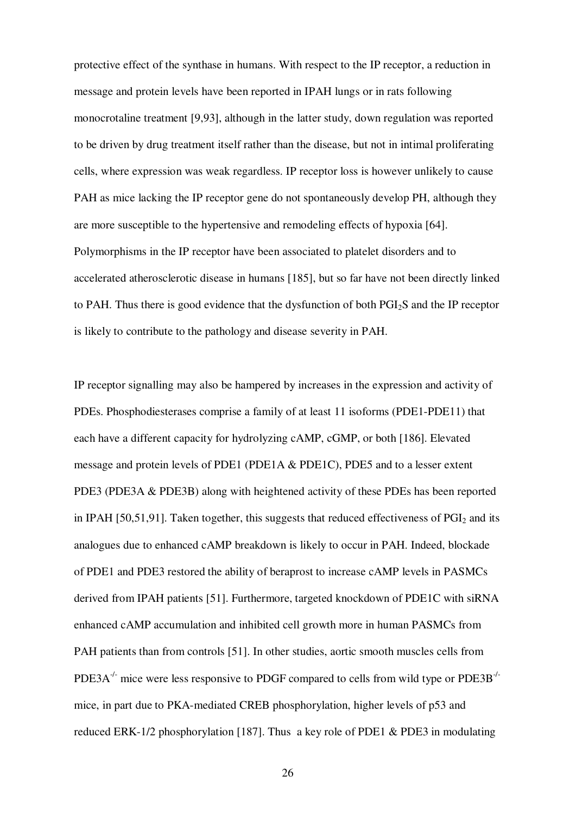protective effect of the synthase in humans. With respect to the IP receptor, a reduction in message and protein levels have been reported in IPAH lungs or in rats following monocrotaline treatment [9,93], although in the latter study, down regulation was reported to be driven by drug treatment itself rather than the disease, but not in intimal proliferating cells, where expression was weak regardless. IP receptor loss is however unlikely to cause PAH as mice lacking the IP receptor gene do not spontaneously develop PH, although they are more susceptible to the hypertensive and remodeling effects of hypoxia [64]. Polymorphisms in the IP receptor have been associated to platelet disorders and to accelerated atherosclerotic disease in humans [185], but so far have not been directly linked to PAH. Thus there is good evidence that the dysfunction of both PGI<sub>2</sub>S and the IP receptor is likely to contribute to the pathology and disease severity in PAH.

IP receptor signalling may also be hampered by increases in the expression and activity of PDEs. Phosphodiesterases comprise a family of at least 11 isoforms (PDE1-PDE11) that each have a different capacity for hydrolyzing cAMP, cGMP, or both [186]. Elevated message and protein levels of PDE1 (PDE1A & PDE1C), PDE5 and to a lesser extent PDE3 (PDE3A & PDE3B) along with heightened activity of these PDEs has been reported in IPAH [50,51,91]. Taken together, this suggests that reduced effectiveness of  $PGI<sub>2</sub>$  and its analogues due to enhanced cAMP breakdown is likely to occur in PAH. Indeed, blockade of PDE1 and PDE3 restored the ability of beraprost to increase cAMP levels in PASMCs derived from IPAH patients [51]. Furthermore, targeted knockdown of PDE1C with siRNA enhanced cAMP accumulation and inhibited cell growth more in human PASMCs from PAH patients than from controls [51]. In other studies, aortic smooth muscles cells from PDE3A<sup>-/-</sup> mice were less responsive to PDGF compared to cells from wild type or PDE3B<sup>-/-</sup> mice, in part due to PKA-mediated CREB phosphorylation, higher levels of p53 and reduced ERK-1/2 phosphorylation [187]. Thus a key role of PDE1 & PDE3 in modulating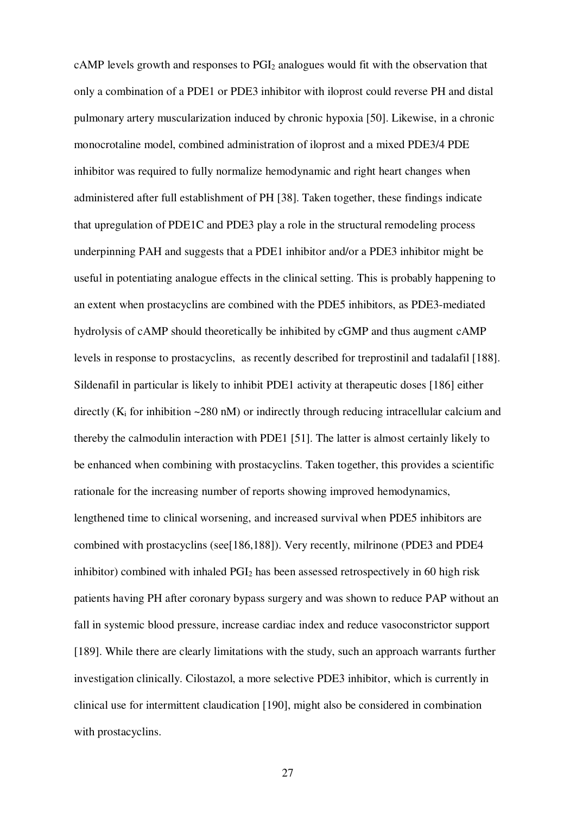cAMP levels growth and responses to PGI2 analogues would fit with the observation that only a combination of a PDE1 or PDE3 inhibitor with iloprost could reverse PH and distal pulmonary artery muscularization induced by chronic hypoxia [50]. Likewise, in a chronic monocrotaline model, combined administration of iloprost and a mixed PDE3/4 PDE inhibitor was required to fully normalize hemodynamic and right heart changes when administered after full establishment of PH [38]. Taken together, these findings indicate that upregulation of PDE1C and PDE3 play a role in the structural remodeling process underpinning PAH and suggests that a PDE1 inhibitor and/or a PDE3 inhibitor might be useful in potentiating analogue effects in the clinical setting. This is probably happening to an extent when prostacyclins are combined with the PDE5 inhibitors, as PDE3-mediated hydrolysis of cAMP should theoretically be inhibited by cGMP and thus augment cAMP levels in response to prostacyclins, as recently described for treprostinil and tadalafil [188]. Sildenafil in particular is likely to inhibit PDE1 activity at therapeutic doses [186] either directly ( $K_i$  for inhibition ~280 nM) or indirectly through reducing intracellular calcium and thereby the calmodulin interaction with PDE1 [51]. The latter is almost certainly likely to be enhanced when combining with prostacyclins. Taken together, this provides a scientific rationale for the increasing number of reports showing improved hemodynamics, lengthened time to clinical worsening, and increased survival when PDE5 inhibitors are combined with prostacyclins (see[186,188]). Very recently, milrinone (PDE3 and PDE4 inhibitor) combined with inhaled  $PGI<sub>2</sub>$  has been assessed retrospectively in 60 high risk patients having PH after coronary bypass surgery and was shown to reduce PAP without an fall in systemic blood pressure, increase cardiac index and reduce vasoconstrictor support [189]. While there are clearly limitations with the study, such an approach warrants further investigation clinically. Cilostazol, a more selective PDE3 inhibitor, which is currently in clinical use for intermittent claudication [190], might also be considered in combination with prostacyclins.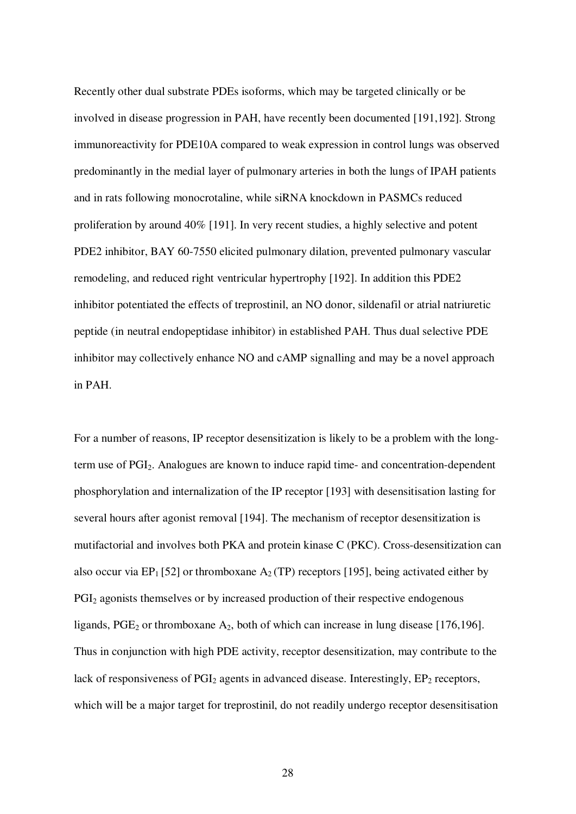Recently other dual substrate PDEs isoforms, which may be targeted clinically or be involved in disease progression in PAH, have recently been documented [191,192]. Strong immunoreactivity for PDE10A compared to weak expression in control lungs was observed predominantly in the medial layer of pulmonary arteries in both the lungs of IPAH patients and in rats following monocrotaline, while siRNA knockdown in PASMCs reduced proliferation by around 40% [191]. In very recent studies, a highly selective and potent PDE2 inhibitor, BAY 60-7550 elicited pulmonary dilation, prevented pulmonary vascular remodeling, and reduced right ventricular hypertrophy [192]. In addition this PDE2 inhibitor potentiated the effects of treprostinil, an NO donor, sildenafil or atrial natriuretic peptide (in neutral endopeptidase inhibitor) in established PAH. Thus dual selective PDE inhibitor may collectively enhance NO and cAMP signalling and may be a novel approach in PAH.

For a number of reasons, IP receptor desensitization is likely to be a problem with the longterm use of PGI2. Analogues are known to induce rapid time- and concentration-dependent phosphorylation and internalization of the IP receptor [193] with desensitisation lasting for several hours after agonist removal [194]. The mechanism of receptor desensitization is mutifactorial and involves both PKA and protein kinase C (PKC). Cross-desensitization can also occur via EP<sub>1</sub> [52] or thromboxane  $A_2$  (TP) receptors [195], being activated either by PGI<sub>2</sub> agonists themselves or by increased production of their respective endogenous ligands,  $PGE_2$  or thromboxane  $A_2$ , both of which can increase in lung disease [176,196]. Thus in conjunction with high PDE activity, receptor desensitization, may contribute to the lack of responsiveness of  $PGI<sub>2</sub>$  agents in advanced disease. Interestingly,  $EP<sub>2</sub>$  receptors, which will be a major target for treprostinil, do not readily undergo receptor desensitisation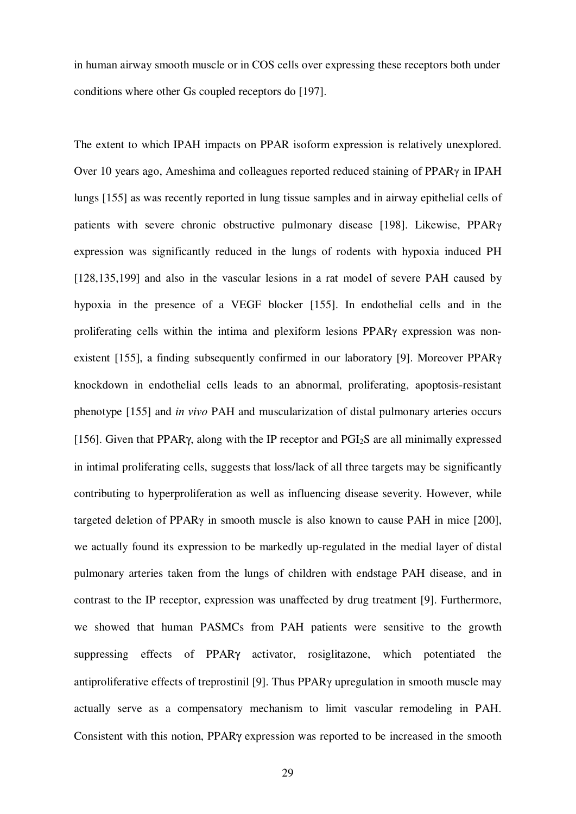in human airway smooth muscle or in COS cells over expressing these receptors both under conditions where other Gs coupled receptors do [197].

The extent to which IPAH impacts on PPAR isoform expression is relatively unexplored. Over 10 years ago, Ameshima and colleagues reported reduced staining of PPARγ in IPAH lungs [155] as was recently reported in lung tissue samples and in airway epithelial cells of patients with severe chronic obstructive pulmonary disease [198]. Likewise, PPARγ expression was significantly reduced in the lungs of rodents with hypoxia induced PH [128,135,199] and also in the vascular lesions in a rat model of severe PAH caused by hypoxia in the presence of a VEGF blocker [155]. In endothelial cells and in the proliferating cells within the intima and plexiform lesions PPARγ expression was nonexistent [155], a finding subsequently confirmed in our laboratory [9]. Moreover PPARγ knockdown in endothelial cells leads to an abnormal, proliferating, apoptosis-resistant phenotype [155] and *in vivo* PAH and muscularization of distal pulmonary arteries occurs [156]. Given that PPAR<sub>Y</sub>, along with the IP receptor and PGI<sub>2</sub>S are all minimally expressed in intimal proliferating cells, suggests that loss/lack of all three targets may be significantly contributing to hyperproliferation as well as influencing disease severity. However, while targeted deletion of PPARγ in smooth muscle is also known to cause PAH in mice [200], we actually found its expression to be markedly up-regulated in the medial layer of distal pulmonary arteries taken from the lungs of children with endstage PAH disease, and in contrast to the IP receptor, expression was unaffected by drug treatment [9]. Furthermore, we showed that human PASMCs from PAH patients were sensitive to the growth suppressing effects of PPARγ activator, rosiglitazone, which potentiated the antiproliferative effects of treprostinil [9]. Thus PPARγ upregulation in smooth muscle may actually serve as a compensatory mechanism to limit vascular remodeling in PAH. Consistent with this notion, PPARγ expression was reported to be increased in the smooth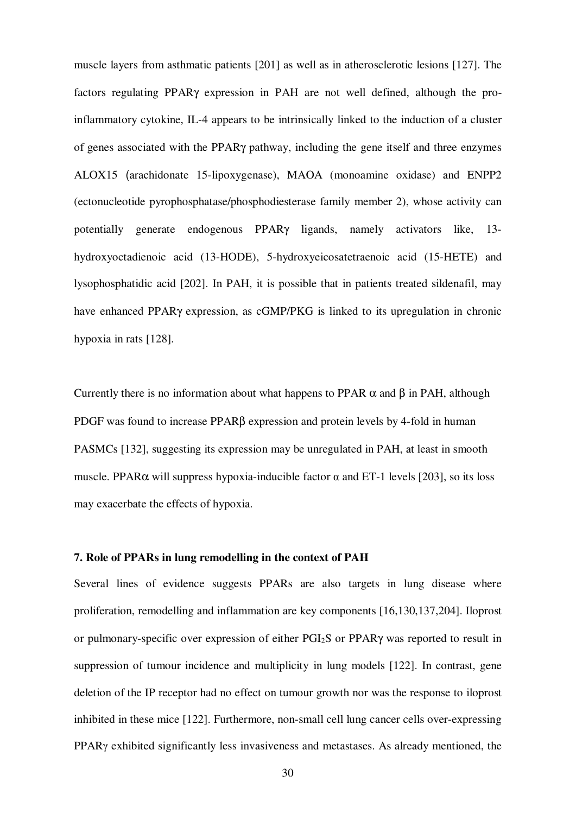muscle layers from asthmatic patients [201] as well as in atherosclerotic lesions [127]. The factors regulating PPARγ expression in PAH are not well defined, although the proinflammatory cytokine, IL-4 appears to be intrinsically linked to the induction of a cluster of genes associated with the PPARγ pathway, including the gene itself and three enzymes ALOX15 (arachidonate 15-lipoxygenase), MAOA (monoamine oxidase) and ENPP2 (ectonucleotide pyrophosphatase/phosphodiesterase family member 2), whose activity can potentially generate endogenous PPARγ ligands, namely activators like, 13 hydroxyoctadienoic acid (13-HODE), 5-hydroxyeicosatetraenoic acid (15-HETE) and lysophosphatidic acid [202]. In PAH, it is possible that in patients treated sildenafil, may have enhanced PPARγ expression, as cGMP/PKG is linked to its upregulation in chronic hypoxia in rats [128].

Currently there is no information about what happens to PPAR  $\alpha$  and  $\beta$  in PAH, although PDGF was found to increase PPARβ expression and protein levels by 4-fold in human PASMCs [132], suggesting its expression may be unregulated in PAH, at least in smooth muscle. PPARα will suppress hypoxia-inducible factor α and ET-1 levels [203], so its loss may exacerbate the effects of hypoxia.

## **7. Role of PPARs in lung remodelling in the context of PAH**

Several lines of evidence suggests PPARs are also targets in lung disease where proliferation, remodelling and inflammation are key components [16,130,137,204]. Iloprost or pulmonary-specific over expression of either PGI2S or PPARγ was reported to result in suppression of tumour incidence and multiplicity in lung models [122]. In contrast, gene deletion of the IP receptor had no effect on tumour growth nor was the response to iloprost inhibited in these mice [122]. Furthermore, non-small cell lung cancer cells over-expressing PPARγ exhibited significantly less invasiveness and metastases. As already mentioned, the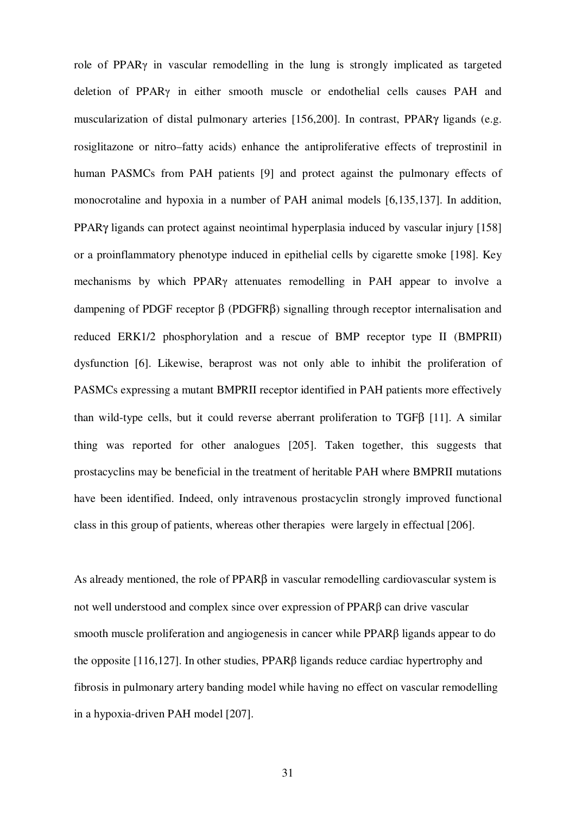role of PPARγ in vascular remodelling in the lung is strongly implicated as targeted deletion of PPARγ in either smooth muscle or endothelial cells causes PAH and muscularization of distal pulmonary arteries [156,200]. In contrast, PPARγ ligands (e.g. rosiglitazone or nitro–fatty acids) enhance the antiproliferative effects of treprostinil in human PASMCs from PAH patients [9] and protect against the pulmonary effects of monocrotaline and hypoxia in a number of PAH animal models [6,135,137]. In addition, PPARγ ligands can protect against neointimal hyperplasia induced by vascular injury [158] or a proinflammatory phenotype induced in epithelial cells by cigarette smoke [198]. Key mechanisms by which PPARγ attenuates remodelling in PAH appear to involve a dampening of PDGF receptor β (PDGFRβ) signalling through receptor internalisation and reduced ERK1/2 phosphorylation and a rescue of BMP receptor type II (BMPRII) dysfunction [6]. Likewise, beraprost was not only able to inhibit the proliferation of PASMCs expressing a mutant BMPRII receptor identified in PAH patients more effectively than wild-type cells, but it could reverse aberrant proliferation to TGFβ [11]. A similar thing was reported for other analogues [205]. Taken together, this suggests that prostacyclins may be beneficial in the treatment of heritable PAH where BMPRII mutations have been identified. Indeed, only intravenous prostacyclin strongly improved functional class in this group of patients, whereas other therapies were largely in effectual [206].

As already mentioned, the role of  $PPAR\beta$  in vascular remodelling cardiovascular system is not well understood and complex since over expression of PPARβ can drive vascular smooth muscle proliferation and angiogenesis in cancer while PPARβ ligands appear to do the opposite [116,127]. In other studies, PPARβ ligands reduce cardiac hypertrophy and fibrosis in pulmonary artery banding model while having no effect on vascular remodelling in a hypoxia-driven PAH model [207].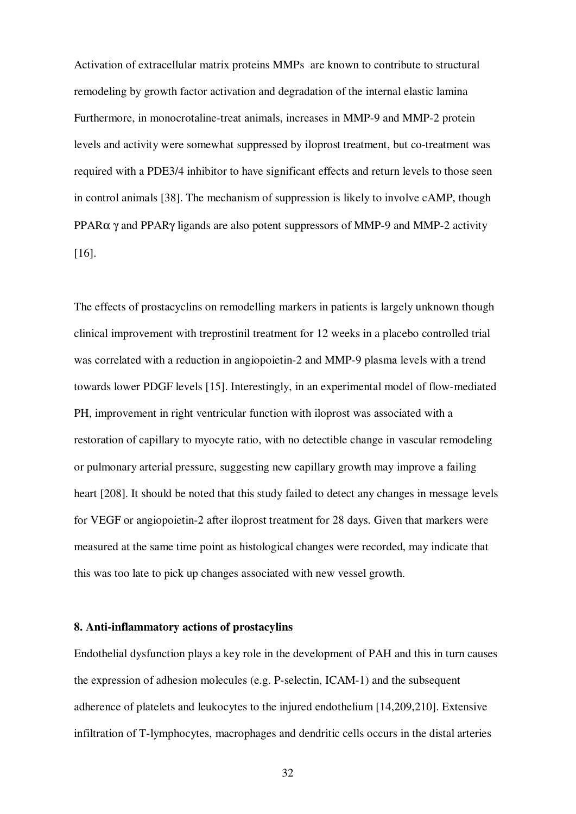Activation of extracellular matrix proteins MMPs are known to contribute to structural remodeling by growth factor activation and degradation of the internal elastic lamina Furthermore, in monocrotaline-treat animals, increases in MMP-9 and MMP-2 protein levels and activity were somewhat suppressed by iloprost treatment, but co-treatment was required with a PDE3/4 inhibitor to have significant effects and return levels to those seen in control animals [38]. The mechanism of suppression is likely to involve cAMP, though PPARα γ and PPARγ ligands are also potent suppressors of MMP-9 and MMP-2 activity [16].

The effects of prostacyclins on remodelling markers in patients is largely unknown though clinical improvement with treprostinil treatment for 12 weeks in a placebo controlled trial was correlated with a reduction in angiopoietin-2 and MMP-9 plasma levels with a trend towards lower PDGF levels [15]. Interestingly, in an experimental model of flow-mediated PH, improvement in right ventricular function with iloprost was associated with a restoration of capillary to myocyte ratio, with no detectible change in vascular remodeling or pulmonary arterial pressure, suggesting new capillary growth may improve a failing heart [208]. It should be noted that this study failed to detect any changes in message levels for VEGF or angiopoietin-2 after iloprost treatment for 28 days. Given that markers were measured at the same time point as histological changes were recorded, may indicate that this was too late to pick up changes associated with new vessel growth.

### **8. Anti-inflammatory actions of prostacylins**

Endothelial dysfunction plays a key role in the development of PAH and this in turn causes the expression of adhesion molecules (e.g. P-selectin, ICAM-1) and the subsequent adherence of platelets and leukocytes to the injured endothelium [14,209,210]. Extensive infiltration of T-lymphocytes, macrophages and dendritic cells occurs in the distal arteries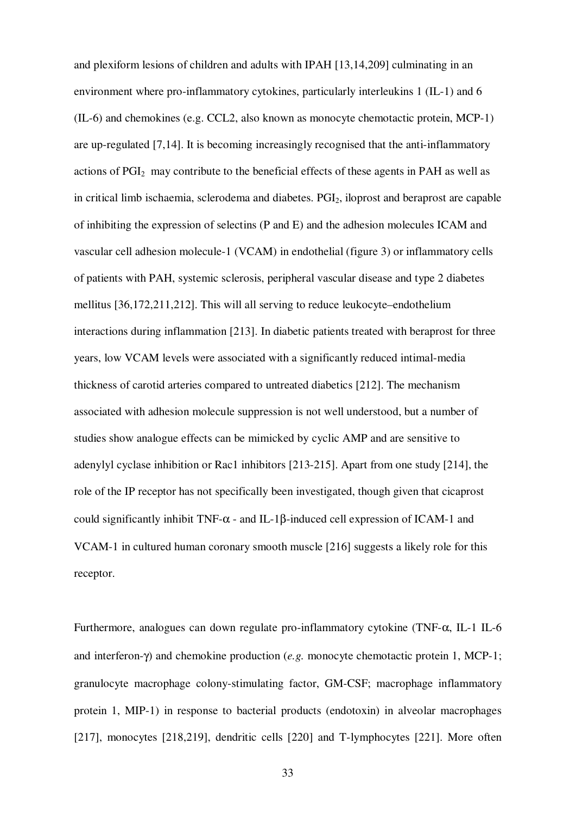and plexiform lesions of children and adults with IPAH [13,14,209] culminating in an environment where pro-inflammatory cytokines, particularly interleukins 1 (IL-1) and 6 (IL-6) and chemokines (e.g. CCL2, also known as monocyte chemotactic protein, MCP-1) are up-regulated [7,14]. It is becoming increasingly recognised that the anti-inflammatory actions of PGI2 may contribute to the beneficial effects of these agents in PAH as well as in critical limb ischaemia, sclerodema and diabetes. PGI<sub>2</sub>, iloprost and beraprost are capable of inhibiting the expression of selectins (P and E) and the adhesion molecules ICAM and vascular cell adhesion molecule-1 (VCAM) in endothelial (figure 3) or inflammatory cells of patients with PAH, systemic sclerosis, peripheral vascular disease and type 2 diabetes mellitus [36,172,211,212]. This will all serving to reduce leukocyte–endothelium interactions during inflammation [213]. In diabetic patients treated with beraprost for three years, low VCAM levels were associated with a significantly reduced intimal-media thickness of carotid arteries compared to untreated diabetics [212]. The mechanism associated with adhesion molecule suppression is not well understood, but a number of studies show analogue effects can be mimicked by cyclic AMP and are sensitive to adenylyl cyclase inhibition or Rac1 inhibitors [213-215]. Apart from one study [214], the role of the IP receptor has not specifically been investigated, though given that cicaprost could significantly inhibit TNF- $\alpha$  - and IL-1 $\beta$ -induced cell expression of ICAM-1 and VCAM-1 in cultured human coronary smooth muscle [216] suggests a likely role for this receptor.

Furthermore, analogues can down regulate pro-inflammatory cytokine (TNF-α, IL-1 IL-6 and interferon-γ) and chemokine production (*e.g.* monocyte chemotactic protein 1, MCP-1; granulocyte macrophage colony-stimulating factor, GM-CSF; macrophage inflammatory protein 1, MIP-1) in response to bacterial products (endotoxin) in alveolar macrophages [217], monocytes [218,219], dendritic cells [220] and T-lymphocytes [221]. More often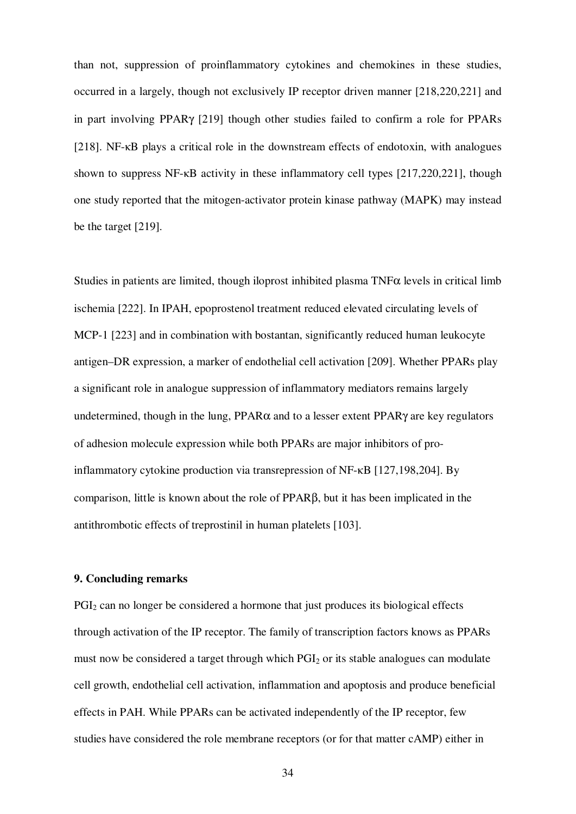than not, suppression of proinflammatory cytokines and chemokines in these studies, occurred in a largely, though not exclusively IP receptor driven manner [218,220,221] and in part involving PPARγ [219] though other studies failed to confirm a role for PPARs [218]. NF-κB plays a critical role in the downstream effects of endotoxin, with analogues shown to suppress NF-κB activity in these inflammatory cell types [217,220,221], though one study reported that the mitogen-activator protein kinase pathway (MAPK) may instead be the target [219].

Studies in patients are limited, though iloprost inhibited plasma  $TNF\alpha$  levels in critical limb ischemia [222]. In IPAH, epoprostenol treatment reduced elevated circulating levels of MCP-1 [223] and in combination with bostantan, significantly reduced human leukocyte antigen–DR expression, a marker of endothelial cell activation [209]. Whether PPARs play a significant role in analogue suppression of inflammatory mediators remains largely undetermined, though in the lung,  $PPAR\alpha$  and to a lesser extent  $PPAR\gamma$  are key regulators of adhesion molecule expression while both PPARs are major inhibitors of proinflammatory cytokine production via transrepression of NF-κB [127,198,204]. By comparison, little is known about the role of PPARβ, but it has been implicated in the antithrombotic effects of treprostinil in human platelets [103].

## **9. Concluding remarks**

PGI2 can no longer be considered a hormone that just produces its biological effects through activation of the IP receptor. The family of transcription factors knows as PPARs must now be considered a target through which  $PGI<sub>2</sub>$  or its stable analogues can modulate cell growth, endothelial cell activation, inflammation and apoptosis and produce beneficial effects in PAH. While PPARs can be activated independently of the IP receptor, few studies have considered the role membrane receptors (or for that matter cAMP) either in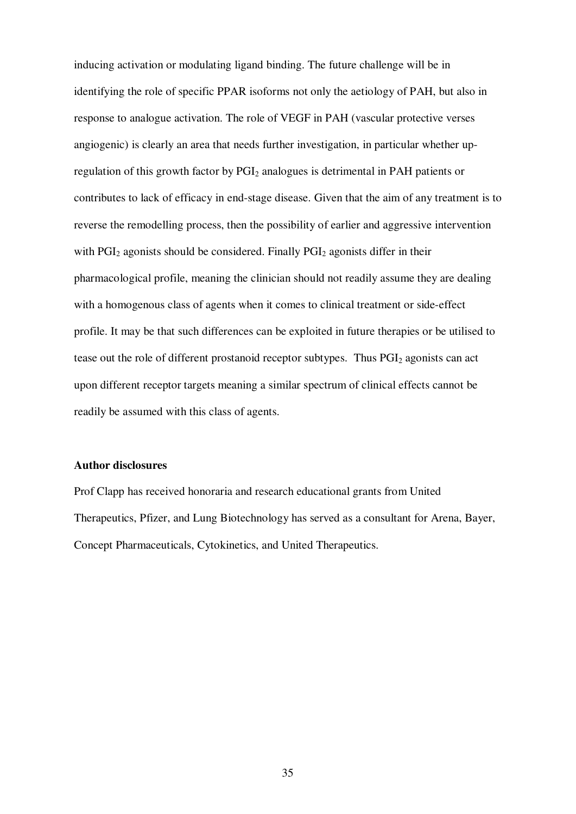inducing activation or modulating ligand binding. The future challenge will be in identifying the role of specific PPAR isoforms not only the aetiology of PAH, but also in response to analogue activation. The role of VEGF in PAH (vascular protective verses angiogenic) is clearly an area that needs further investigation, in particular whether upregulation of this growth factor by PGI<sub>2</sub> analogues is detrimental in PAH patients or contributes to lack of efficacy in end-stage disease. Given that the aim of any treatment is to reverse the remodelling process, then the possibility of earlier and aggressive intervention with  $PGI<sub>2</sub>$  agonists should be considered. Finally  $PGI<sub>2</sub>$  agonists differ in their pharmacological profile, meaning the clinician should not readily assume they are dealing with a homogenous class of agents when it comes to clinical treatment or side-effect profile. It may be that such differences can be exploited in future therapies or be utilised to tease out the role of different prostanoid receptor subtypes. Thus  $PGI<sub>2</sub>$  agonists can act upon different receptor targets meaning a similar spectrum of clinical effects cannot be readily be assumed with this class of agents.

#### **Author disclosures**

Prof Clapp has received honoraria and research educational grants from United Therapeutics, Pfizer, and Lung Biotechnology has served as a consultant for Arena, Bayer, Concept Pharmaceuticals, Cytokinetics, and United Therapeutics.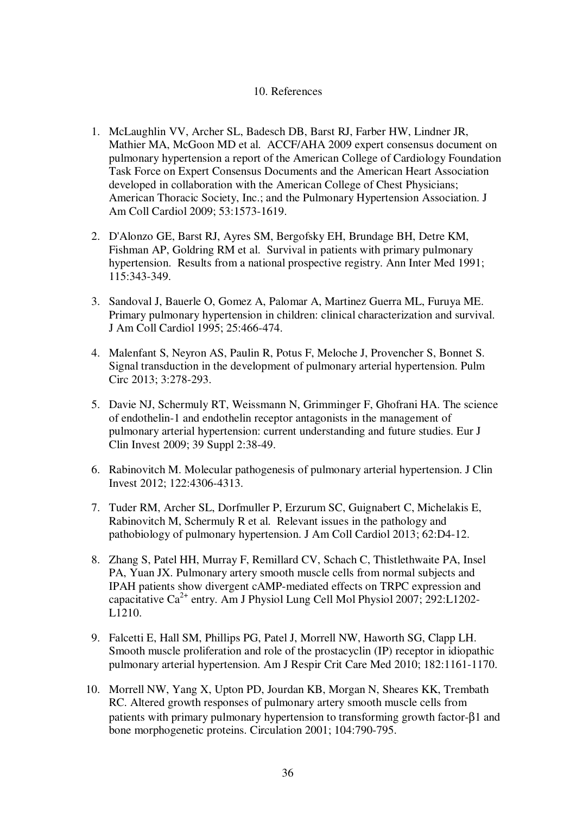## 10. References

- 1. McLaughlin VV, Archer SL, Badesch DB, Barst RJ, Farber HW, Lindner JR, Mathier MA, McGoon MD et al. ACCF/AHA 2009 expert consensus document on pulmonary hypertension a report of the American College of Cardiology Foundation Task Force on Expert Consensus Documents and the American Heart Association developed in collaboration with the American College of Chest Physicians; American Thoracic Society, Inc.; and the Pulmonary Hypertension Association. J Am Coll Cardiol 2009; 53:1573-1619.
- 2. D'Alonzo GE, Barst RJ, Ayres SM, Bergofsky EH, Brundage BH, Detre KM, Fishman AP, Goldring RM et al. Survival in patients with primary pulmonary hypertension. Results from a national prospective registry. Ann Inter Med 1991; 115:343-349.
- 3. Sandoval J, Bauerle O, Gomez A, Palomar A, Martinez Guerra ML, Furuya ME. Primary pulmonary hypertension in children: clinical characterization and survival. J Am Coll Cardiol 1995; 25:466-474.
- 4. Malenfant S, Neyron AS, Paulin R, Potus F, Meloche J, Provencher S, Bonnet S. Signal transduction in the development of pulmonary arterial hypertension. Pulm Circ 2013; 3:278-293.
- 5. Davie NJ, Schermuly RT, Weissmann N, Grimminger F, Ghofrani HA. The science of endothelin-1 and endothelin receptor antagonists in the management of pulmonary arterial hypertension: current understanding and future studies. Eur J Clin Invest 2009; 39 Suppl 2:38-49.
- 6. Rabinovitch M. Molecular pathogenesis of pulmonary arterial hypertension. J Clin Invest 2012; 122:4306-4313.
- 7. Tuder RM, Archer SL, Dorfmuller P, Erzurum SC, Guignabert C, Michelakis E, Rabinovitch M, Schermuly R et al. Relevant issues in the pathology and pathobiology of pulmonary hypertension. J Am Coll Cardiol 2013; 62:D4-12.
- 8. Zhang S, Patel HH, Murray F, Remillard CV, Schach C, Thistlethwaite PA, Insel PA, Yuan JX. Pulmonary artery smooth muscle cells from normal subjects and IPAH patients show divergent cAMP-mediated effects on TRPC expression and capacitative  $Ca^{2+}$  entry. Am J Physiol Lung Cell Mol Physiol 2007; 292:L1202-L1210.
- 9. Falcetti E, Hall SM, Phillips PG, Patel J, Morrell NW, Haworth SG, Clapp LH. Smooth muscle proliferation and role of the prostacyclin (IP) receptor in idiopathic pulmonary arterial hypertension. Am J Respir Crit Care Med 2010; 182:1161-1170.
- 10. Morrell NW, Yang X, Upton PD, Jourdan KB, Morgan N, Sheares KK, Trembath RC. Altered growth responses of pulmonary artery smooth muscle cells from patients with primary pulmonary hypertension to transforming growth factor-β1 and bone morphogenetic proteins. Circulation 2001; 104:790-795.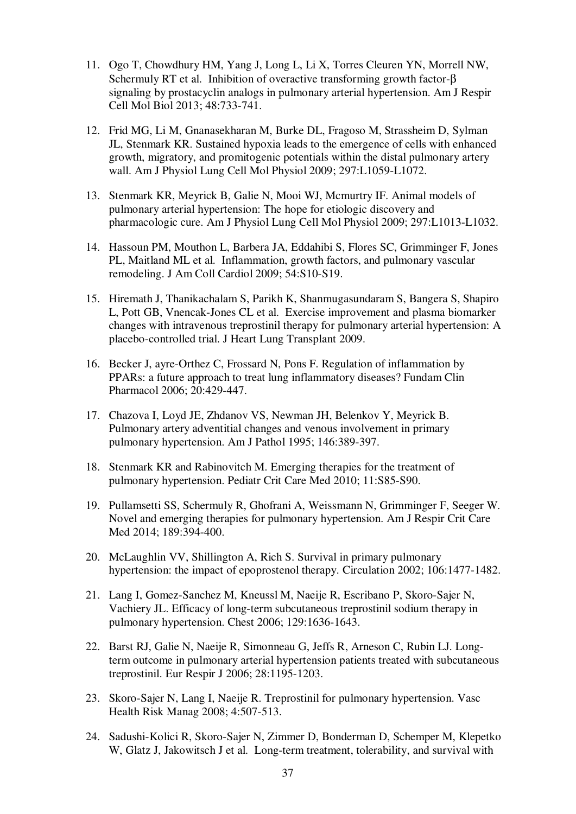- 11. Ogo T, Chowdhury HM, Yang J, Long L, Li X, Torres Cleuren YN, Morrell NW, Schermuly RT et al. Inhibition of overactive transforming growth factor-β signaling by prostacyclin analogs in pulmonary arterial hypertension. Am J Respir Cell Mol Biol 2013; 48:733-741.
- 12. Frid MG, Li M, Gnanasekharan M, Burke DL, Fragoso M, Strassheim D, Sylman JL, Stenmark KR. Sustained hypoxia leads to the emergence of cells with enhanced growth, migratory, and promitogenic potentials within the distal pulmonary artery wall. Am J Physiol Lung Cell Mol Physiol 2009; 297:L1059-L1072.
- 13. Stenmark KR, Meyrick B, Galie N, Mooi WJ, Mcmurtry IF. Animal models of pulmonary arterial hypertension: The hope for etiologic discovery and pharmacologic cure. Am J Physiol Lung Cell Mol Physiol 2009; 297:L1013-L1032.
- 14. Hassoun PM, Mouthon L, Barbera JA, Eddahibi S, Flores SC, Grimminger F, Jones PL, Maitland ML et al. Inflammation, growth factors, and pulmonary vascular remodeling. J Am Coll Cardiol 2009; 54:S10-S19.
- 15. Hiremath J, Thanikachalam S, Parikh K, Shanmugasundaram S, Bangera S, Shapiro L, Pott GB, Vnencak-Jones CL et al. Exercise improvement and plasma biomarker changes with intravenous treprostinil therapy for pulmonary arterial hypertension: A placebo-controlled trial. J Heart Lung Transplant 2009.
- 16. Becker J, ayre-Orthez C, Frossard N, Pons F. Regulation of inflammation by PPARs: a future approach to treat lung inflammatory diseases? Fundam Clin Pharmacol 2006; 20:429-447.
- 17. Chazova I, Loyd JE, Zhdanov VS, Newman JH, Belenkov Y, Meyrick B. Pulmonary artery adventitial changes and venous involvement in primary pulmonary hypertension. Am J Pathol 1995; 146:389-397.
- 18. Stenmark KR and Rabinovitch M. Emerging therapies for the treatment of pulmonary hypertension. Pediatr Crit Care Med 2010; 11:S85-S90.
- 19. Pullamsetti SS, Schermuly R, Ghofrani A, Weissmann N, Grimminger F, Seeger W. Novel and emerging therapies for pulmonary hypertension. Am J Respir Crit Care Med 2014; 189:394-400.
- 20. McLaughlin VV, Shillington A, Rich S. Survival in primary pulmonary hypertension: the impact of epoprostenol therapy. Circulation 2002; 106:1477-1482.
- 21. Lang I, Gomez-Sanchez M, Kneussl M, Naeije R, Escribano P, Skoro-Sajer N, Vachiery JL. Efficacy of long-term subcutaneous treprostinil sodium therapy in pulmonary hypertension. Chest 2006; 129:1636-1643.
- 22. Barst RJ, Galie N, Naeije R, Simonneau G, Jeffs R, Arneson C, Rubin LJ. Longterm outcome in pulmonary arterial hypertension patients treated with subcutaneous treprostinil. Eur Respir J 2006; 28:1195-1203.
- 23. Skoro-Sajer N, Lang I, Naeije R. Treprostinil for pulmonary hypertension. Vasc Health Risk Manag 2008; 4:507-513.
- 24. Sadushi-Kolici R, Skoro-Sajer N, Zimmer D, Bonderman D, Schemper M, Klepetko W, Glatz J, Jakowitsch J et al. Long-term treatment, tolerability, and survival with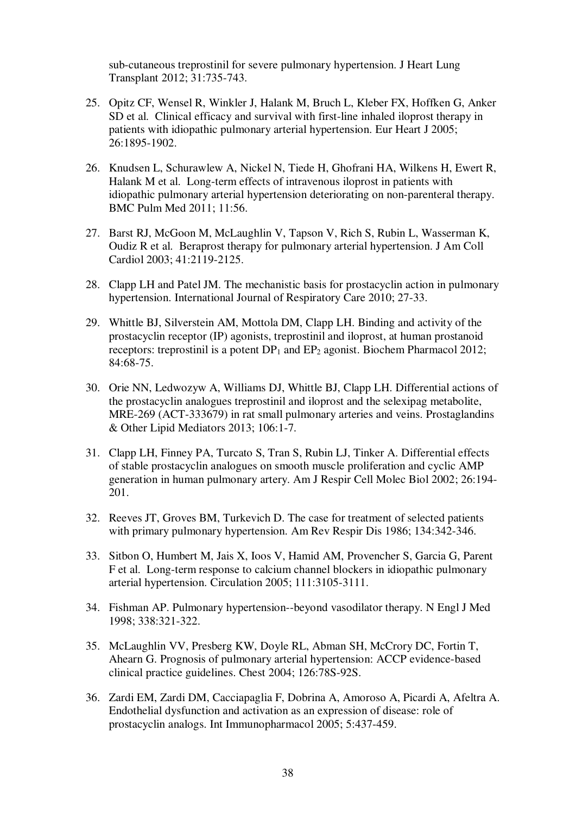sub-cutaneous treprostinil for severe pulmonary hypertension. J Heart Lung Transplant 2012; 31:735-743.

- 25. Opitz CF, Wensel R, Winkler J, Halank M, Bruch L, Kleber FX, Hoffken G, Anker SD et al. Clinical efficacy and survival with first-line inhaled iloprost therapy in patients with idiopathic pulmonary arterial hypertension. Eur Heart J 2005; 26:1895-1902.
- 26. Knudsen L, Schurawlew A, Nickel N, Tiede H, Ghofrani HA, Wilkens H, Ewert R, Halank M et al. Long-term effects of intravenous iloprost in patients with idiopathic pulmonary arterial hypertension deteriorating on non-parenteral therapy. BMC Pulm Med 2011; 11:56.
- 27. Barst RJ, McGoon M, McLaughlin V, Tapson V, Rich S, Rubin L, Wasserman K, Oudiz R et al. Beraprost therapy for pulmonary arterial hypertension. J Am Coll Cardiol 2003; 41:2119-2125.
- 28. Clapp LH and Patel JM. The mechanistic basis for prostacyclin action in pulmonary hypertension. International Journal of Respiratory Care 2010; 27-33.
- 29. Whittle BJ, Silverstein AM, Mottola DM, Clapp LH. Binding and activity of the prostacyclin receptor (IP) agonists, treprostinil and iloprost, at human prostanoid receptors: treprostinil is a potent  $DP_1$  and  $EP_2$  agonist. Biochem Pharmacol 2012; 84:68-75.
- 30. Orie NN, Ledwozyw A, Williams DJ, Whittle BJ, Clapp LH. Differential actions of the prostacyclin analogues treprostinil and iloprost and the selexipag metabolite, MRE-269 (ACT-333679) in rat small pulmonary arteries and veins. Prostaglandins & Other Lipid Mediators 2013; 106:1-7.
- 31. Clapp LH, Finney PA, Turcato S, Tran S, Rubin LJ, Tinker A. Differential effects of stable prostacyclin analogues on smooth muscle proliferation and cyclic AMP generation in human pulmonary artery. Am J Respir Cell Molec Biol 2002; 26:194- 201.
- 32. Reeves JT, Groves BM, Turkevich D. The case for treatment of selected patients with primary pulmonary hypertension. Am Rev Respir Dis 1986; 134:342-346.
- 33. Sitbon O, Humbert M, Jais X, Ioos V, Hamid AM, Provencher S, Garcia G, Parent F et al. Long-term response to calcium channel blockers in idiopathic pulmonary arterial hypertension. Circulation 2005; 111:3105-3111.
- 34. Fishman AP. Pulmonary hypertension--beyond vasodilator therapy. N Engl J Med 1998; 338:321-322.
- 35. McLaughlin VV, Presberg KW, Doyle RL, Abman SH, McCrory DC, Fortin T, Ahearn G. Prognosis of pulmonary arterial hypertension: ACCP evidence-based clinical practice guidelines. Chest 2004; 126:78S-92S.
- 36. Zardi EM, Zardi DM, Cacciapaglia F, Dobrina A, Amoroso A, Picardi A, Afeltra A. Endothelial dysfunction and activation as an expression of disease: role of prostacyclin analogs. Int Immunopharmacol 2005; 5:437-459.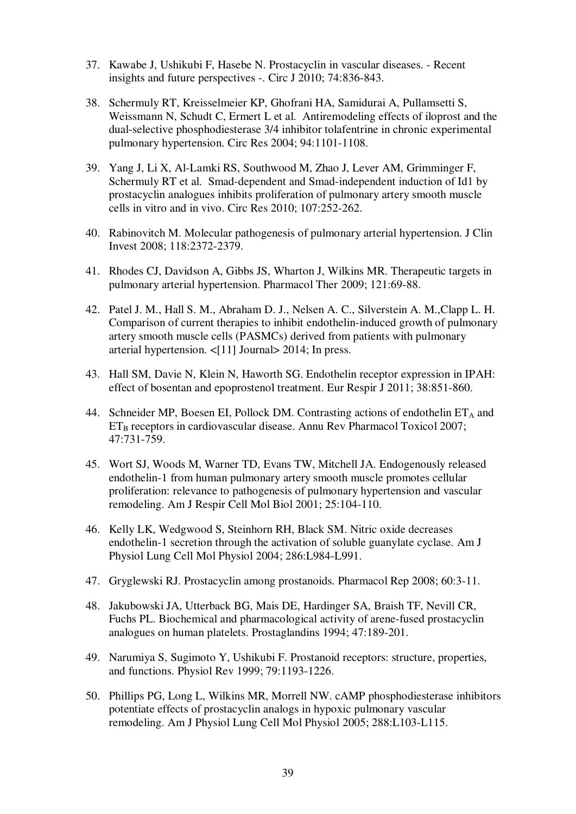- 37. Kawabe J, Ushikubi F, Hasebe N. Prostacyclin in vascular diseases. Recent insights and future perspectives -. Circ J 2010; 74:836-843.
- 38. Schermuly RT, Kreisselmeier KP, Ghofrani HA, Samidurai A, Pullamsetti S, Weissmann N, Schudt C, Ermert L et al. Antiremodeling effects of iloprost and the dual-selective phosphodiesterase 3/4 inhibitor tolafentrine in chronic experimental pulmonary hypertension. Circ Res 2004; 94:1101-1108.
- 39. Yang J, Li X, Al-Lamki RS, Southwood M, Zhao J, Lever AM, Grimminger F, Schermuly RT et al. Smad-dependent and Smad-independent induction of Id1 by prostacyclin analogues inhibits proliferation of pulmonary artery smooth muscle cells in vitro and in vivo. Circ Res 2010; 107:252-262.
- 40. Rabinovitch M. Molecular pathogenesis of pulmonary arterial hypertension. J Clin Invest 2008; 118:2372-2379.
- 41. Rhodes CJ, Davidson A, Gibbs JS, Wharton J, Wilkins MR. Therapeutic targets in pulmonary arterial hypertension. Pharmacol Ther 2009; 121:69-88.
- 42. Patel J. M., Hall S. M., Abraham D. J., Nelsen A. C., Silverstein A. M.,Clapp L. H. Comparison of current therapies to inhibit endothelin-induced growth of pulmonary artery smooth muscle cells (PASMCs) derived from patients with pulmonary arterial hypertension. <[11] Journal> 2014; In press.
- 43. Hall SM, Davie N, Klein N, Haworth SG. Endothelin receptor expression in IPAH: effect of bosentan and epoprostenol treatment. Eur Respir J 2011; 38:851-860.
- 44. Schneider MP, Boesen EI, Pollock DM. Contrasting actions of endothelin  $ET_A$  and  $ET_B$  receptors in cardiovascular disease. Annu Rev Pharmacol Toxicol 2007; 47:731-759.
- 45. Wort SJ, Woods M, Warner TD, Evans TW, Mitchell JA. Endogenously released endothelin-1 from human pulmonary artery smooth muscle promotes cellular proliferation: relevance to pathogenesis of pulmonary hypertension and vascular remodeling. Am J Respir Cell Mol Biol 2001; 25:104-110.
- 46. Kelly LK, Wedgwood S, Steinhorn RH, Black SM. Nitric oxide decreases endothelin-1 secretion through the activation of soluble guanylate cyclase. Am J Physiol Lung Cell Mol Physiol 2004; 286:L984-L991.
- 47. Gryglewski RJ. Prostacyclin among prostanoids. Pharmacol Rep 2008; 60:3-11.
- 48. Jakubowski JA, Utterback BG, Mais DE, Hardinger SA, Braish TF, Nevill CR, Fuchs PL. Biochemical and pharmacological activity of arene-fused prostacyclin analogues on human platelets. Prostaglandins 1994; 47:189-201.
- 49. Narumiya S, Sugimoto Y, Ushikubi F. Prostanoid receptors: structure, properties, and functions. Physiol Rev 1999; 79:1193-1226.
- 50. Phillips PG, Long L, Wilkins MR, Morrell NW. cAMP phosphodiesterase inhibitors potentiate effects of prostacyclin analogs in hypoxic pulmonary vascular remodeling. Am J Physiol Lung Cell Mol Physiol 2005; 288:L103-L115.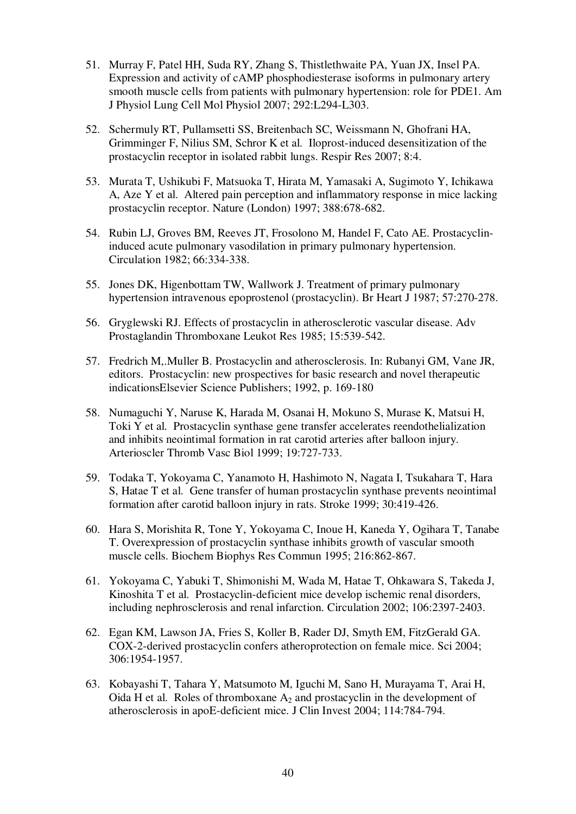- 51. Murray F, Patel HH, Suda RY, Zhang S, Thistlethwaite PA, Yuan JX, Insel PA. Expression and activity of cAMP phosphodiesterase isoforms in pulmonary artery smooth muscle cells from patients with pulmonary hypertension: role for PDE1. Am J Physiol Lung Cell Mol Physiol 2007; 292:L294-L303.
- 52. Schermuly RT, Pullamsetti SS, Breitenbach SC, Weissmann N, Ghofrani HA, Grimminger F, Nilius SM, Schror K et al. Iloprost-induced desensitization of the prostacyclin receptor in isolated rabbit lungs. Respir Res 2007; 8:4.
- 53. Murata T, Ushikubi F, Matsuoka T, Hirata M, Yamasaki A, Sugimoto Y, Ichikawa A, Aze Y et al. Altered pain perception and inflammatory response in mice lacking prostacyclin receptor. Nature (London) 1997; 388:678-682.
- 54. Rubin LJ, Groves BM, Reeves JT, Frosolono M, Handel F, Cato AE. Prostacyclininduced acute pulmonary vasodilation in primary pulmonary hypertension. Circulation 1982; 66:334-338.
- 55. Jones DK, Higenbottam TW, Wallwork J. Treatment of primary pulmonary hypertension intravenous epoprostenol (prostacyclin). Br Heart J 1987; 57:270-278.
- 56. Gryglewski RJ. Effects of prostacyclin in atherosclerotic vascular disease. Adv Prostaglandin Thromboxane Leukot Res 1985; 15:539-542.
- 57. Fredrich M,.Muller B. Prostacyclin and atherosclerosis. In: Rubanyi GM, Vane JR, editors. Prostacyclin: new prospectives for basic research and novel therapeutic indicationsElsevier Science Publishers; 1992, p. 169-180
- 58. Numaguchi Y, Naruse K, Harada M, Osanai H, Mokuno S, Murase K, Matsui H, Toki Y et al. Prostacyclin synthase gene transfer accelerates reendothelialization and inhibits neointimal formation in rat carotid arteries after balloon injury. Arterioscler Thromb Vasc Biol 1999; 19:727-733.
- 59. Todaka T, Yokoyama C, Yanamoto H, Hashimoto N, Nagata I, Tsukahara T, Hara S, Hatae T et al. Gene transfer of human prostacyclin synthase prevents neointimal formation after carotid balloon injury in rats. Stroke 1999; 30:419-426.
- 60. Hara S, Morishita R, Tone Y, Yokoyama C, Inoue H, Kaneda Y, Ogihara T, Tanabe T. Overexpression of prostacyclin synthase inhibits growth of vascular smooth muscle cells. Biochem Biophys Res Commun 1995; 216:862-867.
- 61. Yokoyama C, Yabuki T, Shimonishi M, Wada M, Hatae T, Ohkawara S, Takeda J, Kinoshita T et al. Prostacyclin-deficient mice develop ischemic renal disorders, including nephrosclerosis and renal infarction. Circulation 2002; 106:2397-2403.
- 62. Egan KM, Lawson JA, Fries S, Koller B, Rader DJ, Smyth EM, FitzGerald GA. COX-2-derived prostacyclin confers atheroprotection on female mice. Sci 2004; 306:1954-1957.
- 63. Kobayashi T, Tahara Y, Matsumoto M, Iguchi M, Sano H, Murayama T, Arai H, Oida H et al. Roles of thromboxane  $A_2$  and prostacyclin in the development of atherosclerosis in apoE-deficient mice. J Clin Invest 2004; 114:784-794.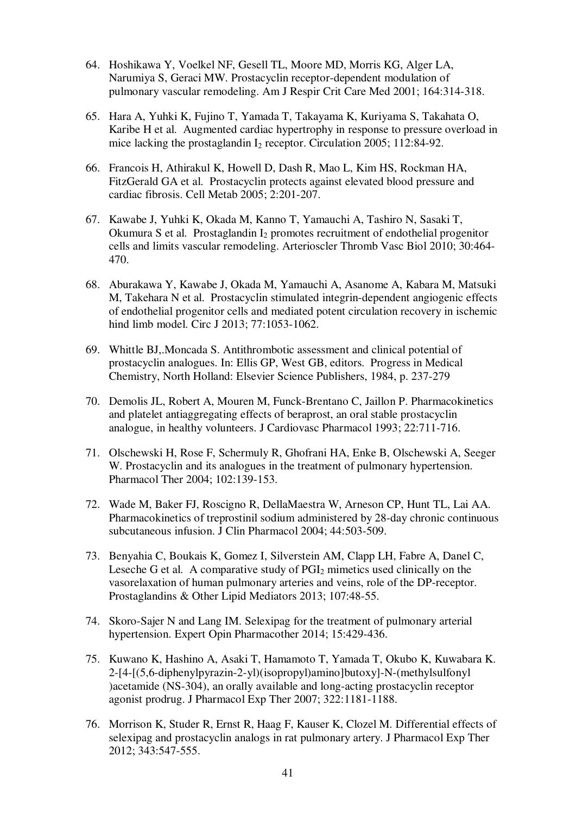- 64. Hoshikawa Y, Voelkel NF, Gesell TL, Moore MD, Morris KG, Alger LA, Narumiya S, Geraci MW. Prostacyclin receptor-dependent modulation of pulmonary vascular remodeling. Am J Respir Crit Care Med 2001; 164:314-318.
- 65. Hara A, Yuhki K, Fujino T, Yamada T, Takayama K, Kuriyama S, Takahata O, Karibe H et al. Augmented cardiac hypertrophy in response to pressure overload in mice lacking the prostaglandin  $I_2$  receptor. Circulation 2005; 112:84-92.
- 66. Francois H, Athirakul K, Howell D, Dash R, Mao L, Kim HS, Rockman HA, FitzGerald GA et al. Prostacyclin protects against elevated blood pressure and cardiac fibrosis. Cell Metab 2005; 2:201-207.
- 67. Kawabe J, Yuhki K, Okada M, Kanno T, Yamauchi A, Tashiro N, Sasaki T, Okumura S et al. Prostaglandin I<sub>2</sub> promotes recruitment of endothelial progenitor cells and limits vascular remodeling. Arterioscler Thromb Vasc Biol 2010; 30:464- 470.
- 68. Aburakawa Y, Kawabe J, Okada M, Yamauchi A, Asanome A, Kabara M, Matsuki M, Takehara N et al. Prostacyclin stimulated integrin-dependent angiogenic effects of endothelial progenitor cells and mediated potent circulation recovery in ischemic hind limb model. Circ J 2013; 77:1053-1062.
- 69. Whittle BJ,.Moncada S. Antithrombotic assessment and clinical potential of prostacyclin analogues. In: Ellis GP, West GB, editors. Progress in Medical Chemistry, North Holland: Elsevier Science Publishers, 1984, p. 237-279
- 70. Demolis JL, Robert A, Mouren M, Funck-Brentano C, Jaillon P. Pharmacokinetics and platelet antiaggregating effects of beraprost, an oral stable prostacyclin analogue, in healthy volunteers. J Cardiovasc Pharmacol 1993; 22:711-716.
- 71. Olschewski H, Rose F, Schermuly R, Ghofrani HA, Enke B, Olschewski A, Seeger W. Prostacyclin and its analogues in the treatment of pulmonary hypertension. Pharmacol Ther 2004; 102:139-153.
- 72. Wade M, Baker FJ, Roscigno R, DellaMaestra W, Arneson CP, Hunt TL, Lai AA. Pharmacokinetics of treprostinil sodium administered by 28-day chronic continuous subcutaneous infusion. J Clin Pharmacol 2004; 44:503-509.
- 73. Benyahia C, Boukais K, Gomez I, Silverstein AM, Clapp LH, Fabre A, Danel C, Leseche G et al. A comparative study of  $PGI<sub>2</sub>$  mimetics used clinically on the vasorelaxation of human pulmonary arteries and veins, role of the DP-receptor. Prostaglandins & Other Lipid Mediators 2013; 107:48-55.
- 74. Skoro-Sajer N and Lang IM. Selexipag for the treatment of pulmonary arterial hypertension. Expert Opin Pharmacother 2014; 15:429-436.
- 75. Kuwano K, Hashino A, Asaki T, Hamamoto T, Yamada T, Okubo K, Kuwabara K. 2-[4-[(5,6-diphenylpyrazin-2-yl)(isopropyl)amino]butoxy]-N-(methylsulfonyl )acetamide (NS-304), an orally available and long-acting prostacyclin receptor agonist prodrug. J Pharmacol Exp Ther 2007; 322:1181-1188.
- 76. Morrison K, Studer R, Ernst R, Haag F, Kauser K, Clozel M. Differential effects of selexipag and prostacyclin analogs in rat pulmonary artery. J Pharmacol Exp Ther 2012; 343:547-555.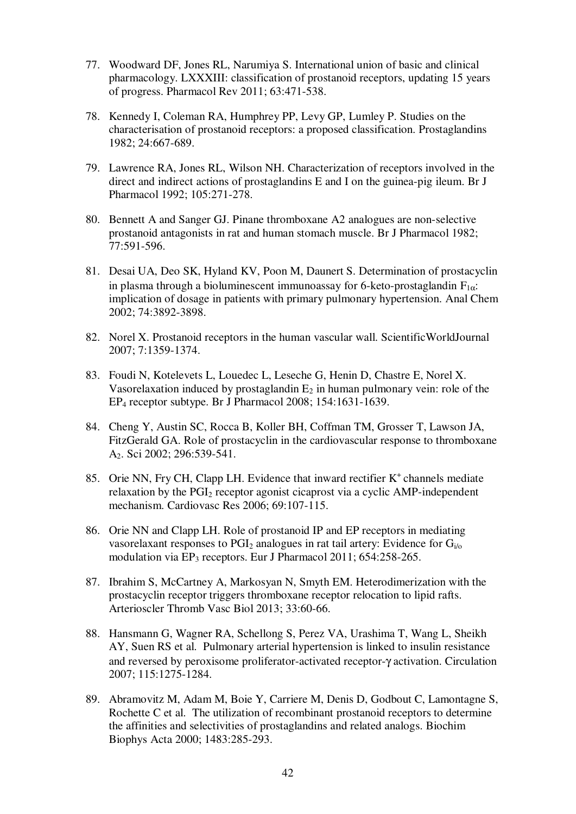- 77. Woodward DF, Jones RL, Narumiya S. International union of basic and clinical pharmacology. LXXXIII: classification of prostanoid receptors, updating 15 years of progress. Pharmacol Rev 2011; 63:471-538.
- 78. Kennedy I, Coleman RA, Humphrey PP, Levy GP, Lumley P. Studies on the characterisation of prostanoid receptors: a proposed classification. Prostaglandins 1982; 24:667-689.
- 79. Lawrence RA, Jones RL, Wilson NH. Characterization of receptors involved in the direct and indirect actions of prostaglandins E and I on the guinea-pig ileum. Br J Pharmacol 1992; 105:271-278.
- 80. Bennett A and Sanger GJ. Pinane thromboxane A2 analogues are non-selective prostanoid antagonists in rat and human stomach muscle. Br J Pharmacol 1982; 77:591-596.
- 81. Desai UA, Deo SK, Hyland KV, Poon M, Daunert S. Determination of prostacyclin in plasma through a bioluminescent immunoassay for 6-keto-prostaglandin  $F_{1\alpha}$ : implication of dosage in patients with primary pulmonary hypertension. Anal Chem 2002; 74:3892-3898.
- 82. Norel X. Prostanoid receptors in the human vascular wall. ScientificWorldJournal 2007; 7:1359-1374.
- 83. Foudi N, Kotelevets L, Louedec L, Leseche G, Henin D, Chastre E, Norel X. Vasorelaxation induced by prostaglandin  $E_2$  in human pulmonary vein: role of the EP4 receptor subtype. Br J Pharmacol 2008; 154:1631-1639.
- 84. Cheng Y, Austin SC, Rocca B, Koller BH, Coffman TM, Grosser T, Lawson JA, FitzGerald GA. Role of prostacyclin in the cardiovascular response to thromboxane A2. Sci 2002; 296:539-541.
- 85. Orie NN, Fry CH, Clapp LH. Evidence that inward rectifier K<sup>+</sup> channels mediate relaxation by the PGI<sub>2</sub> receptor agonist cicaprost via a cyclic AMP-independent mechanism. Cardiovasc Res 2006; 69:107-115.
- 86. Orie NN and Clapp LH. Role of prostanoid IP and EP receptors in mediating vasorelaxant responses to  $PGI<sub>2</sub>$  analogues in rat tail artery: Evidence for  $G<sub>i/o</sub>$ modulation via EP3 receptors. Eur J Pharmacol 2011; 654:258-265.
- 87. Ibrahim S, McCartney A, Markosyan N, Smyth EM. Heterodimerization with the prostacyclin receptor triggers thromboxane receptor relocation to lipid rafts. Arterioscler Thromb Vasc Biol 2013; 33:60-66.
- 88. Hansmann G, Wagner RA, Schellong S, Perez VA, Urashima T, Wang L, Sheikh AY, Suen RS et al. Pulmonary arterial hypertension is linked to insulin resistance and reversed by peroxisome proliferator-activated receptor-γ activation. Circulation 2007; 115:1275-1284.
- 89. Abramovitz M, Adam M, Boie Y, Carriere M, Denis D, Godbout C, Lamontagne S, Rochette C et al. The utilization of recombinant prostanoid receptors to determine the affinities and selectivities of prostaglandins and related analogs. Biochim Biophys Acta 2000; 1483:285-293.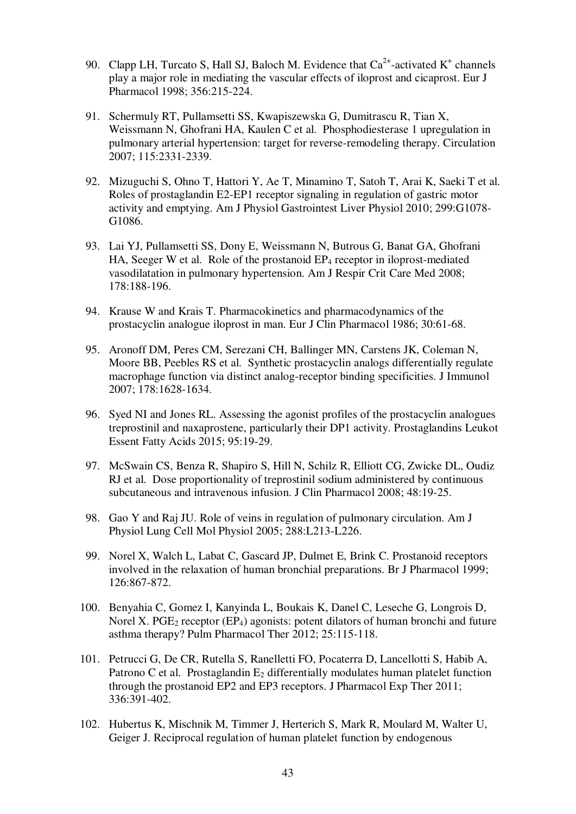- 90. Clapp LH, Turcato S, Hall SJ, Baloch M. Evidence that  $Ca^{2+}$ -activated K<sup>+</sup> channels play a major role in mediating the vascular effects of iloprost and cicaprost. Eur J Pharmacol 1998; 356:215-224.
	- 91. Schermuly RT, Pullamsetti SS, Kwapiszewska G, Dumitrascu R, Tian X, Weissmann N, Ghofrani HA, Kaulen C et al. Phosphodiesterase 1 upregulation in pulmonary arterial hypertension: target for reverse-remodeling therapy. Circulation 2007; 115:2331-2339.
	- 92. Mizuguchi S, Ohno T, Hattori Y, Ae T, Minamino T, Satoh T, Arai K, Saeki T et al. Roles of prostaglandin E2-EP1 receptor signaling in regulation of gastric motor activity and emptying. Am J Physiol Gastrointest Liver Physiol 2010; 299:G1078- G1086.
	- 93. Lai YJ, Pullamsetti SS, Dony E, Weissmann N, Butrous G, Banat GA, Ghofrani HA, Seeger W et al. Role of the prostanoid  $EP_4$  receptor in iloprost-mediated vasodilatation in pulmonary hypertension. Am J Respir Crit Care Med 2008; 178:188-196.
	- 94. Krause W and Krais T. Pharmacokinetics and pharmacodynamics of the prostacyclin analogue iloprost in man. Eur J Clin Pharmacol 1986; 30:61-68.
	- 95. Aronoff DM, Peres CM, Serezani CH, Ballinger MN, Carstens JK, Coleman N, Moore BB, Peebles RS et al. Synthetic prostacyclin analogs differentially regulate macrophage function via distinct analog-receptor binding specificities. J Immunol 2007; 178:1628-1634.
	- 96. Syed NI and Jones RL. Assessing the agonist profiles of the prostacyclin analogues treprostinil and naxaprostene, particularly their DP1 activity. Prostaglandins Leukot Essent Fatty Acids 2015; 95:19-29.
	- 97. McSwain CS, Benza R, Shapiro S, Hill N, Schilz R, Elliott CG, Zwicke DL, Oudiz RJ et al. Dose proportionality of treprostinil sodium administered by continuous subcutaneous and intravenous infusion. J Clin Pharmacol 2008; 48:19-25.
	- 98. Gao Y and Raj JU. Role of veins in regulation of pulmonary circulation. Am J Physiol Lung Cell Mol Physiol 2005; 288:L213-L226.
	- 99. Norel X, Walch L, Labat C, Gascard JP, Dulmet E, Brink C. Prostanoid receptors involved in the relaxation of human bronchial preparations. Br J Pharmacol 1999; 126:867-872.
	- 100. Benyahia C, Gomez I, Kanyinda L, Boukais K, Danel C, Leseche G, Longrois D, Norel X. PGE<sub>2</sub> receptor (EP<sub>4</sub>) agonists: potent dilators of human bronchi and future asthma therapy? Pulm Pharmacol Ther 2012; 25:115-118.
	- 101. Petrucci G, De CR, Rutella S, Ranelletti FO, Pocaterra D, Lancellotti S, Habib A, Patrono C et al. Prostaglandin  $E_2$  differentially modulates human platelet function through the prostanoid EP2 and EP3 receptors. J Pharmacol Exp Ther 2011; 336:391-402.
- 102. Hubertus K, Mischnik M, Timmer J, Herterich S, Mark R, Moulard M, Walter U, Geiger J. Reciprocal regulation of human platelet function by endogenous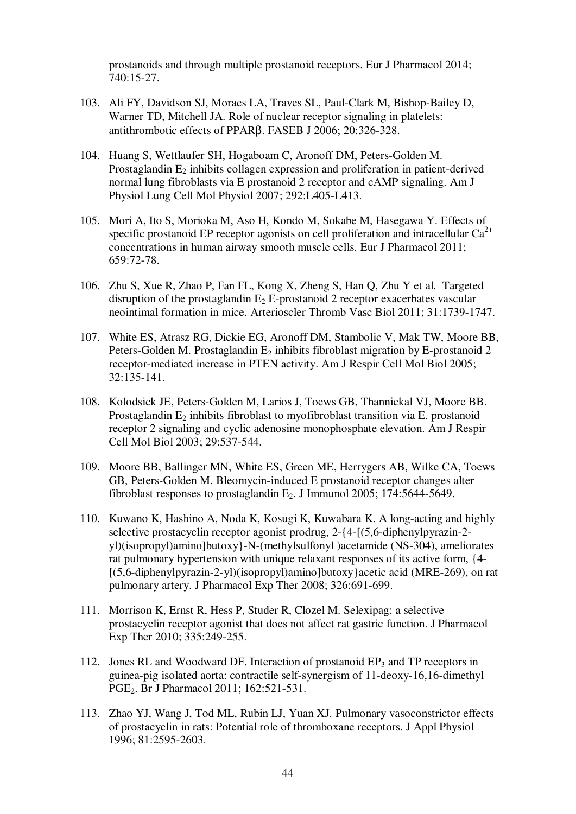prostanoids and through multiple prostanoid receptors. Eur J Pharmacol 2014; 740:15-27.

- 103. Ali FY, Davidson SJ, Moraes LA, Traves SL, Paul-Clark M, Bishop-Bailey D, Warner TD, Mitchell JA. Role of nuclear receptor signaling in platelets: antithrombotic effects of PPARβ. FASEB J 2006; 20:326-328.
- 104. Huang S, Wettlaufer SH, Hogaboam C, Aronoff DM, Peters-Golden M. Prostaglandin  $E_2$  inhibits collagen expression and proliferation in patient-derived normal lung fibroblasts via E prostanoid 2 receptor and cAMP signaling. Am J Physiol Lung Cell Mol Physiol 2007; 292:L405-L413.
- 105. Mori A, Ito S, Morioka M, Aso H, Kondo M, Sokabe M, Hasegawa Y. Effects of specific prostanoid EP receptor agonists on cell proliferation and intracellular  $Ca^{2+}$ concentrations in human airway smooth muscle cells. Eur J Pharmacol 2011; 659:72-78.
- 106. Zhu S, Xue R, Zhao P, Fan FL, Kong X, Zheng S, Han Q, Zhu Y et al. Targeted disruption of the prostaglandin  $E_2$  E-prostanoid 2 receptor exacerbates vascular neointimal formation in mice. Arterioscler Thromb Vasc Biol 2011; 31:1739-1747.
- 107. White ES, Atrasz RG, Dickie EG, Aronoff DM, Stambolic V, Mak TW, Moore BB, Peters-Golden M. Prostaglandin  $E_2$  inhibits fibroblast migration by E-prostanoid 2 receptor-mediated increase in PTEN activity. Am J Respir Cell Mol Biol 2005; 32:135-141.
- 108. Kolodsick JE, Peters-Golden M, Larios J, Toews GB, Thannickal VJ, Moore BB. Prostaglandin  $E_2$  inhibits fibroblast to myofibroblast transition via E. prostanoid receptor 2 signaling and cyclic adenosine monophosphate elevation. Am J Respir Cell Mol Biol 2003; 29:537-544.
- 109. Moore BB, Ballinger MN, White ES, Green ME, Herrygers AB, Wilke CA, Toews GB, Peters-Golden M. Bleomycin-induced E prostanoid receptor changes alter fibroblast responses to prostaglandin  $E_2$ . J Immunol 2005: 174:5644-5649.
- 110. Kuwano K, Hashino A, Noda K, Kosugi K, Kuwabara K. A long-acting and highly selective prostacyclin receptor agonist prodrug, 2-{4-[(5,6-diphenylpyrazin-2 yl)(isopropyl)amino]butoxy}-N-(methylsulfonyl )acetamide (NS-304), ameliorates rat pulmonary hypertension with unique relaxant responses of its active form, {4- [(5,6-diphenylpyrazin-2-yl)(isopropyl)amino]butoxy}acetic acid (MRE-269), on rat pulmonary artery. J Pharmacol Exp Ther 2008; 326:691-699.
- 111. Morrison K, Ernst R, Hess P, Studer R, Clozel M. Selexipag: a selective prostacyclin receptor agonist that does not affect rat gastric function. J Pharmacol Exp Ther 2010; 335:249-255.
- 112. Jones RL and Woodward DF. Interaction of prostanoid  $EP_3$  and TP receptors in guinea-pig isolated aorta: contractile self-synergism of 11-deoxy-16,16-dimethyl PGE2. Br J Pharmacol 2011; 162:521-531.
- 113. Zhao YJ, Wang J, Tod ML, Rubin LJ, Yuan XJ. Pulmonary vasoconstrictor effects of prostacyclin in rats: Potential role of thromboxane receptors. J Appl Physiol 1996; 81:2595-2603.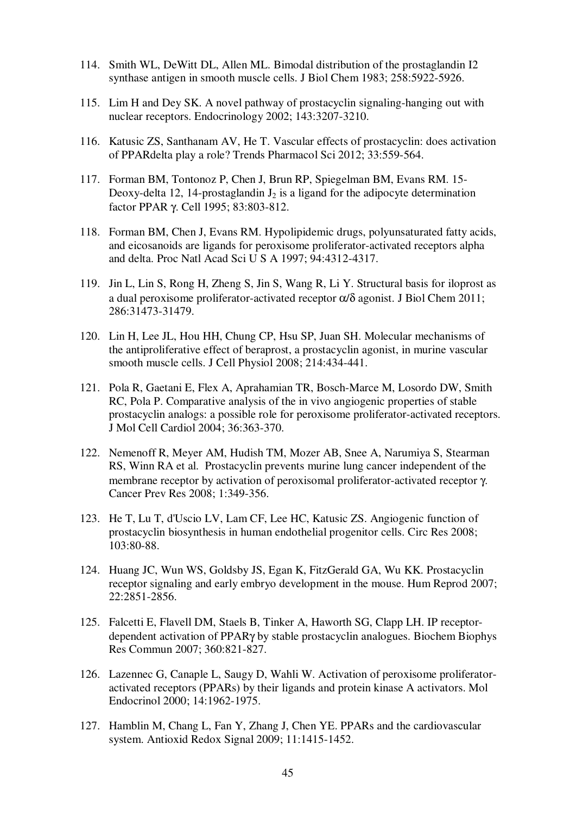- 114. Smith WL, DeWitt DL, Allen ML. Bimodal distribution of the prostaglandin I2 synthase antigen in smooth muscle cells. J Biol Chem 1983; 258:5922-5926.
- 115. Lim H and Dey SK. A novel pathway of prostacyclin signaling-hanging out with nuclear receptors. Endocrinology 2002; 143:3207-3210.
- 116. Katusic ZS, Santhanam AV, He T. Vascular effects of prostacyclin: does activation of PPARdelta play a role? Trends Pharmacol Sci 2012; 33:559-564.
- 117. Forman BM, Tontonoz P, Chen J, Brun RP, Spiegelman BM, Evans RM. 15- Deoxy-delta 12, 14-prostaglandin  $J_2$  is a ligand for the adipocyte determination factor PPAR γ. Cell 1995; 83:803-812.
- 118. Forman BM, Chen J, Evans RM. Hypolipidemic drugs, polyunsaturated fatty acids, and eicosanoids are ligands for peroxisome proliferator-activated receptors alpha and delta. Proc Natl Acad Sci U S A 1997; 94:4312-4317.
- 119. Jin L, Lin S, Rong H, Zheng S, Jin S, Wang R, Li Y. Structural basis for iloprost as a dual peroxisome proliferator-activated receptor α/δ agonist. J Biol Chem 2011; 286:31473-31479.
- 120. Lin H, Lee JL, Hou HH, Chung CP, Hsu SP, Juan SH. Molecular mechanisms of the antiproliferative effect of beraprost, a prostacyclin agonist, in murine vascular smooth muscle cells. J Cell Physiol 2008; 214:434-441.
- 121. Pola R, Gaetani E, Flex A, Aprahamian TR, Bosch-Marce M, Losordo DW, Smith RC, Pola P. Comparative analysis of the in vivo angiogenic properties of stable prostacyclin analogs: a possible role for peroxisome proliferator-activated receptors. J Mol Cell Cardiol 2004; 36:363-370.
- 122. Nemenoff R, Meyer AM, Hudish TM, Mozer AB, Snee A, Narumiya S, Stearman RS, Winn RA et al. Prostacyclin prevents murine lung cancer independent of the membrane receptor by activation of peroxisomal proliferator-activated receptor γ. Cancer Prev Res 2008; 1:349-356.
- 123. He T, Lu T, d'Uscio LV, Lam CF, Lee HC, Katusic ZS. Angiogenic function of prostacyclin biosynthesis in human endothelial progenitor cells. Circ Res 2008; 103:80-88.
- 124. Huang JC, Wun WS, Goldsby JS, Egan K, FitzGerald GA, Wu KK. Prostacyclin receptor signaling and early embryo development in the mouse. Hum Reprod 2007; 22:2851-2856.
- 125. Falcetti E, Flavell DM, Staels B, Tinker A, Haworth SG, Clapp LH. IP receptordependent activation of PPARγ by stable prostacyclin analogues. Biochem Biophys Res Commun 2007; 360:821-827.
- 126. Lazennec G, Canaple L, Saugy D, Wahli W. Activation of peroxisome proliferatoractivated receptors (PPARs) by their ligands and protein kinase A activators. Mol Endocrinol 2000; 14:1962-1975.
- 127. Hamblin M, Chang L, Fan Y, Zhang J, Chen YE. PPARs and the cardiovascular system. Antioxid Redox Signal 2009; 11:1415-1452.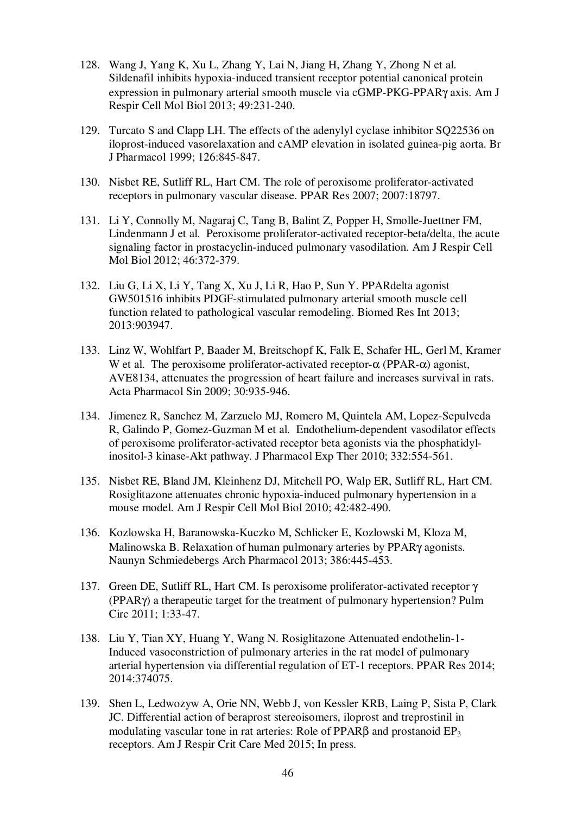- 128. Wang J, Yang K, Xu L, Zhang Y, Lai N, Jiang H, Zhang Y, Zhong N et al. Sildenafil inhibits hypoxia-induced transient receptor potential canonical protein expression in pulmonary arterial smooth muscle via cGMP-PKG-PPARγ axis. Am J Respir Cell Mol Biol 2013; 49:231-240.
- 129. Turcato S and Clapp LH. The effects of the adenylyl cyclase inhibitor SQ22536 on iloprost-induced vasorelaxation and cAMP elevation in isolated guinea-pig aorta. Br J Pharmacol 1999; 126:845-847.
- 130. Nisbet RE, Sutliff RL, Hart CM. The role of peroxisome proliferator-activated receptors in pulmonary vascular disease. PPAR Res 2007; 2007:18797.
- 131. Li Y, Connolly M, Nagaraj C, Tang B, Balint Z, Popper H, Smolle-Juettner FM, Lindenmann J et al. Peroxisome proliferator-activated receptor-beta/delta, the acute signaling factor in prostacyclin-induced pulmonary vasodilation. Am J Respir Cell Mol Biol 2012; 46:372-379.
- 132. Liu G, Li X, Li Y, Tang X, Xu J, Li R, Hao P, Sun Y. PPARdelta agonist GW501516 inhibits PDGF-stimulated pulmonary arterial smooth muscle cell function related to pathological vascular remodeling. Biomed Res Int 2013; 2013:903947.
- 133. Linz W, Wohlfart P, Baader M, Breitschopf K, Falk E, Schafer HL, Gerl M, Kramer W et al. The peroxisome proliferator-activated receptor- $\alpha$  (PPAR- $\alpha$ ) agonist, AVE8134, attenuates the progression of heart failure and increases survival in rats. Acta Pharmacol Sin 2009; 30:935-946.
- 134. Jimenez R, Sanchez M, Zarzuelo MJ, Romero M, Quintela AM, Lopez-Sepulveda R, Galindo P, Gomez-Guzman M et al. Endothelium-dependent vasodilator effects of peroxisome proliferator-activated receptor beta agonists via the phosphatidylinositol-3 kinase-Akt pathway. J Pharmacol Exp Ther 2010; 332:554-561.
- 135. Nisbet RE, Bland JM, Kleinhenz DJ, Mitchell PO, Walp ER, Sutliff RL, Hart CM. Rosiglitazone attenuates chronic hypoxia-induced pulmonary hypertension in a mouse model. Am J Respir Cell Mol Biol 2010; 42:482-490.
- 136. Kozlowska H, Baranowska-Kuczko M, Schlicker E, Kozlowski M, Kloza M, Malinowska B. Relaxation of human pulmonary arteries by PPARγ agonists. Naunyn Schmiedebergs Arch Pharmacol 2013; 386:445-453.
- 137. Green DE, Sutliff RL, Hart CM. Is peroxisome proliferator-activated receptor γ (PPARγ) a therapeutic target for the treatment of pulmonary hypertension? Pulm Circ 2011; 1:33-47.
- 138. Liu Y, Tian XY, Huang Y, Wang N. Rosiglitazone Attenuated endothelin-1- Induced vasoconstriction of pulmonary arteries in the rat model of pulmonary arterial hypertension via differential regulation of ET-1 receptors. PPAR Res 2014; 2014:374075.
- 139. Shen L, Ledwozyw A, Orie NN, Webb J, von Kessler KRB, Laing P, Sista P, Clark JC. Differential action of beraprost stereoisomers, iloprost and treprostinil in modulating vascular tone in rat arteries: Role of PPARβ and prostanoid EP<sub>3</sub> receptors. Am J Respir Crit Care Med 2015; In press.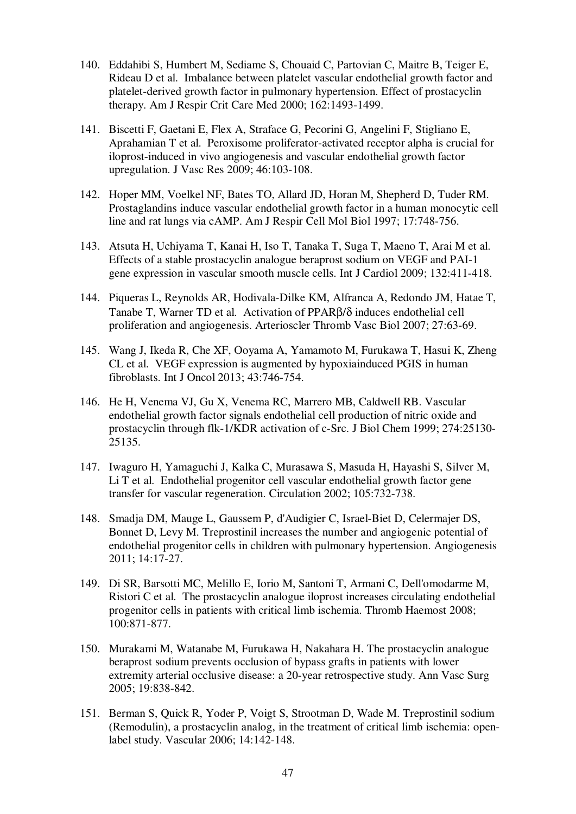- 140. Eddahibi S, Humbert M, Sediame S, Chouaid C, Partovian C, Maitre B, Teiger E, Rideau D et al. Imbalance between platelet vascular endothelial growth factor and platelet-derived growth factor in pulmonary hypertension. Effect of prostacyclin therapy. Am J Respir Crit Care Med 2000; 162:1493-1499.
- 141. Biscetti F, Gaetani E, Flex A, Straface G, Pecorini G, Angelini F, Stigliano E, Aprahamian T et al. Peroxisome proliferator-activated receptor alpha is crucial for iloprost-induced in vivo angiogenesis and vascular endothelial growth factor upregulation. J Vasc Res 2009; 46:103-108.
- 142. Hoper MM, Voelkel NF, Bates TO, Allard JD, Horan M, Shepherd D, Tuder RM. Prostaglandins induce vascular endothelial growth factor in a human monocytic cell line and rat lungs via cAMP. Am J Respir Cell Mol Biol 1997; 17:748-756.
- 143. Atsuta H, Uchiyama T, Kanai H, Iso T, Tanaka T, Suga T, Maeno T, Arai M et al. Effects of a stable prostacyclin analogue beraprost sodium on VEGF and PAI-1 gene expression in vascular smooth muscle cells. Int J Cardiol 2009; 132:411-418.
- 144. Piqueras L, Reynolds AR, Hodivala-Dilke KM, Alfranca A, Redondo JM, Hatae T, Tanabe T, Warner TD et al. Activation of PPARβ/δ induces endothelial cell proliferation and angiogenesis. Arterioscler Thromb Vasc Biol 2007; 27:63-69.
- 145. Wang J, Ikeda R, Che XF, Ooyama A, Yamamoto M, Furukawa T, Hasui K, Zheng CL et al. VEGF expression is augmented by hypoxiainduced PGIS in human fibroblasts. Int J Oncol 2013; 43:746-754.
- 146. He H, Venema VJ, Gu X, Venema RC, Marrero MB, Caldwell RB. Vascular endothelial growth factor signals endothelial cell production of nitric oxide and prostacyclin through flk-1/KDR activation of c-Src. J Biol Chem 1999; 274:25130- 25135.
- 147. Iwaguro H, Yamaguchi J, Kalka C, Murasawa S, Masuda H, Hayashi S, Silver M, Li T et al. Endothelial progenitor cell vascular endothelial growth factor gene transfer for vascular regeneration. Circulation 2002; 105:732-738.
- 148. Smadja DM, Mauge L, Gaussem P, d'Audigier C, Israel-Biet D, Celermajer DS, Bonnet D, Levy M. Treprostinil increases the number and angiogenic potential of endothelial progenitor cells in children with pulmonary hypertension. Angiogenesis 2011; 14:17-27.
- 149. Di SR, Barsotti MC, Melillo E, Iorio M, Santoni T, Armani C, Dell'omodarme M, Ristori C et al. The prostacyclin analogue iloprost increases circulating endothelial progenitor cells in patients with critical limb ischemia. Thromb Haemost 2008; 100:871-877.
- 150. Murakami M, Watanabe M, Furukawa H, Nakahara H. The prostacyclin analogue beraprost sodium prevents occlusion of bypass grafts in patients with lower extremity arterial occlusive disease: a 20-year retrospective study. Ann Vasc Surg 2005; 19:838-842.
- 151. Berman S, Quick R, Yoder P, Voigt S, Strootman D, Wade M. Treprostinil sodium (Remodulin), a prostacyclin analog, in the treatment of critical limb ischemia: openlabel study. Vascular 2006; 14:142-148.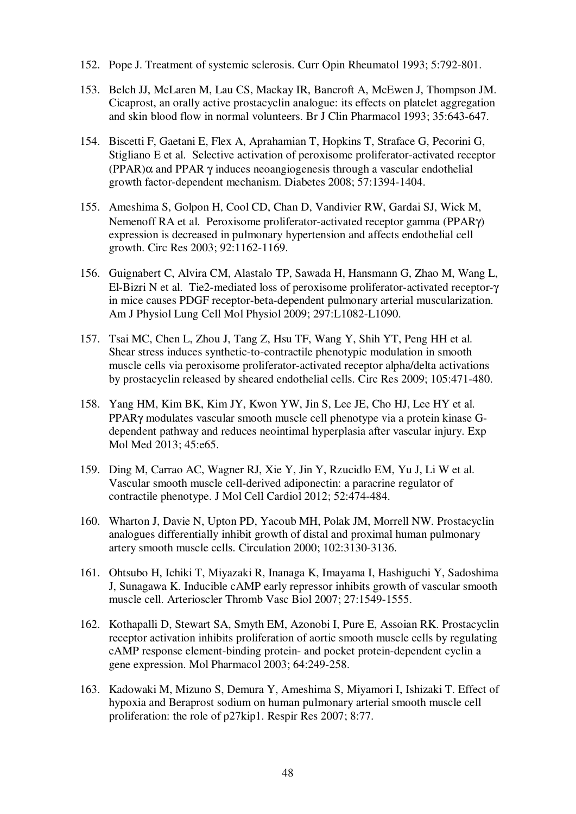- 152. Pope J. Treatment of systemic sclerosis. Curr Opin Rheumatol 1993; 5:792-801.
- 153. Belch JJ, McLaren M, Lau CS, Mackay IR, Bancroft A, McEwen J, Thompson JM. Cicaprost, an orally active prostacyclin analogue: its effects on platelet aggregation and skin blood flow in normal volunteers. Br J Clin Pharmacol 1993; 35:643-647.
- 154. Biscetti F, Gaetani E, Flex A, Aprahamian T, Hopkins T, Straface G, Pecorini G, Stigliano E et al. Selective activation of peroxisome proliferator-activated receptor (PPAR) $\alpha$  and PPAR  $\gamma$  induces neoangiogenesis through a vascular endothelial growth factor-dependent mechanism. Diabetes 2008; 57:1394-1404.
- 155. Ameshima S, Golpon H, Cool CD, Chan D, Vandivier RW, Gardai SJ, Wick M, Nemenoff RA et al. Peroxisome proliferator-activated receptor gamma (PPARγ) expression is decreased in pulmonary hypertension and affects endothelial cell growth. Circ Res 2003; 92:1162-1169.
- 156. Guignabert C, Alvira CM, Alastalo TP, Sawada H, Hansmann G, Zhao M, Wang L, El-Bizri N et al. Tie2-mediated loss of peroxisome proliferator-activated receptor-γ in mice causes PDGF receptor-beta-dependent pulmonary arterial muscularization. Am J Physiol Lung Cell Mol Physiol 2009; 297:L1082-L1090.
- 157. Tsai MC, Chen L, Zhou J, Tang Z, Hsu TF, Wang Y, Shih YT, Peng HH et al. Shear stress induces synthetic-to-contractile phenotypic modulation in smooth muscle cells via peroxisome proliferator-activated receptor alpha/delta activations by prostacyclin released by sheared endothelial cells. Circ Res 2009; 105:471-480.
- 158. Yang HM, Kim BK, Kim JY, Kwon YW, Jin S, Lee JE, Cho HJ, Lee HY et al. PPARγ modulates vascular smooth muscle cell phenotype via a protein kinase Gdependent pathway and reduces neointimal hyperplasia after vascular injury. Exp Mol Med 2013; 45:e65.
- 159. Ding M, Carrao AC, Wagner RJ, Xie Y, Jin Y, Rzucidlo EM, Yu J, Li W et al. Vascular smooth muscle cell-derived adiponectin: a paracrine regulator of contractile phenotype. J Mol Cell Cardiol 2012; 52:474-484.
- 160. Wharton J, Davie N, Upton PD, Yacoub MH, Polak JM, Morrell NW. Prostacyclin analogues differentially inhibit growth of distal and proximal human pulmonary artery smooth muscle cells. Circulation 2000; 102:3130-3136.
- 161. Ohtsubo H, Ichiki T, Miyazaki R, Inanaga K, Imayama I, Hashiguchi Y, Sadoshima J, Sunagawa K. Inducible cAMP early repressor inhibits growth of vascular smooth muscle cell. Arterioscler Thromb Vasc Biol 2007; 27:1549-1555.
- 162. Kothapalli D, Stewart SA, Smyth EM, Azonobi I, Pure E, Assoian RK. Prostacyclin receptor activation inhibits proliferation of aortic smooth muscle cells by regulating cAMP response element-binding protein- and pocket protein-dependent cyclin a gene expression. Mol Pharmacol 2003; 64:249-258.
- 163. Kadowaki M, Mizuno S, Demura Y, Ameshima S, Miyamori I, Ishizaki T. Effect of hypoxia and Beraprost sodium on human pulmonary arterial smooth muscle cell proliferation: the role of p27kip1. Respir Res 2007; 8:77.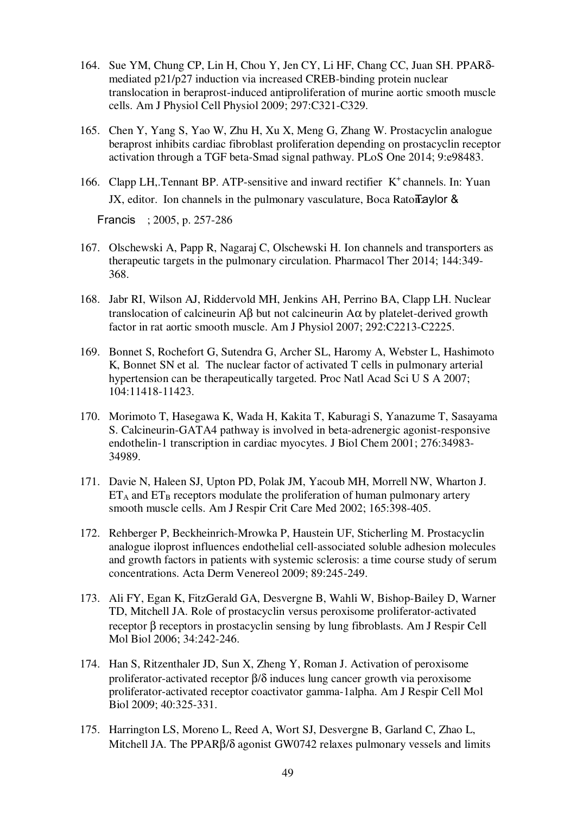- 164. Sue YM, Chung CP, Lin H, Chou Y, Jen CY, Li HF, Chang CC, Juan SH. PPARδmediated p21/p27 induction via increased CREB-binding protein nuclear translocation in beraprost-induced antiproliferation of murine aortic smooth muscle cells. Am J Physiol Cell Physiol 2009; 297:C321-C329.
- 165. Chen Y, Yang S, Yao W, Zhu H, Xu X, Meng G, Zhang W. Prostacyclin analogue beraprost inhibits cardiac fibroblast proliferation depending on prostacyclin receptor activation through a TGF beta-Smad signal pathway. PLoS One 2014; 9:e98483.
- 166. Clapp LH, Tennant BP. ATP-sensitive and inward rectifier K<sup>+</sup> channels. In: Yuan JX, editor. Ion channels in the pulmonary vasculature, Boca Raton:  $\alpha$

Francis ; 2005, p. 257-286

- 167. Olschewski A, Papp R, Nagaraj C, Olschewski H. Ion channels and transporters as therapeutic targets in the pulmonary circulation. Pharmacol Ther 2014; 144:349- 368.
- 168. Jabr RI, Wilson AJ, Riddervold MH, Jenkins AH, Perrino BA, Clapp LH. Nuclear translocation of calcineurin Aβ but not calcineurin Aα by platelet-derived growth factor in rat aortic smooth muscle. Am J Physiol 2007; 292:C2213-C2225.
- 169. Bonnet S, Rochefort G, Sutendra G, Archer SL, Haromy A, Webster L, Hashimoto K, Bonnet SN et al. The nuclear factor of activated T cells in pulmonary arterial hypertension can be therapeutically targeted. Proc Natl Acad Sci U S A 2007; 104:11418-11423.
- 170. Morimoto T, Hasegawa K, Wada H, Kakita T, Kaburagi S, Yanazume T, Sasayama S. Calcineurin-GATA4 pathway is involved in beta-adrenergic agonist-responsive endothelin-1 transcription in cardiac myocytes. J Biol Chem 2001; 276:34983- 34989.
- 171. Davie N, Haleen SJ, Upton PD, Polak JM, Yacoub MH, Morrell NW, Wharton J.  $ET_A$  and  $ET_B$  receptors modulate the proliferation of human pulmonary artery smooth muscle cells. Am J Respir Crit Care Med 2002; 165:398-405.
- 172. Rehberger P, Beckheinrich-Mrowka P, Haustein UF, Sticherling M. Prostacyclin analogue iloprost influences endothelial cell-associated soluble adhesion molecules and growth factors in patients with systemic sclerosis: a time course study of serum concentrations. Acta Derm Venereol 2009; 89:245-249.
- 173. Ali FY, Egan K, FitzGerald GA, Desvergne B, Wahli W, Bishop-Bailey D, Warner TD, Mitchell JA. Role of prostacyclin versus peroxisome proliferator-activated receptor β receptors in prostacyclin sensing by lung fibroblasts. Am J Respir Cell Mol Biol 2006; 34:242-246.
- 174. Han S, Ritzenthaler JD, Sun X, Zheng Y, Roman J. Activation of peroxisome proliferator-activated receptor β/δ induces lung cancer growth via peroxisome proliferator-activated receptor coactivator gamma-1alpha. Am J Respir Cell Mol Biol 2009; 40:325-331.
- 175. Harrington LS, Moreno L, Reed A, Wort SJ, Desvergne B, Garland C, Zhao L, Mitchell JA. The PPARβ/δ agonist GW0742 relaxes pulmonary vessels and limits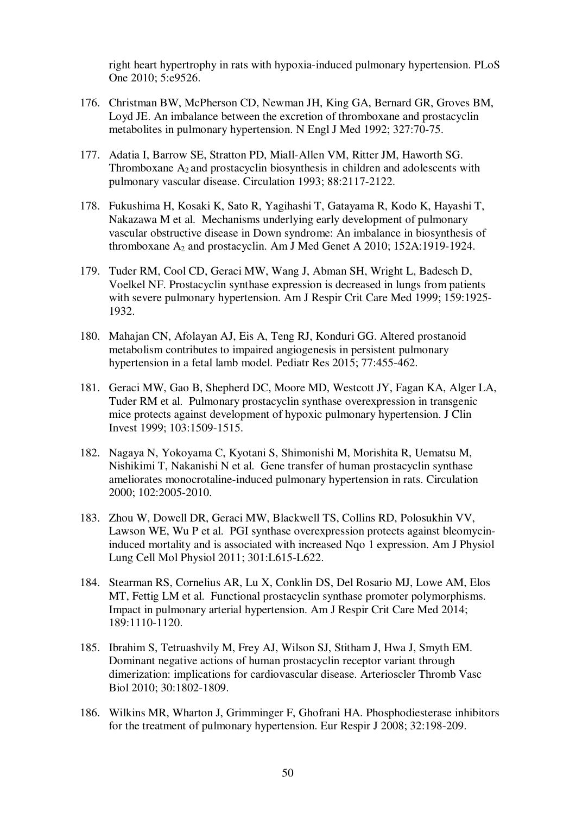right heart hypertrophy in rats with hypoxia-induced pulmonary hypertension. PLoS One 2010; 5:e9526.

- 176. Christman BW, McPherson CD, Newman JH, King GA, Bernard GR, Groves BM, Loyd JE. An imbalance between the excretion of thromboxane and prostacyclin metabolites in pulmonary hypertension. N Engl J Med 1992; 327:70-75.
- 177. Adatia I, Barrow SE, Stratton PD, Miall-Allen VM, Ritter JM, Haworth SG. Thromboxane  $A_2$  and prostacyclin biosynthesis in children and adolescents with pulmonary vascular disease. Circulation 1993; 88:2117-2122.
- 178. Fukushima H, Kosaki K, Sato R, Yagihashi T, Gatayama R, Kodo K, Hayashi T, Nakazawa M et al. Mechanisms underlying early development of pulmonary vascular obstructive disease in Down syndrome: An imbalance in biosynthesis of thromboxane  $A_2$  and prostacyclin. Am J Med Genet A 2010; 152A:1919-1924.
- 179. Tuder RM, Cool CD, Geraci MW, Wang J, Abman SH, Wright L, Badesch D, Voelkel NF. Prostacyclin synthase expression is decreased in lungs from patients with severe pulmonary hypertension. Am J Respir Crit Care Med 1999; 159:1925- 1932.
- 180. Mahajan CN, Afolayan AJ, Eis A, Teng RJ, Konduri GG. Altered prostanoid metabolism contributes to impaired angiogenesis in persistent pulmonary hypertension in a fetal lamb model. Pediatr Res 2015; 77:455-462.
- 181. Geraci MW, Gao B, Shepherd DC, Moore MD, Westcott JY, Fagan KA, Alger LA, Tuder RM et al. Pulmonary prostacyclin synthase overexpression in transgenic mice protects against development of hypoxic pulmonary hypertension. J Clin Invest 1999; 103:1509-1515.
- 182. Nagaya N, Yokoyama C, Kyotani S, Shimonishi M, Morishita R, Uematsu M, Nishikimi T, Nakanishi N et al. Gene transfer of human prostacyclin synthase ameliorates monocrotaline-induced pulmonary hypertension in rats. Circulation 2000; 102:2005-2010.
- 183. Zhou W, Dowell DR, Geraci MW, Blackwell TS, Collins RD, Polosukhin VV, Lawson WE, Wu P et al. PGI synthase overexpression protects against bleomycininduced mortality and is associated with increased Nqo 1 expression. Am J Physiol Lung Cell Mol Physiol 2011; 301:L615-L622.
- 184. Stearman RS, Cornelius AR, Lu X, Conklin DS, Del Rosario MJ, Lowe AM, Elos MT, Fettig LM et al. Functional prostacyclin synthase promoter polymorphisms. Impact in pulmonary arterial hypertension. Am J Respir Crit Care Med 2014; 189:1110-1120.
- 185. Ibrahim S, Tetruashvily M, Frey AJ, Wilson SJ, Stitham J, Hwa J, Smyth EM. Dominant negative actions of human prostacyclin receptor variant through dimerization: implications for cardiovascular disease. Arterioscler Thromb Vasc Biol 2010; 30:1802-1809.
- 186. Wilkins MR, Wharton J, Grimminger F, Ghofrani HA. Phosphodiesterase inhibitors for the treatment of pulmonary hypertension. Eur Respir J 2008; 32:198-209.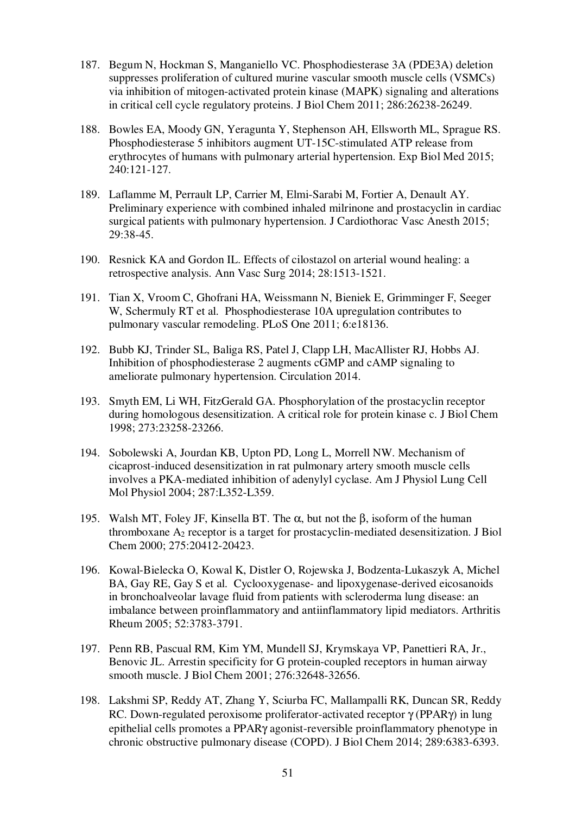- 187. Begum N, Hockman S, Manganiello VC. Phosphodiesterase 3A (PDE3A) deletion suppresses proliferation of cultured murine vascular smooth muscle cells (VSMCs) via inhibition of mitogen-activated protein kinase (MAPK) signaling and alterations in critical cell cycle regulatory proteins. J Biol Chem 2011; 286:26238-26249.
- 188. Bowles EA, Moody GN, Yeragunta Y, Stephenson AH, Ellsworth ML, Sprague RS. Phosphodiesterase 5 inhibitors augment UT-15C-stimulated ATP release from erythrocytes of humans with pulmonary arterial hypertension. Exp Biol Med 2015; 240:121-127.
- 189. Laflamme M, Perrault LP, Carrier M, Elmi-Sarabi M, Fortier A, Denault AY. Preliminary experience with combined inhaled milrinone and prostacyclin in cardiac surgical patients with pulmonary hypertension. J Cardiothorac Vasc Anesth 2015; 29:38-45.
- 190. Resnick KA and Gordon IL. Effects of cilostazol on arterial wound healing: a retrospective analysis. Ann Vasc Surg 2014; 28:1513-1521.
- 191. Tian X, Vroom C, Ghofrani HA, Weissmann N, Bieniek E, Grimminger F, Seeger W, Schermuly RT et al. Phosphodiesterase 10A upregulation contributes to pulmonary vascular remodeling. PLoS One 2011; 6:e18136.
- 192. Bubb KJ, Trinder SL, Baliga RS, Patel J, Clapp LH, MacAllister RJ, Hobbs AJ. Inhibition of phosphodiesterase 2 augments cGMP and cAMP signaling to ameliorate pulmonary hypertension. Circulation 2014.
- 193. Smyth EM, Li WH, FitzGerald GA. Phosphorylation of the prostacyclin receptor during homologous desensitization. A critical role for protein kinase c. J Biol Chem 1998; 273:23258-23266.
- 194. Sobolewski A, Jourdan KB, Upton PD, Long L, Morrell NW. Mechanism of cicaprost-induced desensitization in rat pulmonary artery smooth muscle cells involves a PKA-mediated inhibition of adenylyl cyclase. Am J Physiol Lung Cell Mol Physiol 2004; 287:L352-L359.
- 195. Walsh MT, Foley JF, Kinsella BT. The  $\alpha$ , but not the  $\beta$ , isoform of the human thromboxane  $A_2$  receptor is a target for prostacyclin-mediated desensitization. J Biol Chem 2000; 275:20412-20423.
- 196. Kowal-Bielecka O, Kowal K, Distler O, Rojewska J, Bodzenta-Lukaszyk A, Michel BA, Gay RE, Gay S et al. Cyclooxygenase- and lipoxygenase-derived eicosanoids in bronchoalveolar lavage fluid from patients with scleroderma lung disease: an imbalance between proinflammatory and antiinflammatory lipid mediators. Arthritis Rheum 2005; 52:3783-3791.
- 197. Penn RB, Pascual RM, Kim YM, Mundell SJ, Krymskaya VP, Panettieri RA, Jr., Benovic JL. Arrestin specificity for G protein-coupled receptors in human airway smooth muscle. J Biol Chem 2001; 276:32648-32656.
- 198. Lakshmi SP, Reddy AT, Zhang Y, Sciurba FC, Mallampalli RK, Duncan SR, Reddy RC. Down-regulated peroxisome proliferator-activated receptor γ (PPARγ) in lung epithelial cells promotes a PPARγ agonist-reversible proinflammatory phenotype in chronic obstructive pulmonary disease (COPD). J Biol Chem 2014; 289:6383-6393.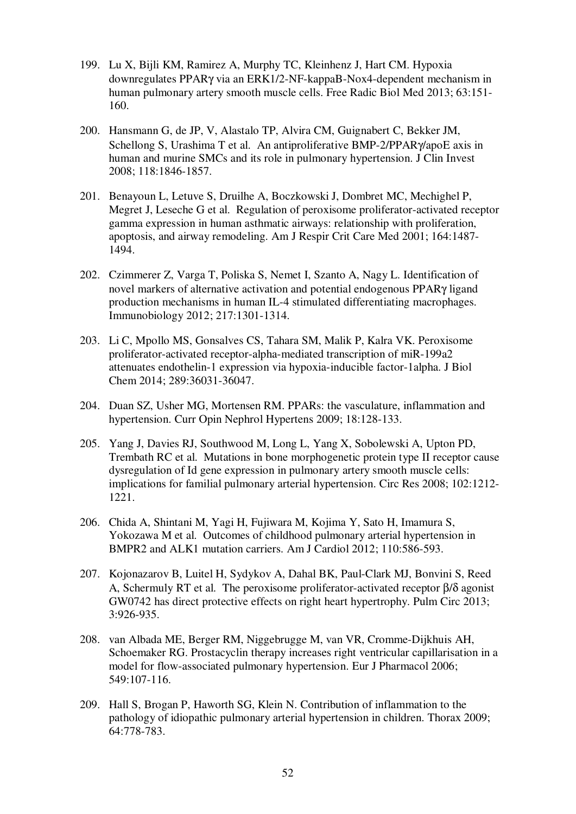- 199. Lu X, Bijli KM, Ramirez A, Murphy TC, Kleinhenz J, Hart CM. Hypoxia downregulates PPARγ via an ERK1/2-NF-kappaB-Nox4-dependent mechanism in human pulmonary artery smooth muscle cells. Free Radic Biol Med 2013; 63:151- 160.
- 200. Hansmann G, de JP, V, Alastalo TP, Alvira CM, Guignabert C, Bekker JM, Schellong S, Urashima T et al. An antiproliferative BMP-2/PPAR $\gamma$ /apoE axis in human and murine SMCs and its role in pulmonary hypertension. J Clin Invest 2008; 118:1846-1857.
- 201. Benayoun L, Letuve S, Druilhe A, Boczkowski J, Dombret MC, Mechighel P, Megret J, Leseche G et al. Regulation of peroxisome proliferator-activated receptor gamma expression in human asthmatic airways: relationship with proliferation, apoptosis, and airway remodeling. Am J Respir Crit Care Med 2001; 164:1487- 1494.
- 202. Czimmerer Z, Varga T, Poliska S, Nemet I, Szanto A, Nagy L. Identification of novel markers of alternative activation and potential endogenous PPARγ ligand production mechanisms in human IL-4 stimulated differentiating macrophages. Immunobiology 2012; 217:1301-1314.
- 203. Li C, Mpollo MS, Gonsalves CS, Tahara SM, Malik P, Kalra VK. Peroxisome proliferator-activated receptor-alpha-mediated transcription of miR-199a2 attenuates endothelin-1 expression via hypoxia-inducible factor-1alpha. J Biol Chem 2014; 289:36031-36047.
- 204. Duan SZ, Usher MG, Mortensen RM. PPARs: the vasculature, inflammation and hypertension. Curr Opin Nephrol Hypertens 2009; 18:128-133.
- 205. Yang J, Davies RJ, Southwood M, Long L, Yang X, Sobolewski A, Upton PD, Trembath RC et al. Mutations in bone morphogenetic protein type II receptor cause dysregulation of Id gene expression in pulmonary artery smooth muscle cells: implications for familial pulmonary arterial hypertension. Circ Res 2008; 102:1212- 1221.
- 206. Chida A, Shintani M, Yagi H, Fujiwara M, Kojima Y, Sato H, Imamura S, Yokozawa M et al. Outcomes of childhood pulmonary arterial hypertension in BMPR2 and ALK1 mutation carriers. Am J Cardiol 2012; 110:586-593.
- 207. Kojonazarov B, Luitel H, Sydykov A, Dahal BK, Paul-Clark MJ, Bonvini S, Reed A, Schermuly RT et al. The peroxisome proliferator-activated receptor β/δ agonist GW0742 has direct protective effects on right heart hypertrophy. Pulm Circ 2013; 3:926-935.
- 208. van Albada ME, Berger RM, Niggebrugge M, van VR, Cromme-Dijkhuis AH, Schoemaker RG. Prostacyclin therapy increases right ventricular capillarisation in a model for flow-associated pulmonary hypertension. Eur J Pharmacol 2006; 549:107-116.
- 209. Hall S, Brogan P, Haworth SG, Klein N. Contribution of inflammation to the pathology of idiopathic pulmonary arterial hypertension in children. Thorax 2009; 64:778-783.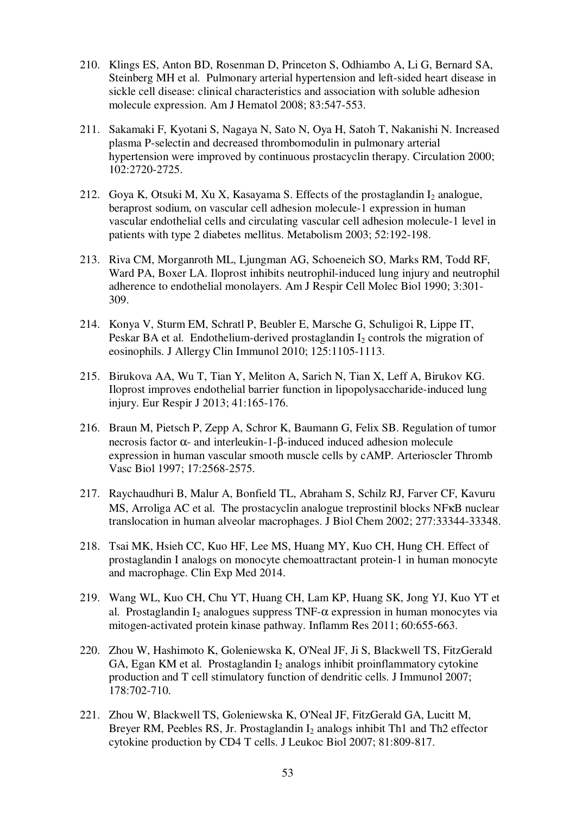- 210. Klings ES, Anton BD, Rosenman D, Princeton S, Odhiambo A, Li G, Bernard SA, Steinberg MH et al. Pulmonary arterial hypertension and left-sided heart disease in sickle cell disease: clinical characteristics and association with soluble adhesion molecule expression. Am J Hematol 2008; 83:547-553.
- 211. Sakamaki F, Kyotani S, Nagaya N, Sato N, Oya H, Satoh T, Nakanishi N. Increased plasma P-selectin and decreased thrombomodulin in pulmonary arterial hypertension were improved by continuous prostacyclin therapy. Circulation 2000; 102:2720-2725.
- 212. Goya K, Otsuki M, Xu X, Kasayama S. Effects of the prostaglandin  $I_2$  analogue, beraprost sodium, on vascular cell adhesion molecule-1 expression in human vascular endothelial cells and circulating vascular cell adhesion molecule-1 level in patients with type 2 diabetes mellitus. Metabolism 2003; 52:192-198.
- 213. Riva CM, Morganroth ML, Ljungman AG, Schoeneich SO, Marks RM, Todd RF, Ward PA, Boxer LA. Iloprost inhibits neutrophil-induced lung injury and neutrophil adherence to endothelial monolayers. Am J Respir Cell Molec Biol 1990; 3:301- 309.
- 214. Konya V, Sturm EM, Schratl P, Beubler E, Marsche G, Schuligoi R, Lippe IT, Peskar BA et al. Endothelium-derived prostaglandin  $I_2$  controls the migration of eosinophils. J Allergy Clin Immunol 2010; 125:1105-1113.
- 215. Birukova AA, Wu T, Tian Y, Meliton A, Sarich N, Tian X, Leff A, Birukov KG. Iloprost improves endothelial barrier function in lipopolysaccharide-induced lung injury. Eur Respir J 2013; 41:165-176.
- 216. Braun M, Pietsch P, Zepp A, Schror K, Baumann G, Felix SB. Regulation of tumor necrosis factor  $α$ - and interleukin-1-β-induced induced adhesion molecule expression in human vascular smooth muscle cells by cAMP. Arterioscler Thromb Vasc Biol 1997; 17:2568-2575.
- 217. Raychaudhuri B, Malur A, Bonfield TL, Abraham S, Schilz RJ, Farver CF, Kavuru MS, Arroliga AC et al. The prostacyclin analogue treprostinil blocks NFKB nuclear translocation in human alveolar macrophages. J Biol Chem 2002; 277:33344-33348.
- 218. Tsai MK, Hsieh CC, Kuo HF, Lee MS, Huang MY, Kuo CH, Hung CH. Effect of prostaglandin I analogs on monocyte chemoattractant protein-1 in human monocyte and macrophage. Clin Exp Med 2014.
- 219. Wang WL, Kuo CH, Chu YT, Huang CH, Lam KP, Huang SK, Jong YJ, Kuo YT et al. Prostaglandin I<sub>2</sub> analogues suppress TNF- $\alpha$  expression in human monocytes via mitogen-activated protein kinase pathway. Inflamm Res 2011; 60:655-663.
- 220. Zhou W, Hashimoto K, Goleniewska K, O'Neal JF, Ji S, Blackwell TS, FitzGerald GA, Egan KM et al. Prostaglandin  $I_2$  analogs inhibit proinflammatory cytokine production and T cell stimulatory function of dendritic cells. J Immunol 2007; 178:702-710.
- 221. Zhou W, Blackwell TS, Goleniewska K, O'Neal JF, FitzGerald GA, Lucitt M, Breyer RM, Peebles RS, Jr. Prostaglandin  $I_2$  analogs inhibit Th1 and Th2 effector cytokine production by CD4 T cells. J Leukoc Biol 2007; 81:809-817.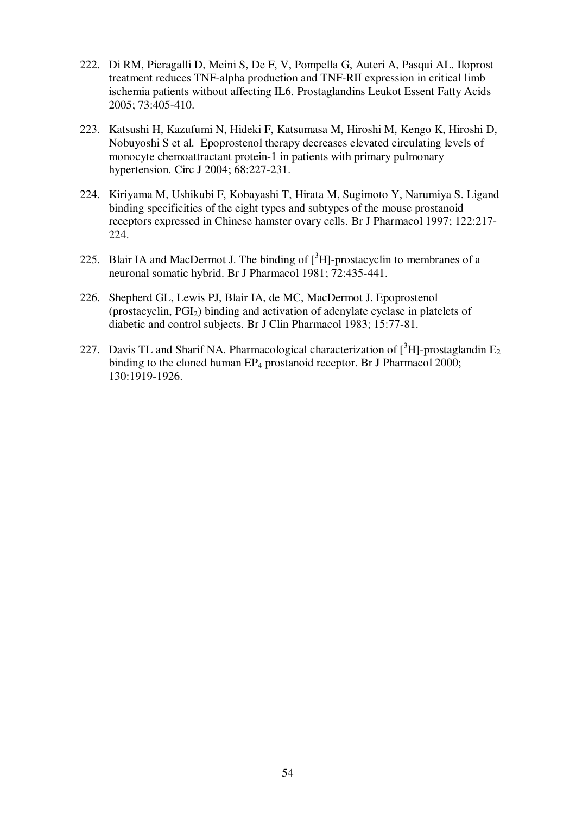- 222. Di RM, Pieragalli D, Meini S, De F, V, Pompella G, Auteri A, Pasqui AL. Iloprost treatment reduces TNF-alpha production and TNF-RII expression in critical limb ischemia patients without affecting IL6. Prostaglandins Leukot Essent Fatty Acids 2005; 73:405-410.
- 223. Katsushi H, Kazufumi N, Hideki F, Katsumasa M, Hiroshi M, Kengo K, Hiroshi D, Nobuyoshi S et al. Epoprostenol therapy decreases elevated circulating levels of monocyte chemoattractant protein-1 in patients with primary pulmonary hypertension. Circ J 2004; 68:227-231.
- 224. Kiriyama M, Ushikubi F, Kobayashi T, Hirata M, Sugimoto Y, Narumiya S. Ligand binding specificities of the eight types and subtypes of the mouse prostanoid receptors expressed in Chinese hamster ovary cells. Br J Pharmacol 1997; 122:217- 224.
- 225. Blair IA and MacDermot J. The binding of  $\int^3 H$ ]-prostacyclin to membranes of a neuronal somatic hybrid. Br J Pharmacol 1981; 72:435-441.
- 226. Shepherd GL, Lewis PJ, Blair IA, de MC, MacDermot J. Epoprostenol (prostacyclin, PGI2) binding and activation of adenylate cyclase in platelets of diabetic and control subjects. Br J Clin Pharmacol 1983; 15:77-81.
- 227. Davis TL and Sharif NA. Pharmacological characterization of  $\int^3 H$ -prostaglandin E<sub>2</sub> binding to the cloned human EP<sub>4</sub> prostanoid receptor. Br J Pharmacol 2000; 130:1919-1926.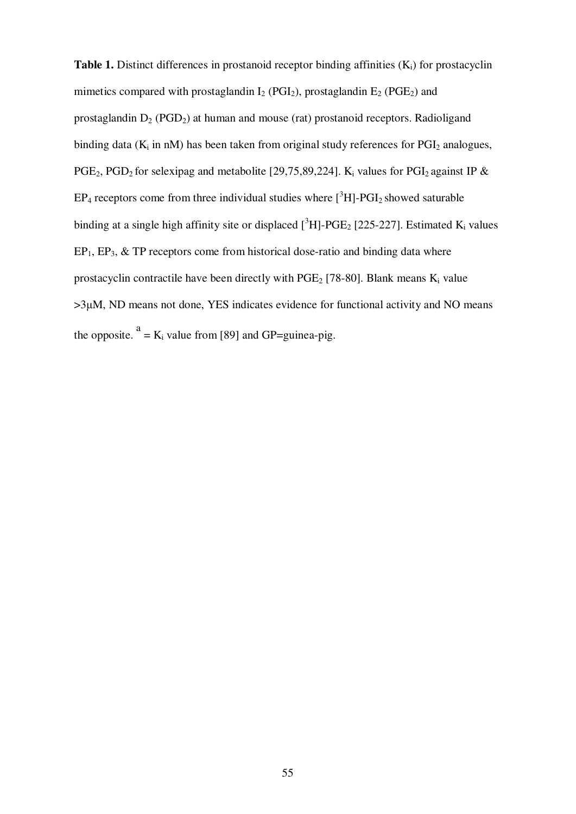**Table 1.** Distinct differences in prostanoid receptor binding affinities (K<sub>i</sub>) for prostacyclin mimetics compared with prostaglandin  $I_2$  (PGI<sub>2</sub>), prostaglandin  $E_2$  (PGE<sub>2</sub>) and prostaglandin  $D_2$  (PGD<sub>2</sub>) at human and mouse (rat) prostanoid receptors. Radioligand binding data ( $K_i$  in nM) has been taken from original study references for PGI<sub>2</sub> analogues, PGE<sub>2</sub>, PGD<sub>2</sub> for selexipag and metabolite [29,75,89,224]. K<sub>i</sub> values for PGI<sub>2</sub> against IP &  $EP_4$  receptors come from three individual studies where  $\binom{3}{1}$ -PGI<sub>2</sub> showed saturable binding at a single high affinity site or displaced  $\int_{0}^{3}H$ ]-PGE<sub>2</sub> [225-227]. Estimated K<sub>i</sub> values  $EP_1, EP_3, \& TP$  receptors come from historical dose-ratio and binding data where prostacyclin contractile have been directly with  $PGE_2$  [78-80]. Blank means  $K_i$  value >3µM, ND means not done, YES indicates evidence for functional activity and NO means the opposite.  $a = K_i$  value from [89] and GP=guinea-pig.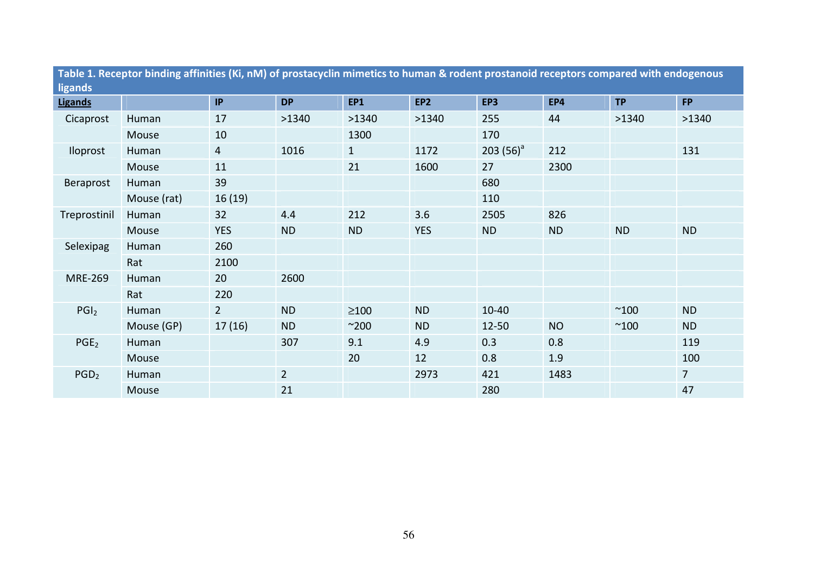| Table 1. Receptor binding affinities (Ki, nM) of prostacyclin mimetics to human & rodent prostanoid receptors compared with endogenous |             |                |             |              |                 |              |           |              |                |
|----------------------------------------------------------------------------------------------------------------------------------------|-------------|----------------|-------------|--------------|-----------------|--------------|-----------|--------------|----------------|
| ligands<br>Ligands                                                                                                                     |             | IP             | <b>DP</b>   | <b>EP1</b>   | EP <sub>2</sub> | EP3          | EP4       | <b>TP</b>    | <b>FP</b>      |
| Cicaprost                                                                                                                              |             | 17             | >1340       | >1340        | >1340           | 255          | 44        | >1340        | >1340          |
|                                                                                                                                        | Human       |                |             |              |                 |              |           |              |                |
|                                                                                                                                        | Mouse       | 10             |             | 1300         |                 | 170          |           |              |                |
| <b>Iloprost</b>                                                                                                                        | Human       | $\overline{4}$ | 1016        | $\mathbf{1}$ | 1172            | 203 $(56)^a$ | 212       |              | 131            |
|                                                                                                                                        | Mouse       | 11             |             | 21           | 1600            | 27           | 2300      |              |                |
| Beraprost                                                                                                                              | Human       | 39             |             |              |                 | 680          |           |              |                |
|                                                                                                                                        | Mouse (rat) | 16(19)         |             |              |                 | 110          |           |              |                |
| Treprostinil                                                                                                                           | Human       | 32             | 4.4         | 212          | 3.6             | 2505         | 826       |              |                |
|                                                                                                                                        | Mouse       | <b>YES</b>     | <b>ND</b>   | <b>ND</b>    | <b>YES</b>      | <b>ND</b>    | <b>ND</b> | <b>ND</b>    | <b>ND</b>      |
| Selexipag                                                                                                                              | Human       | 260            |             |              |                 |              |           |              |                |
|                                                                                                                                        | Rat         | 2100           |             |              |                 |              |           |              |                |
| <b>MRE-269</b>                                                                                                                         | Human       | 20             | 2600        |              |                 |              |           |              |                |
|                                                                                                                                        | Rat         | 220            |             |              |                 |              |           |              |                |
| PGI <sub>2</sub>                                                                                                                       | Human       | $2^{\circ}$    | <b>ND</b>   | $\geq$ 100   | <b>ND</b>       | $10 - 40$    |           | $^{\sim}100$ | <b>ND</b>      |
|                                                                                                                                        | Mouse (GP)  | 17(16)         | <b>ND</b>   | $^{\sim}200$ | <b>ND</b>       | $12 - 50$    | <b>NO</b> | $^{\sim}100$ | <b>ND</b>      |
| PGE <sub>2</sub>                                                                                                                       | Human       |                | 307         | 9.1          | 4.9             | 0.3          | 0.8       |              | 119            |
|                                                                                                                                        | Mouse       |                |             | 20           | 12              | 0.8          | 1.9       |              | 100            |
| PGD <sub>2</sub>                                                                                                                       | Human       |                | $2^{\circ}$ |              | 2973            | 421          | 1483      |              | $\overline{7}$ |
|                                                                                                                                        | Mouse       |                | 21          |              |                 | 280          |           |              | 47             |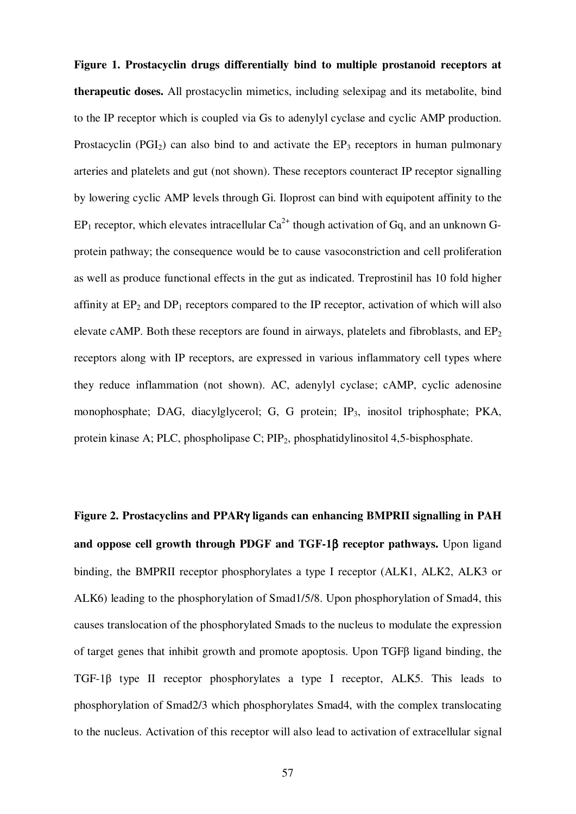**Figure 1. Prostacyclin drugs differentially bind to multiple prostanoid receptors at therapeutic doses.** All prostacyclin mimetics, including selexipag and its metabolite, bind to the IP receptor which is coupled via Gs to adenylyl cyclase and cyclic AMP production. Prostacyclin (PGI<sub>2</sub>) can also bind to and activate the  $EP_3$  receptors in human pulmonary arteries and platelets and gut (not shown). These receptors counteract IP receptor signalling by lowering cyclic AMP levels through Gi. Iloprost can bind with equipotent affinity to the  $EP_1$  receptor, which elevates intracellular  $Ca^{2+}$  though activation of Gq, and an unknown Gprotein pathway; the consequence would be to cause vasoconstriction and cell proliferation as well as produce functional effects in the gut as indicated. Treprostinil has 10 fold higher affinity at  $EP_2$  and  $DP_1$  receptors compared to the IP receptor, activation of which will also elevate cAMP. Both these receptors are found in airways, platelets and fibroblasts, and  $EP<sub>2</sub>$ receptors along with IP receptors, are expressed in various inflammatory cell types where they reduce inflammation (not shown). AC, adenylyl cyclase; cAMP, cyclic adenosine monophosphate; DAG, diacylglycerol; G, G protein; IP<sub>3</sub>, inositol triphosphate; PKA, protein kinase A; PLC, phospholipase C; PIP2, phosphatidylinositol 4,5-bisphosphate.

**Figure 2. Prostacyclins and PPAR**γ **ligands can enhancing BMPRII signalling in PAH and oppose cell growth through PDGF and TGF-1**β **receptor pathways.** Upon ligand binding, the BMPRII receptor phosphorylates a type I receptor (ALK1, ALK2, ALK3 or ALK6) leading to the phosphorylation of Smad1/5/8. Upon phosphorylation of Smad4, this causes translocation of the phosphorylated Smads to the nucleus to modulate the expression of target genes that inhibit growth and promote apoptosis. Upon TGFβ ligand binding, the TGF-1β type II receptor phosphorylates a type I receptor, ALK5. This leads to phosphorylation of Smad2/3 which phosphorylates Smad4, with the complex translocating to the nucleus. Activation of this receptor will also lead to activation of extracellular signal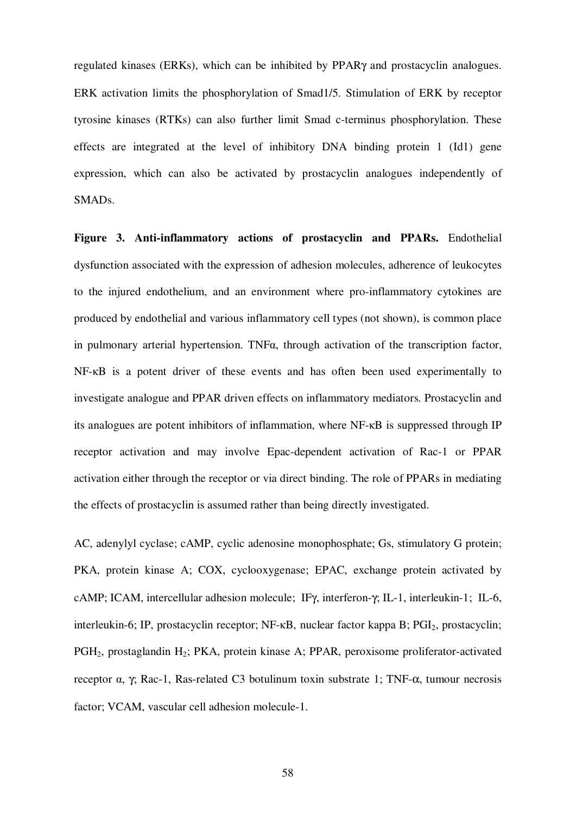regulated kinases (ERKs), which can be inhibited by PPARγ and prostacyclin analogues. ERK activation limits the phosphorylation of Smad1/5. Stimulation of ERK by receptor tyrosine kinases (RTKs) can also further limit Smad c-terminus phosphorylation. These effects are integrated at the level of inhibitory DNA binding protein 1 (Id1) gene expression, which can also be activated by prostacyclin analogues independently of SMADs.

**Figure 3. Anti-inflammatory actions of prostacyclin and PPARs.** Endothelial dysfunction associated with the expression of adhesion molecules, adherence of leukocytes to the injured endothelium, and an environment where pro-inflammatory cytokines are produced by endothelial and various inflammatory cell types (not shown), is common place in pulmonary arterial hypertension. TNFα, through activation of the transcription factor, NF-κB is a potent driver of these events and has often been used experimentally to investigate analogue and PPAR driven effects on inflammatory mediators. Prostacyclin and its analogues are potent inhibitors of inflammation, where NF-κB is suppressed through IP receptor activation and may involve Epac-dependent activation of Rac-1 or PPAR activation either through the receptor or via direct binding. The role of PPARs in mediating the effects of prostacyclin is assumed rather than being directly investigated.

AC, adenylyl cyclase; cAMP, cyclic adenosine monophosphate; Gs, stimulatory G protein; PKA, protein kinase A; COX, cyclooxygenase; EPAC, exchange protein activated by cAMP; ICAM, intercellular adhesion molecule; IFγ, interferon-γ; IL-1, interleukin-1; IL-6, interleukin-6; IP, prostacyclin receptor;  $NF$ - $\kappa$ B, nuclear factor kappa B;  $PGI_2$ , prostacyclin; PGH<sub>2</sub>, prostaglandin H<sub>2</sub>; PKA, protein kinase A; PPAR, peroxisome proliferator-activated receptor α, γ; Rac-1, Ras-related C3 botulinum toxin substrate 1; TNF-α, tumour necrosis factor; VCAM, vascular cell adhesion molecule-1.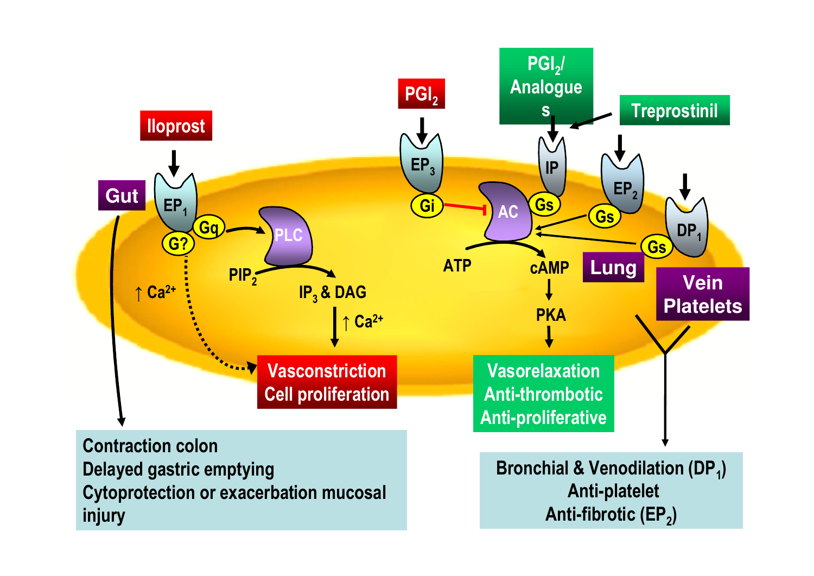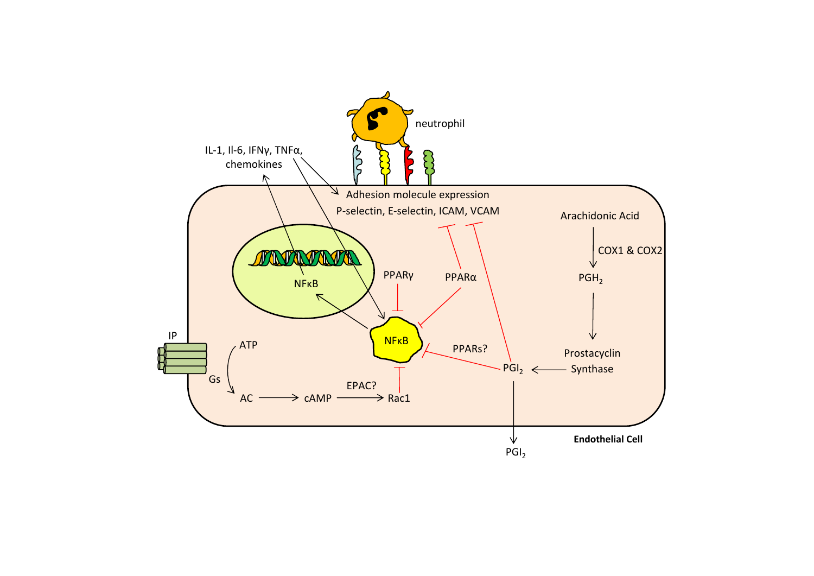